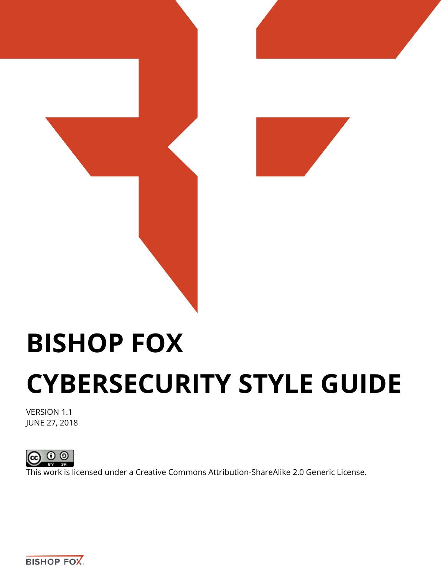

# **BISHOP FOX CYBERSECURITY STYLE GUIDE**

VERSION 1.1 JUNE 27, 2018



This work is licensed under a [Creative Commons Attribution-ShareAlike 2.0 Generic License.](https://creativecommons.org/licenses/by-sa/2.0/)

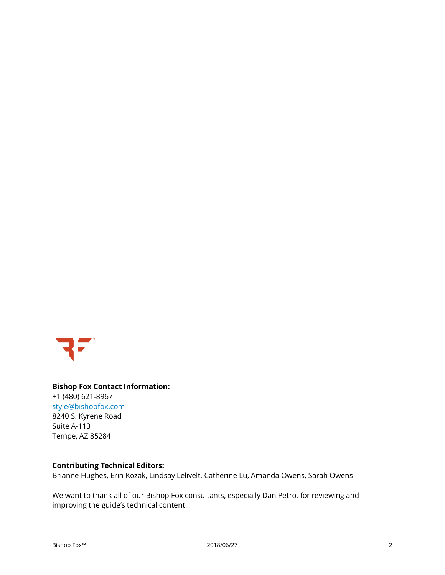

# **Bishop Fox Contact Information:** +1 (480) 621-8967 [style@bishopfox.com](mailto:contact@bishopfox.com) 8240 S. Kyrene Road Suite A-113 Tempe, AZ 85284

# **Contributing Technical Editors:**

Brianne Hughes, Erin Kozak, Lindsay Lelivelt, Catherine Lu, Amanda Owens, Sarah Owens

We want to thank all of our Bishop Fox consultants, especially Dan Petro, for reviewing and improving the guide's technical content.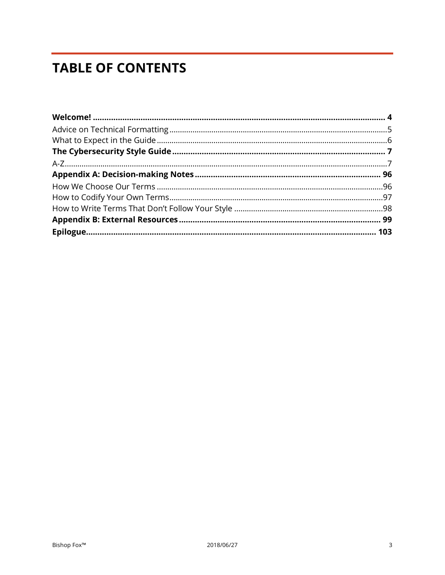# **TABLE OF CONTENTS**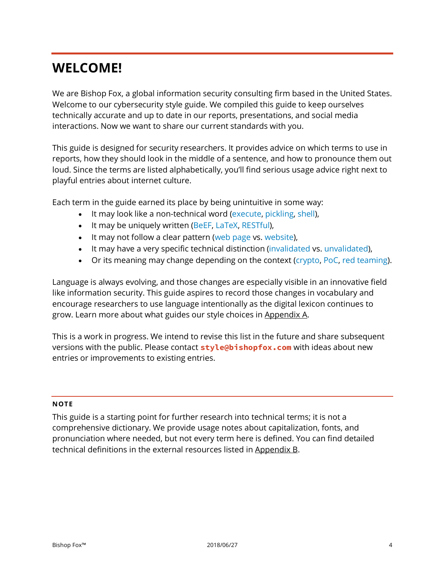# <span id="page-3-0"></span>**WELCOME!**

We are Bishop Fox, a global information security consulting firm based in the United States. Welcome to our cybersecurity style guide. We compiled this guide to keep ourselves technically accurate and up to date in our reports, presentations, and social media interactions. Now we want to share our current standards with you.

This guide is designed for security researchers. It provides advice on which terms to use in reports, how they should look in the middle of a sentence, and how to pronounce them out loud. Since the terms are listed alphabetically, you'll find serious usage advice right next to playful entries about internet culture.

Each term in the guide earned its place by being unintuitive in some way:

- It may look like a non-technical word (execute, pickling, shell),
- It may be uniquely written (BeEF, LaTeX, RESTful),
- It may not follow a clear pattern (web page vs. website),
- It may have a very specific technical distinction (invalidated vs. unvalidated),
- Or its meaning may change depending on the context (crypto, PoC, red teaming).

Language is always evolving, and those changes are especially visible in an innovative field like information security. This guide aspires to record those changes in vocabulary and encourage researchers to use language intentionally as the digital lexicon continues to grow. Learn more about what guides our style choices in [Appendix A.](#page-95-0)

This is a work in progress. We intend to revise this list in the future and share subsequent versions with the public. Please contact **style@bishopfox.com** with ideas about new entries or improvements to existing entries.

#### **NOTE**

This guide is a starting point for further research into technical terms; it is not a comprehensive dictionary. We provide usage notes about capitalization, fonts, and pronunciation where needed, but not every term here is defined. You can find detailed technical definitions in the external resources listed in [Appendix B.](#page-98-0)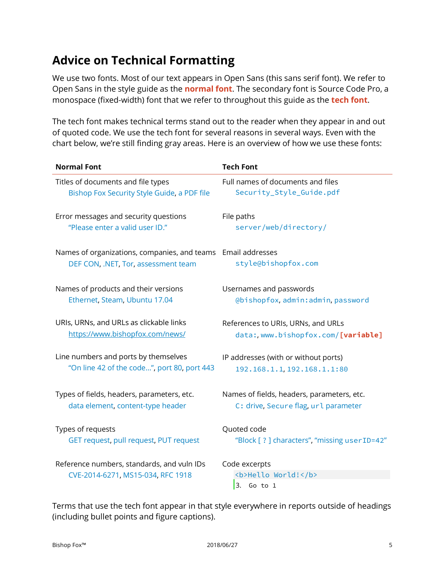# <span id="page-4-0"></span>**Advice on Technical Formatting**

We use two fonts. Most of our text appears in Open Sans (this sans serif font). We refer to Open Sans in the style guide as the **normal font**. The secondary font is Source Code Pro, a monospace (fixed-width) font that we refer to throughout this guide as the **tech font**.

The tech font makes technical terms stand out to the reader when they appear in and out of quoted code. We use the tech font for several reasons in several ways. Even with the chart below, we're still finding gray areas. Here is an overview of how we use these fonts:

| <b>Normal Font</b>                                                                                  | <b>Tech Font</b>                                      |
|-----------------------------------------------------------------------------------------------------|-------------------------------------------------------|
| Titles of documents and file types                                                                  | Full names of documents and files                     |
| Bishop Fox Security Style Guide, a PDF file                                                         | Security_Style_Guide.pdf                              |
| Error messages and security questions                                                               | File paths                                            |
| "Please enter a valid user ID."                                                                     | server/web/directory/                                 |
| Names of organizations, companies, and teams Email addresses<br>DEF CON, .NET, Tor, assessment team | style@bishopfox.com                                   |
| Names of products and their versions                                                                | Usernames and passwords                               |
| Ethernet, Steam, Ubuntu 17.04                                                                       | @bishopfox, admin: admin, password                    |
| URIs, URNs, and URLs as clickable links                                                             | References to URIs, URNs, and URLs                    |
| https://www.bishopfox.com/news/                                                                     | data:, www.bishopfox.com/[variable]                   |
| Line numbers and ports by themselves                                                                | IP addresses (with or without ports)                  |
| "On line 42 of the code", port 80, port 443                                                         | 192.168.1.1, 192.168.1.1:80                           |
| Types of fields, headers, parameters, etc.                                                          | Names of fields, headers, parameters, etc.            |
| data element, content-type header                                                                   | C: drive, Secure flag, url parameter                  |
| Types of requests                                                                                   | Quoted code                                           |
| GET request, pull request, PUT request                                                              | "Block [ ? ] characters", "missing userID=42"         |
| Reference numbers, standards, and vuln IDs<br>CVE-2014-6271, MS15-034, RFC 1918                     | Code excerpts<br><b>Hello World!</b><br>3.<br>Go to 1 |

Terms that use the tech font appear in that style everywhere in reports outside of headings (including bullet points and figure captions).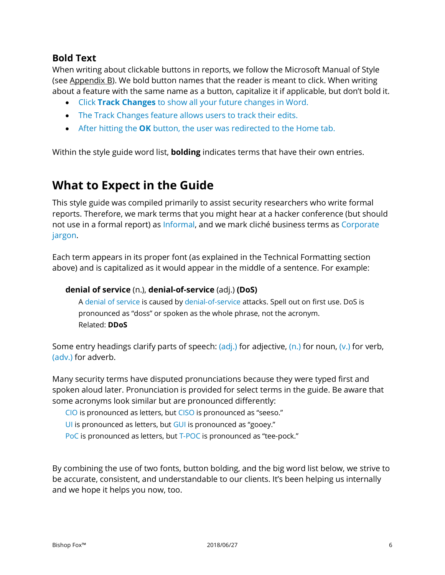# **Bold Text**

When writing about clickable buttons in reports, we follow the Microsoft Manual of Style (se[e Appendix B\)](#page-98-0). We bold button names that the reader is meant to click. When writing about a feature with the same name as a button, capitalize it if applicable, but don't bold it.

- Click **Track Changes** to show all your future changes in Word.
- The Track Changes feature allows users to track their edits.
- After hitting the **OK** button, the user was redirected to the Home tab.

Within the style guide word list, **bolding** indicates terms that have their own entries.

# <span id="page-5-0"></span>**What to Expect in the Guide**

This style guide was compiled primarily to assist security researchers who write formal reports. Therefore, we mark terms that you might hear at a hacker conference (but should not use in a formal report) as Informal, and we mark cliché business terms as Corporate jargon.

Each term appears in its proper font (as explained in the Technical Formatting section above) and is capitalized as it would appear in the middle of a sentence. For example:

# **denial of service** (n.), **denial-of-service** (adj.) **(DoS)**

A denial of service is caused by denial-of-service attacks. Spell out on first use. DoS is pronounced as "doss" or spoken as the whole phrase, not the acronym. Related: **DDoS**

Some entry headings clarify parts of speech:  $\frac{\partial d}{\partial x}$  for adjective,  $\frac{\partial d}{\partial y}$  for noun,  $\frac{\partial d}{\partial y}$  for verb, (adv.) for adverb.

Many security terms have disputed pronunciations because they were typed first and spoken aloud later. Pronunciation is provided for select terms in the guide. Be aware that some acronyms look similar but are pronounced differently:

CIO is pronounced as letters, but CISO is pronounced as "seeso."

- UI is pronounced as letters, but GUI is pronounced as "gooey."
- PoC is pronounced as letters, but T-POC is pronounced as "tee-pock."

By combining the use of two fonts, button bolding, and the big word list below, we strive to be accurate, consistent, and understandable to our clients. It's been helping us internally and we hope it helps you now, too.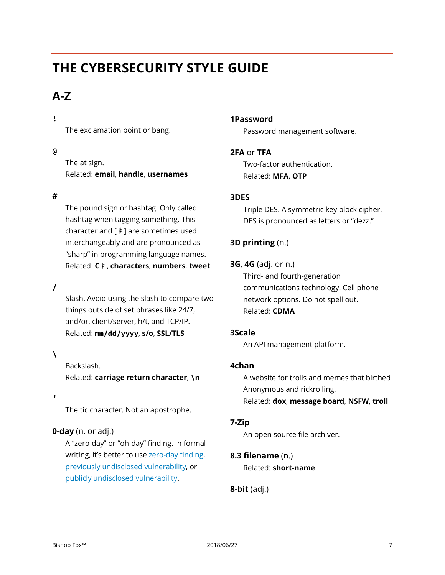# <span id="page-6-0"></span>**THE CYBERSECURITY STYLE GUIDE**

# <span id="page-6-1"></span>**A-Z**

# **!**

The exclamation point or bang.

# **@**

The at sign. Related: **email**, **handle**, **usernames**

# **#**

The pound sign or hashtag. Only called hashtag when tagging something. This character and [♯] are sometimes used interchangeably and are pronounced as "sharp" in programming language names. Related: **C♯**, **characters**, **numbers**, **tweet**

# **/**

Slash. Avoid using the slash to compare two things outside of set phrases like 24/7, and/or, client/server, h/t, and TCP/IP. Related: **mm/dd/yyyy**, **s/o**, **SSL/TLS**

# **\**

Backslash. Related: **carriage return character**, **\n**

**'**

The tic character. Not an apostrophe.

# **0-day** (n. or adj.)

A "zero-day" or "oh-day" finding. In formal writing, it's better to use zero-day finding, previously undisclosed vulnerability, or publicly undisclosed vulnerability.

# **1Password**

Password management software.

# **2FA** or **TFA**

Two-factor authentication. Related: **MFA**, **OTP**

# **3DES**

Triple DES. A symmetric key block cipher. DES is pronounced as letters or "dezz."

# **3D printing** (n.)

**3G**, **4G** (adj. or n.)

Third- and fourth-generation communications technology. Cell phone network options. Do not spell out. Related: **CDMA**

# **3Scale**

An API management platform.

# **4chan**

A website for trolls and memes that birthed Anonymous and rickrolling. Related: **dox**, **message board**, **NSFW**, **troll**

# **7-Zip**

An open source file archiver.

# **8.3 filename** (n.) Related: **short-name**

**8-bit** (adj.)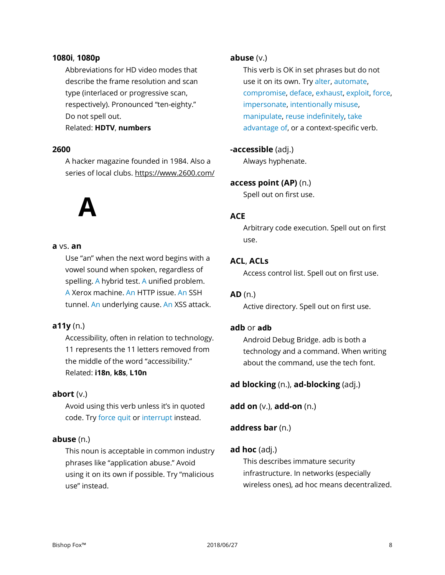#### **1080i**, **1080p**

Abbreviations for HD video modes that describe the frame resolution and scan type (interlaced or progressive scan, respectively). Pronounced "ten-eighty." Do not spell out.

Related: **HDTV**, **numbers**

#### **2600**

A hacker magazine founded in 1984. Also a series of local clubs. https://www.2600.com/

# **A**

#### **a** vs. **an**

Use "an" when the next word begins with a vowel sound when spoken, regardless of spelling. A hybrid test. A unified problem. A Xerox machine. An HTTP issue. An SSH tunnel. An underlying cause. An XSS attack.

#### **a11y** (n.)

Accessibility, often in relation to technology. 11 represents the 11 letters removed from the middle of the word "accessibility." Related: **i18n**, **k8s**, **L10n**

#### **abort** (v.)

Avoid using this verb unless it's in quoted code. Try force quit or interrupt instead.

#### **abuse** (n.)

This noun is acceptable in common industry phrases like "application abuse." Avoid using it on its own if possible. Try "malicious use" instead.

#### **abuse** (v.)

This verb is OK in set phrases but do not use it on its own. Try alter, automate, compromise, deface, exhaust, exploit, force, impersonate, intentionally misuse, manipulate, reuse indefinitely, take advantage of, or a context-specific verb.

#### **-accessible** (adj.)

Always hyphenate.

#### **access point (AP)** (n.)

Spell out on first use.

#### **ACE**

Arbitrary code execution. Spell out on first use.

#### **ACL**, **ACLs**

Access control list. Spell out on first use.

# **AD** (n.)

Active directory. Spell out on first use.

# **adb** or **adb**

Android Debug Bridge. adb is both a technology and a command. When writing about the command, use the tech font.

#### **ad blocking** (n.), **ad-blocking** (adj.)

**add on** (v.), **add-on** (n.)

# **address bar** (n.)

#### **ad hoc** (adj.)

This describes immature security infrastructure. In networks (especially wireless ones), ad hoc means decentralized.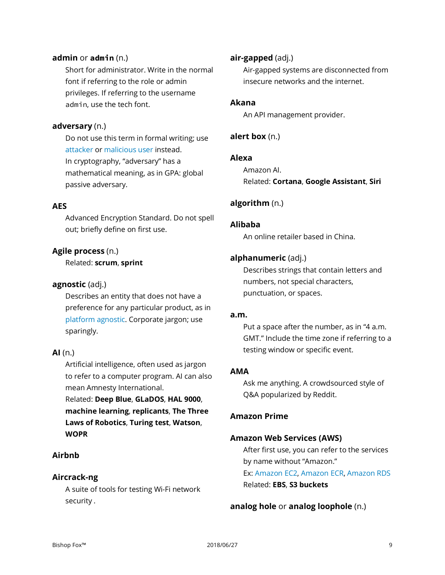#### **admin** or **admin** (n.)

Short for administrator. Write in the normal font if referring to the role or admin privileges. If referring to the username admin, use the tech font.

#### **adversary** (n.)

Do not use this term in formal writing; use attacker or malicious user instead. In cryptography, "adversary" has a mathematical meaning, as in GPA: global passive adversary.

#### **AES**

Advanced Encryption Standard. Do not spell out; briefly define on first use.

# **Agile process** (n.)

Related: **scrum**, **sprint**

#### **agnostic** (adj.)

Describes an entity that does not have a preference for any particular product, as in platform agnostic. Corporate jargon; use sparingly.

# **AI** (n.)

Artificial intelligence, often used as jargon to refer to a computer program. AI can also mean Amnesty International.

Related: **Deep Blue**, **GLaDOS**, **HAL 9000**, **machine learning**, **replicants**, **The Three Laws of Robotics**, **Turing test**, **Watson**, **WOPR**

# **Airbnb**

# **Aircrack-ng**

A suite of tools for testing Wi-Fi network security .

#### **air-gapped** (adj.)

Air-gapped systems are disconnected from insecure networks and the internet.

#### **Akana**

An API management provider.

# **alert box** (n.)

#### **Alexa**

Amazon AI. Related: **Cortana**, **Google Assistant**, **Siri**

# **algorithm** (n.)

#### **Alibaba**

An online retailer based in China.

#### **alphanumeric** (adj.)

Describes strings that contain letters and numbers, not special characters, punctuation, or spaces.

#### **a.m.**

Put a space after the number, as in "4 a.m. GMT." Include the time zone if referring to a testing window or specific event.

# **AMA**

Ask me anything. A crowdsourced style of Q&A popularized by Reddit.

#### **Amazon Prime**

#### **Amazon Web Services (AWS)**

After first use, you can refer to the services by name without "Amazon." Ex: Amazon EC2, Amazon ECR, Amazon RDS Related: **EBS**, **S3 buckets**

#### **analog hole** or **analog loophole** (n.)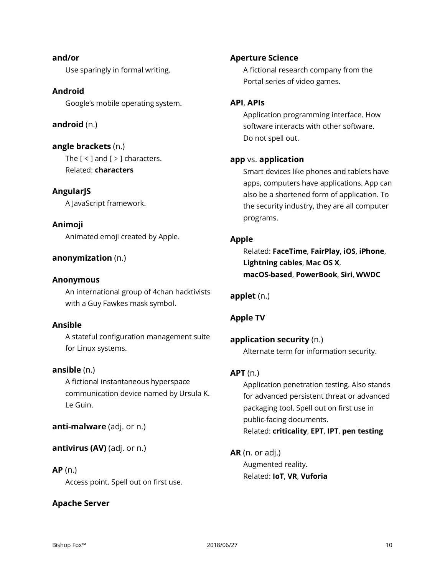**and/or** Use sparingly in formal writing.

# **Android**

Google's mobile operating system.

# **android** (n.)

**angle brackets** (n.) The  $[$  <  $]$  and  $[$  >  $]$  characters. Related: **characters**

**AngularJS** A JavaScript framework.

# **Animoji**

Animated emoji created by Apple.

# **anonymization** (n.)

#### **Anonymous**

An international group of 4chan hacktivists with a Guy Fawkes mask symbol.

# **Ansible**

A stateful configuration management suite for Linux systems.

# **ansible** (n.)

A fictional instantaneous hyperspace communication device named by Ursula K. Le Guin.

**anti-malware** (adj. or n.)

**antivirus (AV)** (adj. or n.)

# **AP** (n.)

Access point. Spell out on first use.

# **Apache Server**

# **Aperture Science**

A fictional research company from the Portal series of video games.

# **API**, **APIs**

Application programming interface. How software interacts with other software. Do not spell out.

# **app** vs. **application**

Smart devices like phones and tablets have apps, computers have applications. App can also be a shortened form of application. To the security industry, they are all computer programs.

# **Apple**

Related: **FaceTime**, **FairPlay**, **iOS**, **iPhone**, **Lightning cables**, **Mac OS X**, **macOS-based**, **PowerBook**, **Siri**, **WWDC**

# **applet** (n.)

# **Apple TV**

# **application security** (n.)

Alternate term for information security.

# **APT** (n.)

Application penetration testing. Also stands for advanced persistent threat or advanced packaging tool. Spell out on first use in public-facing documents. Related: **criticality**, **EPT**, **IPT**, **pen testing**

**AR** (n. or adj.) Augmented reality. Related: **IoT**, **VR**, **Vuforia**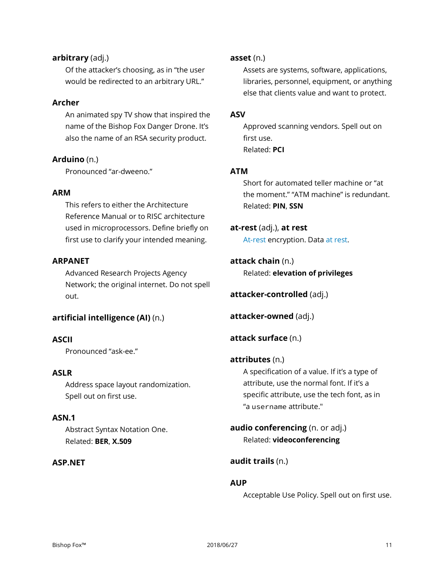# **arbitrary** (adj.)

Of the attacker's choosing, as in "the user would be redirected to an arbitrary URL."

# **Archer**

An animated spy TV show that inspired the name of the Bishop Fox Danger Drone. It's also the name of an RSA security product.

**Arduino** (n.) Pronounced "ar-dweeno."

# **ARM**

This refers to either the Architecture Reference Manual or to RISC architecture used in microprocessors. Define briefly on first use to clarify your intended meaning.

# **ARPANET**

Advanced Research Projects Agency Network; the original internet. Do not spell out.

# **artificial intelligence (AI)** (n.)

# **ASCII**

Pronounced "ask-ee."

# **ASLR**

Address space layout randomization. Spell out on first use.

# **ASN.1**

Abstract Syntax Notation One. Related: **BER**, **X.509**

# **ASP.NET**

#### **asset** (n.)

Assets are systems, software, applications, libraries, personnel, equipment, or anything else that clients value and want to protect.

#### **ASV**

Approved scanning vendors. Spell out on first use. Related: **PCI**

#### **ATM**

Short for automated teller machine or "at the moment." "ATM machine" is redundant. Related: **PIN**, **SSN**

# **at-rest** (adj.), **at rest**

At-rest encryption. Data at rest.

**attack chain** (n.) Related: **elevation of privileges**

**attacker-controlled** (adj.)

**attacker-owned** (adj.)

**attack surface** (n.)

# **attributes** (n.)

A specification of a value. If it's a type of attribute, use the normal font. If it's a specific attribute, use the tech font, as in "a username attribute."

**audio conferencing** (n. or adj.) Related: **videoconferencing**

# **audit trails** (n.)

# **AUP**

Acceptable Use Policy. Spell out on first use.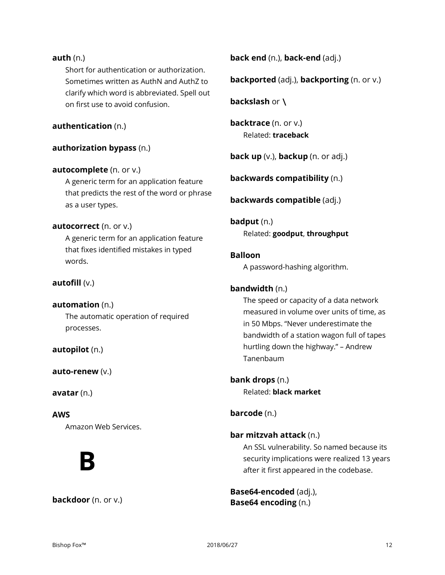# **auth** (n.)

Short for authentication or authorization. Sometimes written as AuthN and AuthZ to clarify which word is abbreviated. Spell out on first use to avoid confusion.

# **authentication** (n.)

# **authorization bypass** (n.)

#### **autocomplete** (n. or v.)

A generic term for an application feature that predicts the rest of the word or phrase as a user types.

#### **autocorrect** (n. or v.)

A generic term for an application feature that fixes identified mistakes in typed words.

# **autofill** (v.)

#### **automation** (n.)

The automatic operation of required processes.

**autopilot** (n.)

**auto-renew** (v.)

**avatar** (n.)

# **AWS**

Amazon Web Services.

# **B**

#### **backdoor** (n. or v.)

**back end** (n.), **back-end** (adj.)

**backported** (adj.), **backporting** (n. or v.)

**backslash** or **\**

**backtrace** (n. or v.) Related: **traceback**

**back up** (v.), **backup** (n. or adj.)

**backwards compatibility** (n.)

**backwards compatible** (adj.)

**badput** (n.) Related: **goodput**, **throughput**

# **Balloon**

A password-hashing algorithm.

#### **bandwidth** (n.)

The speed or capacity of a data network measured in volume over units of time, as in 50 Mbps. "Never underestimate the bandwidth of a station wagon full of tapes hurtling down the highway." – Andrew Tanenbaum

**bank drops** (n.) Related: **black market**

# **barcode** (n.)

# **bar mitzvah attack** (n.)

An SSL vulnerability. So named because its security implications were realized 13 years after it first appeared in the codebase.

**Base64-encoded** (adj.), **Base64 encoding** (n.)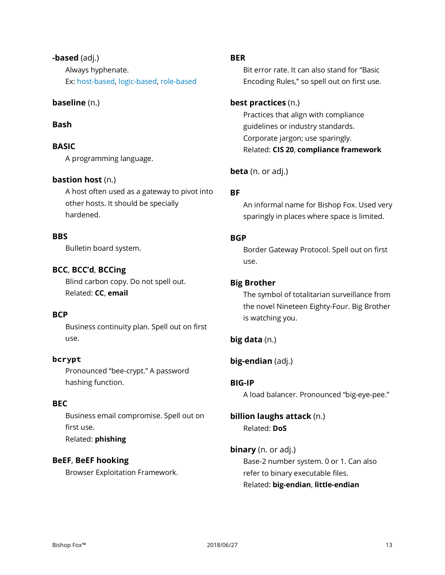# **-based** (adj.)

Always hyphenate. Ex: host-based, logic-based, role-based

# **baseline** (n.)

# **Bash**

# **BASIC**

A programming language.

# **bastion host** (n.)

A host often used as a gateway to pivot into other hosts. It should be specially hardened.

# **BBS**

Bulletin board system.

# **BCC**, **BCC'd**, **BCCing**

Blind carbon copy. Do not spell out. Related: **CC**, **email**

# **BCP**

Business continuity plan. Spell out on first use.

# **bcrypt**

Pronounced "bee-crypt." A password hashing function.

# **BEC**

Business email compromise. Spell out on first use. Related: **phishing**

# **BeEF**, **BeEF hooking**

Browser Exploitation Framework.

# **BER**

Bit error rate. It can also stand for "Basic Encoding Rules," so spell out on first use.

# **best practices** (n.)

Practices that align with compliance guidelines or industry standards. Corporate jargon; use sparingly. Related: **CIS 20**, **compliance framework**

**beta** (n. or adj.)

# **BF**

An informal name for Bishop Fox. Used very sparingly in places where space is limited.

# **BGP**

Border Gateway Protocol. Spell out on first use.

# **Big Brother**

The symbol of totalitarian surveillance from the novel Nineteen Eighty-Four. Big Brother is watching you.

# **big data** (n.)

# **big-endian** (adj.)

# **BIG-IP**

A load balancer. Pronounced "big-eye-pee."

# **billion laughs attack** (n.) Related: **DoS**

# **binary** (n. or adj.)

Base-2 number system. 0 or 1. Can also refer to binary executable files. Related: **big-endian**, **little-endian**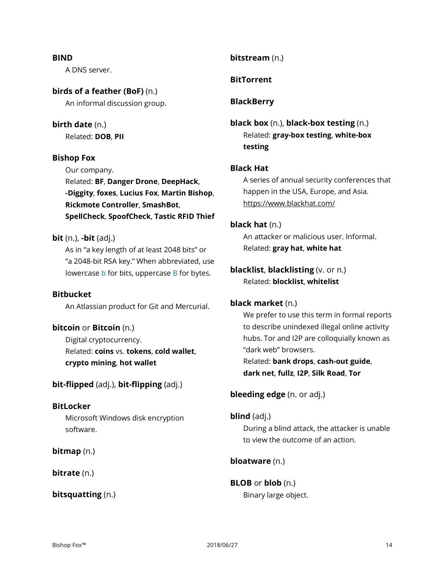#### **BIND**

A DNS server.

# **birds of a feather (BoF)** (n.)

An informal discussion group.

# **birth date** (n.)

Related: **DOB**, **PII**

# **Bishop Fox**

Our company.

Related: **BF**, **Danger Drone**, **DeepHack**, **-Diggity**, **foxes**, **Lucius Fox**, **Martin Bishop**, **Rickmote Controller**, **SmashBot**, **SpellCheck**, **SpoofCheck**, **Tastic RFID Thief**

# **bit** (n.), **-bit** (adj.)

As in "a key length of at least 2048 bits" or "a 2048-bit RSA key." When abbreviated, use lowercase b for bits, uppercase B for bytes.

# **Bitbucket**

An Atlassian product for Git and Mercurial.

# **bitcoin** or **Bitcoin** (n.)

Digital cryptocurrency. Related: **coins** vs. **tokens**, **cold wallet**, **crypto mining**, **hot wallet**

**bit-flipped** (adj.), **bit-flipping** (adj.)

# **BitLocker**

Microsoft Windows disk encryption software.

# **bitmap** (n.)

**bitrate** (n.)

**bitsquatting** (n.)

# **bitstream** (n.)

# **BitTorrent**

# **BlackBerry**

# **black box** (n.), **black-box testing** (n.) Related: **gray-box testing**, **white-box testing**

# **Black Hat**

A series of annual security conferences that happen in the USA, Europe, and Asia. https://www.blackhat.com/

# **black hat** (n.)

An attacker or malicious user. Informal. Related: **gray hat**, **white hat**

# **blacklist**, **blacklisting** (v. or n.) Related: **blocklist**, **whitelist**

# **black market** (n.)

We prefer to use this term in formal reports to describe unindexed illegal online activity hubs. Tor and I2P are colloquially known as "dark web" browsers.

Related: **bank drops**, **cash-out guide**, **dark net**, **fullz**, **I2P**, **Silk Road**, **Tor**

# **bleeding edge** (n. or adj.)

# **blind** (adj.)

During a blind attack, the attacker is unable to view the outcome of an action.

# **bloatware** (n.)

# **BLOB** or **blob** (n.)

Binary large object.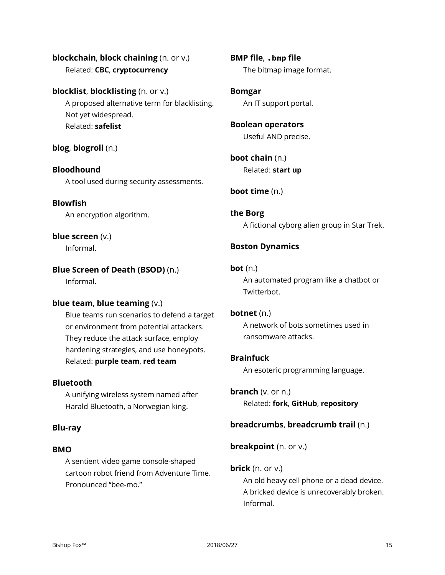# **blockchain**, **block chaining** (n. or v.) Related: **CBC**, **cryptocurrency**

# **blocklist**, **blocklisting** (n. or v.)

A proposed alternative term for blacklisting. Not yet widespread. Related: **safelist**

# **blog**, **blogroll** (n.)

# **Bloodhound** A tool used during security assessments.

# **Blowfish**

An encryption algorithm.

# **blue screen** (v.)

Informal.

# **Blue Screen of Death (BSOD)** (n.)

Informal.

# **blue team**, **blue teaming** (v.)

Blue teams run scenarios to defend a target or environment from potential attackers. They reduce the attack surface, employ hardening strategies, and use honeypots. Related: **purple team**, **red team**

# **Bluetooth**

A unifying wireless system named after Harald Bluetooth, a Norwegian king.

# **Blu-ray**

# **BMO**

A sentient video game console-shaped cartoon robot friend from Adventure Time. Pronounced "bee-mo."

**BMP file**, **.bmp file** The bitmap image format.

**Bomgar** An IT support portal.

# **Boolean operators** Useful AND precise.

**boot chain** (n.) Related: **start up**

# **boot time** (n.)

**the Borg** A fictional cyborg alien group in Star Trek.

# **Boston Dynamics**

# **bot** (n.)

An automated program like a chatbot or Twitterbot.

# **botnet** (n.)

A network of bots sometimes used in ransomware attacks.

# **Brainfuck**

An esoteric programming language.

# **branch** (v. or n.)

Related: **fork**, **GitHub**, **repository**

# **breadcrumbs**, **breadcrumb trail** (n.)

**breakpoint** (n. or v.)

# **brick** (n. or v.)

An old heavy cell phone or a dead device. A bricked device is unrecoverably broken. Informal.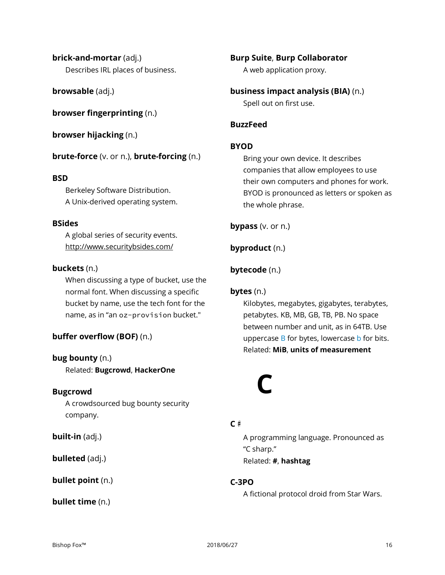**brick-and-mortar** (adj.) Describes IRL places of business.

**browsable** (adj.)

**browser fingerprinting** (n.)

**browser hijacking** (n.)

**brute-force** (v. or n.), **brute-forcing** (n.)

# **BSD**

Berkeley Software Distribution. A Unix-derived operating system.

# **BSides**

A global series of security events. http://www.securitybsides.com/

# **buckets** (n.)

When discussing a type of bucket, use the normal font. When discussing a specific bucket by name, use the tech font for the name, as in "an oz-provision bucket."

# **buffer overflow (BOF)** (n.)

# **bug bounty** (n.)

Related: **Bugcrowd**, **HackerOne**

# **Bugcrowd**

A crowdsourced bug bounty security company.

**built-in** (adj.)

**bulleted** (adj.)

**bullet point** (n.)

**bullet time** (n.)

**Burp Suite**, **Burp Collaborator** A web application proxy.

**business impact analysis (BIA)** (n.) Spell out on first use.

# **BuzzFeed**

# **BYOD**

Bring your own device. It describes companies that allow employees to use their own computers and phones for work. BYOD is pronounced as letters or spoken as the whole phrase.

**bypass** (v. or n.)

**byproduct** (n.)

# **bytecode** (n.)

# **bytes** (n.)

Kilobytes, megabytes, gigabytes, terabytes, petabytes. KB, MB, GB, TB, PB. No space between number and unit, as in 64TB. Use uppercase  $B$  for bytes, lowercase  $b$  for bits. Related: **MiB**, **units of measurement**

# **C**

# **C♯**

A programming language. Pronounced as "C sharp." Related: **#**, **hashtag**

# **C-3PO**

A fictional protocol droid from Star Wars.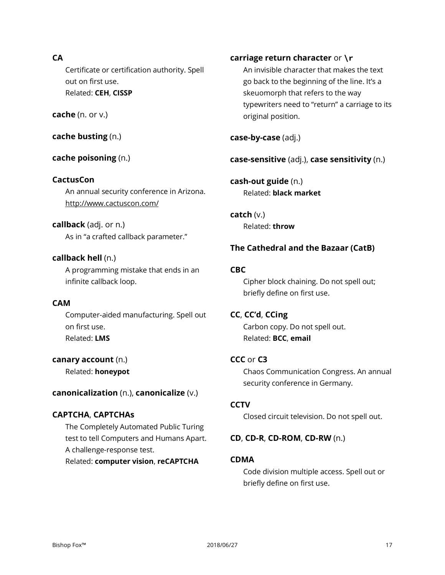# **CA**

Certificate or certification authority. Spell out on first use. Related: **CEH**, **CISSP**

# **cache** (n. or v.)

**cache busting** (n.)

# **cache poisoning** (n.)

#### **CactusCon**

An annual security conference in Arizona. http://www.cactuscon.com/

# **callback** (adj. or n.)

As in "a crafted callback parameter."

#### **callback hell** (n.)

A programming mistake that ends in an infinite callback loop.

# **CAM**

Computer-aided manufacturing. Spell out on first use. Related: **LMS**

**canary account** (n.) Related: **honeypot**

#### **canonicalization** (n.), **canonicalize** (v.)

# **CAPTCHA**, **CAPTCHAs**

The Completely Automated Public Turing test to tell Computers and Humans Apart. A challenge-response test.

Related: **computer vision**, **reCAPTCHA**

# **carriage return character** or **\r**

An invisible character that makes the text go back to the beginning of the line. It's a skeuomorph that refers to the way typewriters need to "return" a carriage to its original position.

**case-by-case** (adj.)

**case-sensitive** (adj.), **case sensitivity** (n.)

**cash-out guide** (n.) Related: **black market**

**catch** (v.) Related: **throw**

# **The Cathedral and the Bazaar (CatB)**

#### **CBC**

Cipher block chaining. Do not spell out; briefly define on first use.

#### **CC**, **CC'd**, **CCing**

Carbon copy. Do not spell out. Related: **BCC**, **email**

#### **CCC** or **C3**

Chaos Communication Congress. An annual security conference in Germany.

# **CCTV**

Closed circuit television. Do not spell out.

#### **CD**, **CD-R**, **CD-ROM**, **CD-RW** (n.)

#### **CDMA**

Code division multiple access. Spell out or briefly define on first use.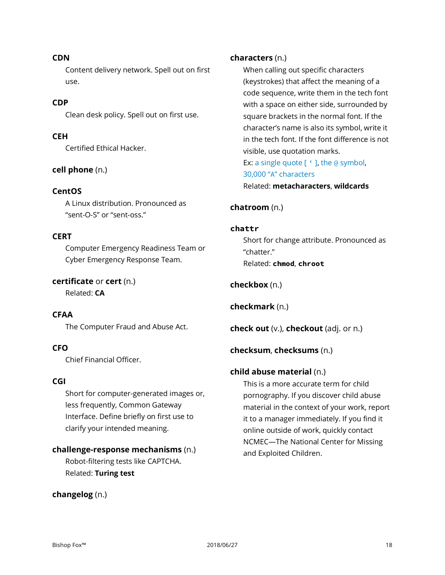#### **CDN**

Content delivery network. Spell out on first use.

# **CDP**

Clean desk policy. Spell out on first use.

# **CEH**

Certified Ethical Hacker.

# **cell phone** (n.)

# **CentOS**

A Linux distribution. Pronounced as "sent-O-S" or "sent-oss."

# **CERT**

Computer Emergency Readiness Team or Cyber Emergency Response Team.

# **certificate** or **cert** (n.)

Related: **CA**

# **CFAA**

The Computer Fraud and Abuse Act.

# **CFO**

Chief Financial Officer.

# **CGI**

Short for computer-generated images or, less frequently, Common Gateway Interface. Define briefly on first use to clarify your intended meaning.

# **challenge-response mechanisms** (n.)

Robot-filtering tests like CAPTCHA. Related: **Turing test**

# **changelog** (n.)

#### **characters** (n.)

When calling out specific characters (keystrokes) that affect the meaning of a code sequence, write them in the tech font with a space on either side, surrounded by square brackets in the normal font. If the character's name is also its symbol, write it in the tech font. If the font difference is not visible, use quotation marks. Ex: a single quote [ ' ], the @ symbol, 30,000 "A" characters Related: **metacharacters**, **wildcards**

# **chatroom** (n.)

#### **chattr**

Short for change attribute. Pronounced as "chatter." Related: **chmod**, **chroot**

# **checkbox** (n.)

**checkmark** (n.)

**check out** (v.), **checkout** (adj. or n.)

# **checksum**, **checksums** (n.)

# **child abuse material** (n.)

This is a more accurate term for child pornography. If you discover child abuse material in the context of your work, report it to a manager immediately. If you find it online outside of work, quickly contact NCMEC—The National Center for Missing and Exploited Children.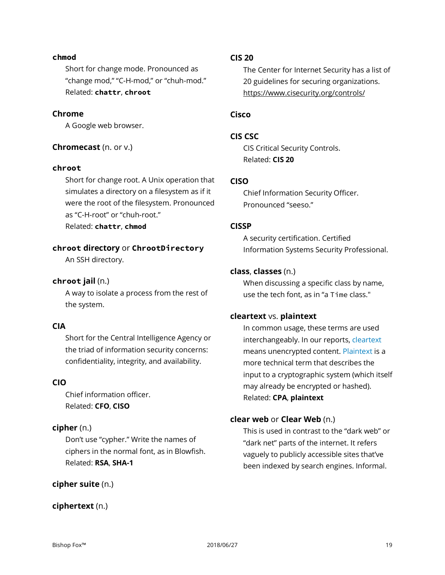#### **chmod**

Short for change mode. Pronounced as "change mod," "C-H-mod," or "chuh-mod." Related: **chattr**, **chroot**

#### **Chrome**

A Google web browser.

#### **Chromecast** (n. or v.)

#### **chroot**

Short for change root. A Unix operation that simulates a directory on a filesystem as if it were the root of the filesystem. Pronounced as "C-H-root" or "chuh-root." Related: **chattr**, **chmod**

# **chroot directory** or **ChrootDirectory**

An SSH directory.

#### **chroot jail** (n.)

A way to isolate a process from the rest of the system.

#### **CIA**

Short for the Central Intelligence Agency or the triad of information security concerns: confidentiality, integrity, and availability.

#### **CIO**

Chief information officer. Related: **CFO**, **CISO**

# **cipher** (n.)

Don't use "cypher." Write the names of ciphers in the normal font, as in Blowfish. Related: **RSA**, **SHA-1**

# **cipher suite** (n.)

#### **ciphertext** (n.)

#### **CIS 20**

The Center for Internet Security has a list of 20 guidelines for securing organizations. https://www.cisecurity.org/controls/

# **Cisco**

#### **CIS CSC**

CIS Critical Security Controls. Related: **CIS 20**

#### **CISO**

Chief Information Security Officer. Pronounced "seeso."

#### **CISSP**

A security certification. Certified Information Systems Security Professional.

#### **class**, **classes** (n.)

When discussing a specific class by name, use the tech font, as in "a Time class."

#### **cleartext** vs. **plaintext**

In common usage, these terms are used interchangeably. In our reports, cleartext means unencrypted content. Plaintext is a more technical term that describes the input to a cryptographic system (which itself may already be encrypted or hashed). Related: **CPA**, **plaintext**

#### **clear web** or **Clear Web** (n.)

This is used in contrast to the "dark web" or "dark net" parts of the internet. It refers vaguely to publicly accessible sites that've been indexed by search engines. Informal.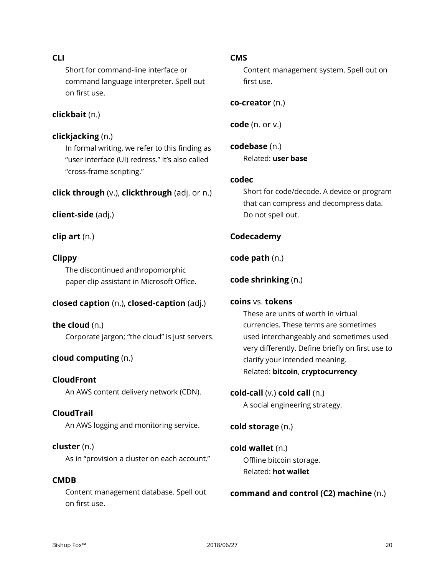# **CLI**

Short for command-line interface or command language interpreter. Spell out on first use.

# **clickbait** (n.)

#### **clickjacking** (n.)

In formal writing, we refer to this finding as "user interface (UI) redress." It's also called "cross-frame scripting."

#### **click through** (v.), **clickthrough** (adj. or n.)

#### **client-side** (adj.)

**clip art** (n.)

# **Clippy**

The discontinued anthropomorphic paper clip assistant in Microsoft Office.

#### **closed caption** (n.), **closed-caption** (adj.)

**the cloud** (n.) Corporate jargon; "the cloud" is just servers.

# **cloud computing** (n.)

**CloudFront** An AWS content delivery network (CDN).

# **CloudTrail**

An AWS logging and monitoring service.

#### **cluster** (n.)

As in "provision a cluster on each account."

# **CMDB**

Content management database. Spell out on first use.

#### **CMS**

Content management system. Spell out on first use.

**co-creator** (n.)

**code** (n. or v.)

**codebase** (n.) Related: **user base**

# **codec**

Short for code/decode. A device or program that can compress and decompress data. Do not spell out.

# **Codecademy**

#### **code path** (n.)

**code shrinking** (n.)

#### **coins** vs. **tokens**

These are units of worth in virtual currencies. These terms are sometimes used interchangeably and sometimes used very differently. Define briefly on first use to clarify your intended meaning. Related: **bitcoin**, **cryptocurrency**

#### **cold-call** (v.) **cold call** (n.)

A social engineering strategy.

# **cold storage** (n.)

```
cold wallet (n.)
Offline bitcoin storage.
Related: hot wallet
```
# **command and control (C2) machine** (n.)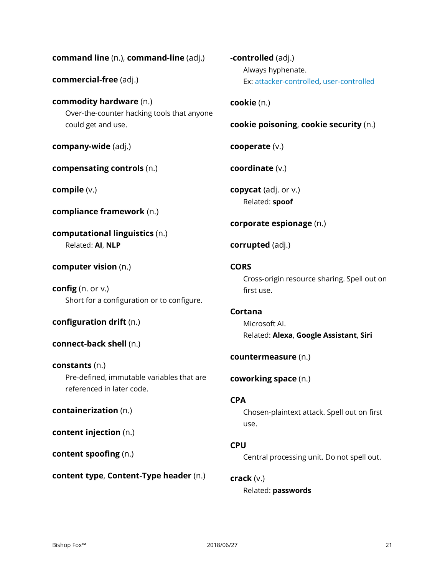**command line** (n.), **command-line** (adj.)

**commercial-free** (adj.)

**commodity hardware** (n.) Over-the-counter hacking tools that anyone could get and use.

**company-wide** (adj.)

**compensating controls** (n.)

**compile** (v.)

**compliance framework** (n.)

**computational linguistics** (n.) Related: **AI**, **NLP**

**computer vision** (n.)

**config** (n. or v.) Short for a configuration or to configure.

**configuration drift** (n.)

**connect-back shell** (n.)

**constants** (n.) Pre-defined, immutable variables that are referenced in later code.

**containerization** (n.)

**content injection** (n.)

**content spoofing** (n.)

**content type**, **Content-Type header** (n.)

**-controlled** (adj.) Always hyphenate. Ex: attacker-controlled, user-controlled

**cookie** (n.)

**cookie poisoning**, **cookie security** (n.)

**cooperate** (v.)

**coordinate** (v.)

**copycat** (adj. or v.) Related: **spoof**

```
corporate espionage (n.)
```
**corrupted** (adj.)

# **CORS**

Cross-origin resource sharing. Spell out on first use.

# **Cortana**

Microsoft AI. Related: **Alexa**, **Google Assistant**, **Siri**

**countermeasure** (n.)

**coworking space** (n.)

# **CPA**

Chosen-plaintext attack. Spell out on first use.

**CPU**

Central processing unit. Do not spell out.

**crack** (v.) Related: **passwords**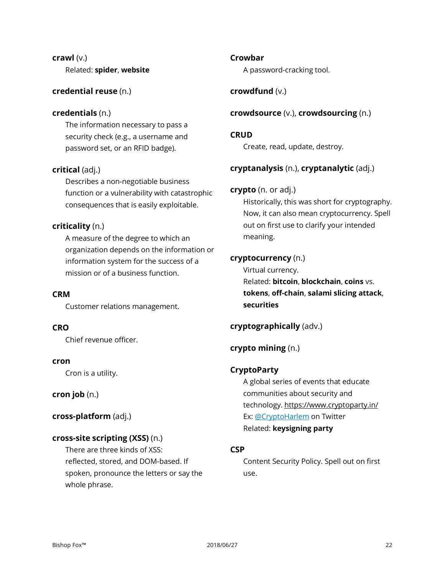# **crawl** (v.) Related: **spider**, **website**

# **credential reuse** (n.)

# **credentials** (n.)

The information necessary to pass a security check (e.g., a username and password set, or an RFID badge).

# **critical** (adj.)

Describes a non-negotiable business function or a vulnerability with catastrophic consequences that is easily exploitable.

# **criticality** (n.)

A measure of the degree to which an organization depends on the information or information system for the success of a mission or of a business function.

# **CRM**

Customer relations management.

# **CRO**

Chief revenue officer.

# **cron**

Cron is a utility.

# **cron job** (n.)

**cross-platform** (adj.)

# **cross-site scripting (XSS)** (n.)

There are three kinds of XSS: reflected, stored, and DOM-based. If spoken, pronounce the letters or say the whole phrase.

# **Crowbar**

A password-cracking tool.

# **crowdfund** (v.)

# **crowdsource** (v.), **crowdsourcing** (n.)

# **CRUD**

Create, read, update, destroy.

# **cryptanalysis** (n.), **cryptanalytic** (adj.)

# **crypto** (n. or adj.)

Historically, this was short for cryptography. Now, it can also mean cryptocurrency. Spell out on first use to clarify your intended meaning.

# **cryptocurrency** (n.)

Virtual currency. Related: **bitcoin**, **blockchain**, **coins** vs. **tokens**, **off-chain**, **salami slicing attack**, **securities**

# **cryptographically** (adv.)

# **crypto mining** (n.)

# **CryptoParty**

A global series of events that educate communities about security and technology. https://www.cryptoparty.in/ Ex: [@CryptoHarlem](https://twitter.com/cryptoharlem) on Twitter Related: **keysigning party**

# **CSP**

Content Security Policy. Spell out on first use.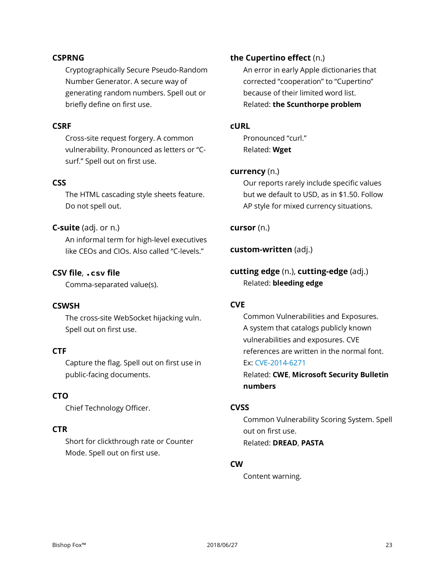#### **CSPRNG**

Cryptographically Secure Pseudo-Random Number Generator. A secure way of generating random numbers. Spell out or briefly define on first use.

# **CSRF**

Cross-site request forgery. A common vulnerability. Pronounced as letters or "Csurf." Spell out on first use.

#### **CSS**

The HTML cascading style sheets feature. Do not spell out.

#### **C-suite** (adj. or n.)

An informal term for high-level executives like CEOs and CIOs. Also called "C-levels."

# **CSV file**, **.csv file**

Comma-separated value(s).

#### **CSWSH**

The cross-site WebSocket hijacking vuln. Spell out on first use.

# **CTF**

Capture the flag. Spell out on first use in public-facing documents.

# **CTO**

Chief Technology Officer.

# **CTR**

Short for clickthrough rate or Counter Mode. Spell out on first use.

#### **the Cupertino effect** (n.)

An error in early Apple dictionaries that corrected "cooperation" to "Cupertino" because of their limited word list. Related: **the Scunthorpe problem**

# **cURL**

Pronounced "curl." Related: **Wget**

#### **currency** (n.)

Our reports rarely include specific values but we default to USD, as in \$1.50. Follow AP style for mixed currency situations.

#### **cursor** (n.)

**custom-written** (adj.)

**cutting edge** (n.), **cutting-edge** (adj.) Related: **bleeding edge**

# **CVE**

Common Vulnerabilities and Exposures. A system that catalogs publicly known vulnerabilities and exposures. CVE references are written in the normal font. Ex: CVE-2014-6271

Related: **CWE**, **Microsoft Security Bulletin numbers**

# **CVSS**

Common Vulnerability Scoring System. Spell out on first use. Related: **DREAD**, **PASTA**

# **CW**

Content warning.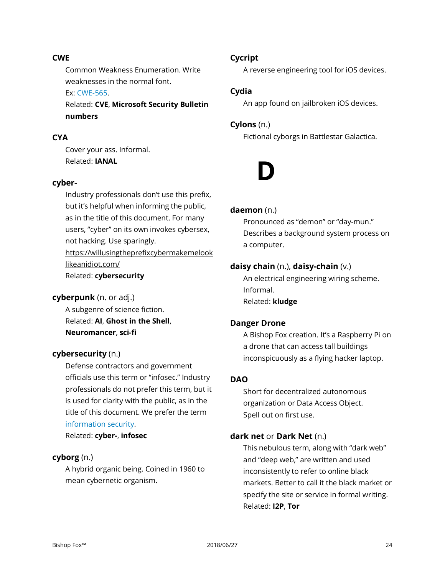# **CWE**

Common Weakness Enumeration. Write weaknesses in the normal font. Ex: CWE-565.

Related: **CVE**, **Microsoft Security Bulletin numbers**

# **CYA**

Cover your ass. Informal. Related: **IANAL**

# **cyber-**

Industry professionals don't use this prefix, but it's helpful when informing the public, as in the title of this document. For many users, "cyber" on its own invokes cybersex, not hacking. Use sparingly. [https://willusingtheprefixcybermakemelook](https://willusingtheprefixcybermakemelooklikeanidiot.com/) [likeanidiot.com/](https://willusingtheprefixcybermakemelooklikeanidiot.com/) Related: **cybersecurity**

# **cyberpunk** (n. or adj.)

A subgenre of science fiction. Related: **AI**, **Ghost in the Shell**, **Neuromancer**, **sci-fi**

# **cybersecurity** (n.)

Defense contractors and government officials use this term or "infosec." Industry professionals do not prefer this term, but it is used for clarity with the public, as in the title of this document. We prefer the term information security.

Related: **cyber-**, **infosec**

# **cyborg** (n.)

A hybrid organic being. Coined in 1960 to mean cybernetic organism.

# **Cycript**

A reverse engineering tool for iOS devices.

# **Cydia**

An app found on jailbroken iOS devices.

# **Cylons** (n.)

Fictional cyborgs in Battlestar Galactica.



#### **daemon** (n.)

Pronounced as "demon" or "day-mun." Describes a background system process on a computer.

# **daisy chain** (n.), **daisy-chain** (v.)

An electrical engineering wiring scheme. Informal. Related: **kludge**

# **Danger Drone**

A Bishop Fox creation. It's a Raspberry Pi on a drone that can access tall buildings inconspicuously as a flying hacker laptop.

# **DAO**

Short for decentralized autonomous organization or Data Access Object. Spell out on first use.

# **dark net** or **Dark Net** (n.)

This nebulous term, along with "dark web" and "deep web," are written and used inconsistently to refer to online black markets. Better to call it the black market or specify the site or service in formal writing. Related: **I2P**, **Tor**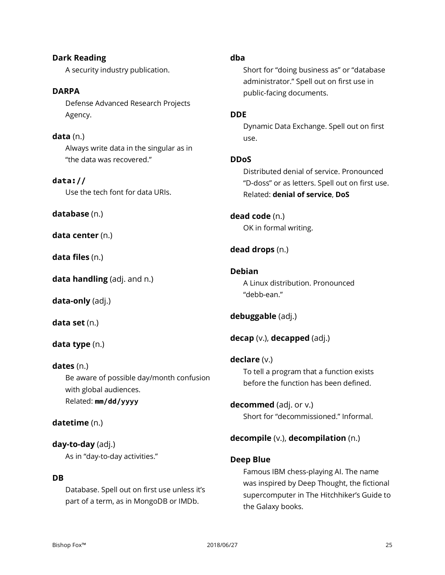**Dark Reading** A security industry publication.

**DARPA** Defense Advanced Research Projects Agency.

**data** (n.) Always write data in the singular as in "the data was recovered."

**data://** Use the tech font for data URIs.

**database** (n.)

**data center** (n.)

**data files** (n.)

**data handling** (adj. and n.)

**data-only** (adj.)

**data set** (n.)

# **data type** (n.)

# **dates** (n.)

Be aware of possible day/month confusion with global audiences. Related: **mm/dd/yyyy**

# **datetime** (n.)

**day-to-day** (adj.) As in "day-to-day activities."

# **DB**

Database. Spell out on first use unless it's part of a term, as in MongoDB or IMDb.

# **dba**

Short for "doing business as" or "database administrator." Spell out on first use in public-facing documents.

# **DDE**

Dynamic Data Exchange. Spell out on first use.

# **DDoS**

Distributed denial of service. Pronounced "D-doss" or as letters. Spell out on first use. Related: **denial of service**, **DoS**

# **dead code** (n.) OK in formal writing.

# **dead drops** (n.)

# **Debian**

A Linux distribution. Pronounced "debb-ean."

# **debuggable** (adj.)

**decap** (v.), **decapped** (adj.)

**declare** (v.) To tell a program that a function exists before the function has been defined.

**decommed** (adj. or v.) Short for "decommissioned." Informal.

# **decompile** (v.), **decompilation** (n.)

# **Deep Blue**

Famous IBM chess-playing AI. The name was inspired by Deep Thought, the fictional supercomputer in The Hitchhiker's Guide to the Galaxy books.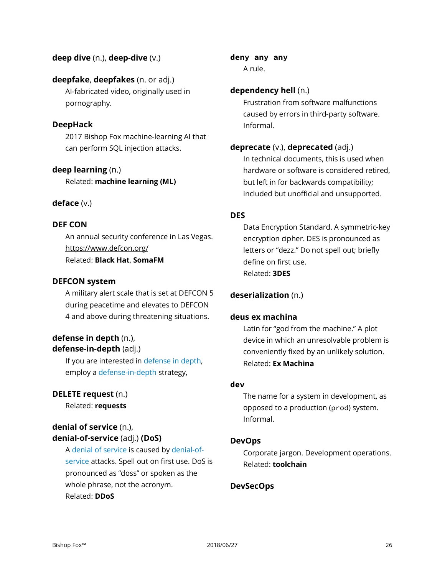# **deep dive** (n.), **deep-dive** (v.)

# **deepfake**, **deepfakes** (n. or adj.)

AI-fabricated video, originally used in pornography.

#### **DeepHack**

2017 Bishop Fox machine-learning AI that can perform SQL injection attacks.

#### **deep learning** (n.)

Related: **machine learning (ML)**

#### **deface** (v.)

#### **DEF CON**

An annual security conference in Las Vegas. https://www.defcon.org/ Related: **Black Hat**, **SomaFM**

#### **DEFCON system**

A military alert scale that is set at DEFCON 5 during peacetime and elevates to DEFCON 4 and above during threatening situations.

# **defense in depth** (n.), **defense-in-depth** (adj.)

If you are interested in defense in depth, employ a defense-in-depth strategy,

#### **DELETE request** (n.)

Related: **requests**

# **denial of service** (n.), **denial-of-service** (adj.) **(DoS)**

A denial of service is caused by denial-ofservice attacks. Spell out on first use. DoS is pronounced as "doss" or spoken as the whole phrase, not the acronym. Related: **DDoS**

**deny any any** A rule.

#### **dependency hell** (n.)

Frustration from software malfunctions caused by errors in third-party software. Informal.

#### **deprecate** (v.), **deprecated** (adj.)

In technical documents, this is used when hardware or software is considered retired, but left in for backwards compatibility; included but unofficial and unsupported.

#### **DES**

Data Encryption Standard. A symmetric-key encryption cipher. DES is pronounced as letters or "dezz." Do not spell out; briefly define on first use. Related: **3DES**

# **deserialization** (n.)

#### **deus ex machina**

Latin for "god from the machine." A plot device in which an unresolvable problem is conveniently fixed by an unlikely solution. Related: **Ex Machina**

#### **dev**

The name for a system in development, as opposed to a production (prod) system. Informal.

#### **DevOps**

Corporate jargon. Development operations. Related: **toolchain**

# **DevSecOps**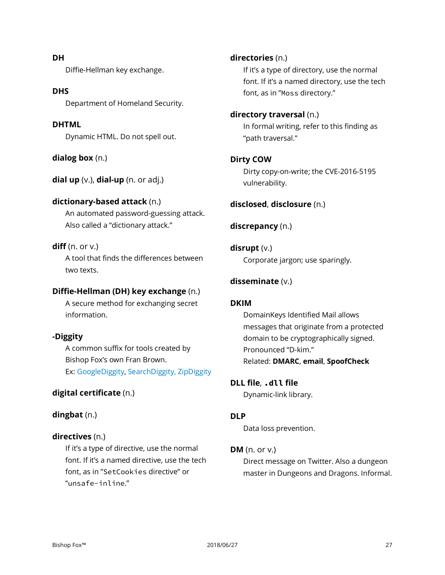#### Bishop Fox™ 2018/06/27 27

**DH** Diffie-Hellman key exchange.

#### **DHS**

Department of Homeland Security.

#### **DHTML**

Dynamic HTML. Do not spell out.

**dialog box** (n.)

**dial up** (v.), **dial-up** (n. or adj.)

#### **dictionary-based attack** (n.)

An automated password-guessing attack. Also called a "dictionary attack."

#### **diff** (n. or v.)

A tool that finds the differences between two texts.

#### **Diffie-Hellman (DH) key exchange** (n.)

A secure method for exchanging secret information.

# **-Diggity**

A common suffix for tools created by Bishop Fox's own Fran Brown. Ex: GoogleDiggity, SearchDiggity, ZipDiggity

#### **digital certificate** (n.)

# **dingbat** (n.)

#### **directives** (n.)

If it's a type of directive, use the normal font. If it's a named directive, use the tech font, as in "SetCookies directive" or "unsafe-inline."

**directories** (n.)

If it's a type of directory, use the normal font. If it's a named directory, use the tech font, as in "Moss directory."

#### **directory traversal** (n.)

In formal writing, refer to this finding as "path traversal."

#### **Dirty COW**

Dirty copy-on-write; the CVE-2016-5195 vulnerability.

# **disclosed**, **disclosure** (n.)

#### **discrepancy** (n.)

**disrupt** (v.) Corporate jargon; use sparingly.

#### **disseminate** (v.)

#### **DKIM**

DomainKeys Identified Mail allows messages that originate from a protected domain to be cryptographically signed. Pronounced "D-kim." Related: **DMARC**, **email**, **SpoofCheck**

#### **DLL file**, **.dll file**

Dynamic-link library.

#### **DLP**

Data loss prevention.

# **DM** (n. or v.)

Direct message on Twitter. Also a dungeon master in Dungeons and Dragons. Informal.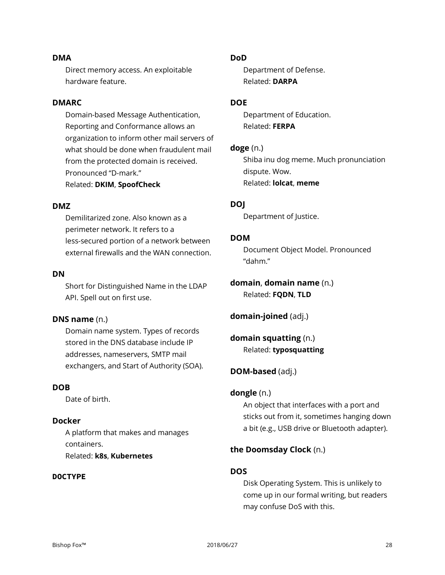#### **DMA**

Direct memory access. An exploitable hardware feature.

#### **DMARC**

Domain-based Message Authentication, Reporting and Conformance allows an organization to inform other mail servers of what should be done when fraudulent mail from the protected domain is received. Pronounced "D-mark." Related: **DKIM**, **SpoofCheck**

#### **DMZ**

Demilitarized zone. Also known as a perimeter network. It refers to a less-secured portion of a network between external firewalls and the WAN connection.

#### **DN**

Short for Distinguished Name in the LDAP API. Spell out on first use.

#### **DNS name** (n.)

Domain name system. Types of records stored in the DNS database include IP addresses, nameservers, SMTP mail exchangers, and Start of Authority (SOA).

# **DOB**

Date of birth.

#### **Docker**

A platform that makes and manages containers. Related: **k8s**, **Kubernetes**

#### **DOCTYPE**

#### **DoD**

Department of Defense. Related: **DARPA**

#### **DOE**

Department of Education. Related: **FERPA**

#### **doge** (n.)

Shiba inu dog meme. Much pronunciation dispute. Wow. Related: **lolcat**, **meme**

#### **DOJ**

Department of Justice.

#### **DOM**

Document Object Model. Pronounced "dahm."

**domain**, **domain name** (n.) Related: **FQDN**, **TLD**

**domain-joined** (adj.)

**domain squatting** (n.) Related: **typosquatting**

#### **DOM-based** (adj.)

#### **dongle** (n.)

An object that interfaces with a port and sticks out from it, sometimes hanging down a bit (e.g., USB drive or Bluetooth adapter).

#### **the Doomsday Clock** (n.)

#### **DOS**

Disk Operating System. This is unlikely to come up in our formal writing, but readers may confuse DoS with this.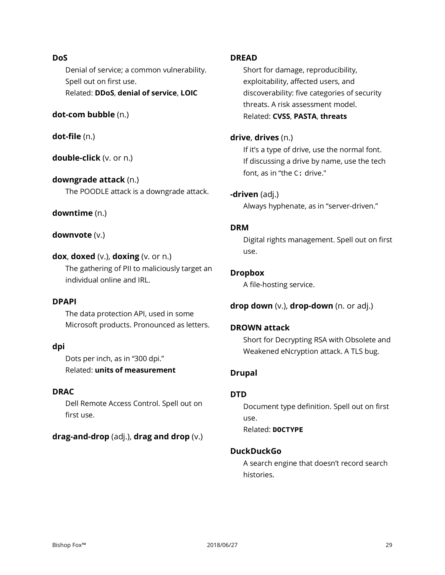# **DoS**

Denial of service; a common vulnerability. Spell out on first use. Related: **DDoS**, **denial of service**, **LOIC**

# **dot-com bubble** (n.)

**dot-file** (n.)

**double-click** (v. or n.)

**downgrade attack** (n.) The POODLE attack is a downgrade attack.

# **downtime** (n.)

**downvote** (v.)

```
dox, doxed (v.), doxing (v. or n.)
```
The gathering of PII to maliciously target an individual online and IRL.

# **DPAPI**

The data protection API, used in some Microsoft products. Pronounced as letters.

# **dpi**

Dots per inch, as in "300 dpi."

Related: **units of measurement**

# **DRAC**

Dell Remote Access Control. Spell out on first use.

# **drag-and-drop** (adj.), **drag and drop** (v.)

# **DREAD**

Short for damage, reproducibility, exploitability, affected users, and discoverability: five categories of security threats. A risk assessment model. Related: **CVSS**, **PASTA**, **threats**

#### **drive**, **drives** (n.)

If it's a type of drive, use the normal font. If discussing a drive by name, use the tech font, as in "the C: drive."

# **-driven** (adj.)

Always hyphenate, as in "server-driven."

# **DRM**

Digital rights management. Spell out on first use.

# **Dropbox**

A file-hosting service.

# **drop down** (v.), **drop-down** (n. or adj.)

# **DROWN attack**

Short for Decrypting RSA with Obsolete and Weakened eNcryption attack. A TLS bug.

# **Drupal**

# **DTD**

Document type definition. Spell out on first use. Related: **DOCTYPE**

# **DuckDuckGo**

A search engine that doesn't record search histories.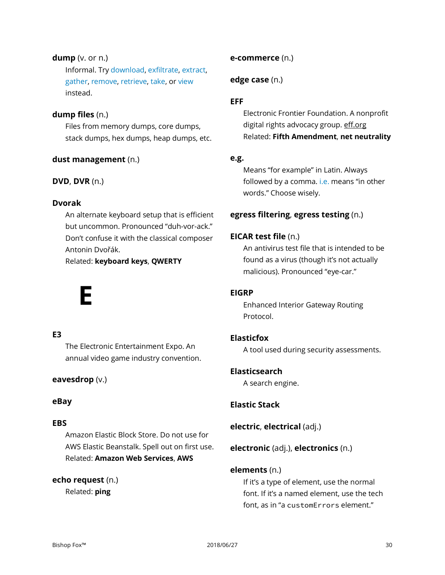# **dump** (v. or n.)

Informal. Try download, exfiltrate, extract, gather, remove, retrieve, take, or view instead.

# **dump files** (n.)

Files from memory dumps, core dumps, stack dumps, hex dumps, heap dumps, etc.

# **dust management** (n.)

# **DVD**, **DVR** (n.)

# **Dvorak**

An alternate keyboard setup that is efficient but uncommon. Pronounced "duh-vor-ack." Don't confuse it with the classical composer Antonin Dvořák.

Related: **keyboard keys**, **QWERTY**

# **E**

# **E3**

The Electronic Entertainment Expo. An annual video game industry convention.

# **eavesdrop** (v.)

# **eBay**

# **EBS**

Amazon Elastic Block Store. Do not use for AWS Elastic Beanstalk. Spell out on first use. Related: **Amazon Web Services**, **AWS**

# **echo request** (n.)

Related: **ping**

# **e-commerce** (n.)

# **edge case** (n.)

# **EFF**

Electronic Frontier Foundation. A nonprofit digital rights advocacy group. eff.org Related: **Fifth Amendment**, **net neutrality**

# **e.g.**

Means "for example" in Latin. Always followed by a comma. i.e. means "in other words." Choose wisely.

# **egress filtering**, **egress testing** (n.)

# **EICAR test file** (n.)

An antivirus test file that is intended to be found as a virus (though it's not actually malicious). Pronounced "eye-car."

# **EIGRP**

Enhanced Interior Gateway Routing Protocol.

# **Elasticfox**

A tool used during security assessments.

# **Elasticsearch**

A search engine.

# **Elastic Stack**

**electric**, **electrical** (adj.)

# **electronic** (adj.), **electronics** (n.)

# **elements** (n.)

If it's a type of element, use the normal font. If it's a named element, use the tech font, as in "a customErrors element."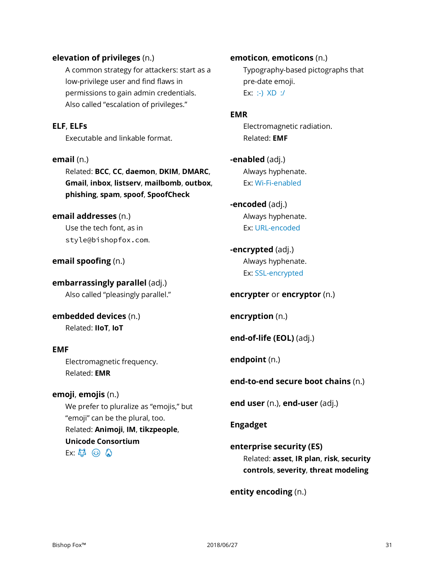#### **elevation of privileges** (n.)

A common strategy for attackers: start as a low-privilege user and find flaws in permissions to gain admin credentials. Also called "escalation of privileges."

#### **ELF**, **ELFs**

Executable and linkable format.

#### **email** (n.)

Related: **BCC**, **CC**, **daemon**, **DKIM**, **DMARC**, **Gmail**, **inbox**, **listserv**, **mailbomb**, **outbox**, **phishing**, **spam**, **spoof**, **SpoofCheck**

#### **email addresses** (n.)

Use the tech font, as in style@bishopfox.com.

**email spoofing** (n.)

**embarrassingly parallel** (adj.) Also called "pleasingly parallel."

**embedded devices** (n.) Related: **IIoT**, **IoT**

#### **EMF**

Electromagnetic frequency. Related: **EMR**

# **emoji**, **emojis** (n.)

We prefer to pluralize as "emojis," but "emoji" can be the plural, too. Related: **Animoji**, **IM**, **tikzpeople**, **Unicode Consortium**  $Ex: 43 \text{ } \textcircled{a} 0$ 

**emoticon**, **emoticons** (n.) Typography-based pictographs that

pre-date emoji. Ex: :-) XD :/

#### **EMR**

Electromagnetic radiation. Related: **EMF**

**-enabled** (adj.) Always hyphenate. Ex: Wi-Fi-enabled

- **-encoded** (adj.) Always hyphenate. Ex: URL-encoded
- **-encrypted** (adj.) Always hyphenate. Ex: SSL-encrypted

#### **encrypter** or **encryptor** (n.)

**encryption** (n.)

**end-of-life (EOL)** (adj.)

**endpoint** (n.)

# **end-to-end secure boot chains** (n.)

**end user** (n.), **end-user** (adj.)

**Engadget**

**enterprise security (ES)** Related: **asset**, **IR plan**, **risk**, **security controls**, **severity**, **threat modeling**

**entity encoding** (n.)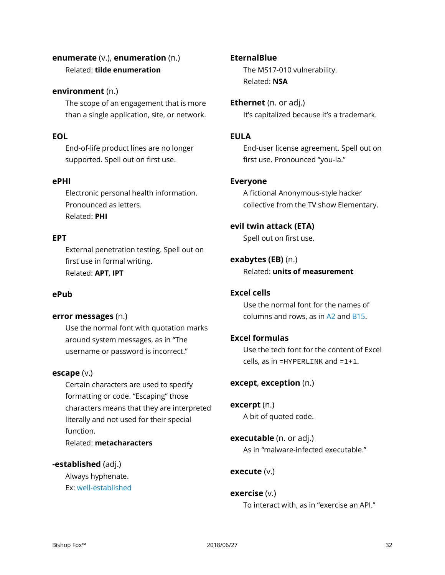# **enumerate** (v.), **enumeration** (n.) Related: **tilde enumeration**

# **environment** (n.)

The scope of an engagement that is more than a single application, site, or network.

# **EOL**

End-of-life product lines are no longer supported. Spell out on first use.

# **ePHI**

Electronic personal health information. Pronounced as letters. Related: **PHI**

# **EPT**

External penetration testing. Spell out on first use in formal writing. Related: **APT**, **IPT**

# **ePub**

# **error messages** (n.)

Use the normal font with quotation marks around system messages, as in "The username or password is incorrect."

# **escape** (v.)

Certain characters are used to specify formatting or code. "Escaping" those characters means that they are interpreted literally and not used for their special function. Related: **metacharacters**

# **-established** (adj.)

Always hyphenate. Ex: well-established

#### **EternalBlue**

The MS17-010 vulnerability. Related: **NSA**

**Ethernet** (n. or adj.) It's capitalized because it's a trademark.

#### **EULA**

End-user license agreement. Spell out on first use. Pronounced "you-la."

# **Everyone**

A fictional Anonymous-style hacker collective from the TV show Elementary.

#### **evil twin attack (ETA)**

Spell out on first use.

# **exabytes (EB)** (n.)

Related: **units of measurement**

# **Excel cells**

Use the normal font for the names of columns and rows, as in A2 and B15.

# **Excel formulas**

Use the tech font for the content of Excel cells, as in  $=$ HYPERLINK and  $=$ 1+1.

#### **except**, **exception** (n.)

**excerpt** (n.) A bit of quoted code.

# **executable** (n. or adj.) As in "malware-infected executable."

# **execute** (v.)

#### **exercise** (v.) To interact with, as in "exercise an API."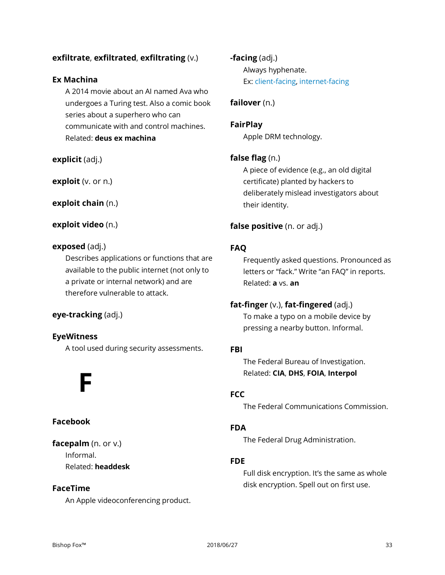# **exfiltrate**, **exfiltrated**, **exfiltrating** (v.)

# **Ex Machina**

A 2014 movie about an AI named Ava who undergoes a Turing test. Also a comic book series about a superhero who can communicate with and control machines. Related: **deus ex machina**

**explicit** (adj.)

**exploit** (v. or n.)

**exploit chain** (n.)

#### **exploit video** (n.)

#### **exposed** (adj.)

Describes applications or functions that are available to the public internet (not only to a private or internal network) and are therefore vulnerable to attack.

# **eye-tracking** (adj.)

# **EyeWitness**

A tool used during security assessments.

# **F**

# **Facebook**

**facepalm** (n. or v.) Informal. Related: **headdesk**

# **FaceTime**

An Apple videoconferencing product.

**-facing** (adj.) Always hyphenate. Ex: client-facing, internet-facing

# **failover** (n.)

**FairPlay** Apple DRM technology.

# **false flag** (n.)

A piece of evidence (e.g., an old digital certificate) planted by hackers to deliberately mislead investigators about their identity.

# **false positive** (n. or adj.)

#### **FAQ**

Frequently asked questions. Pronounced as letters or "fack." Write "an FAQ" in reports. Related: **a** vs. **an**

# **fat-finger** (v.), **fat-fingered** (adj.)

To make a typo on a mobile device by pressing a nearby button. Informal.

#### **FBI**

The Federal Bureau of Investigation. Related: **CIA**, **DHS**, **FOIA**, **Interpol**

# **FCC**

The Federal Communications Commission.

# **FDA**

The Federal Drug Administration.

# **FDE**

Full disk encryption. It's the same as whole disk encryption. Spell out on first use.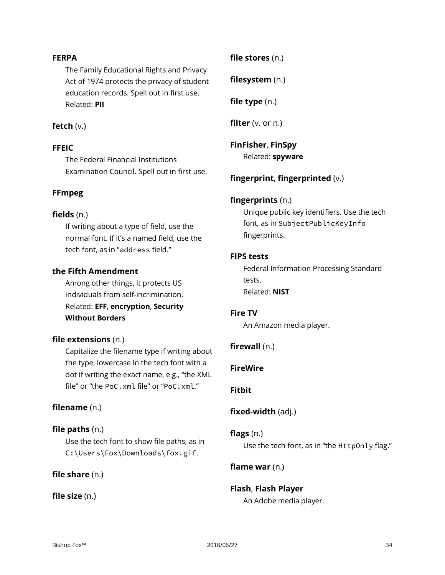# **FERPA**

The Family Educational Rights and Privacy Act of 1974 protects the privacy of student education records. Spell out in first use. Related: **PII**

#### **fetch** (v.)

#### **FFEIC**

The Federal Financial Institutions Examination Council. Spell out in first use.

#### **FFmpeg**

#### **fields** (n.)

If writing about a type of field, use the normal font. If it's a named field, use the tech font, as in "address field."

#### **the Fifth Amendment**

Among other things, it protects US individuals from self-incrimination. Related: **EFF**, **encryption**, **Security Without Borders**

# **file extensions** (n.)

Capitalize the filename type if writing about the type, lowercase in the tech font with a dot if writing the exact name, e.g., "the XML file" or "the PoC.xml file" or "PoC.xml."

# **filename** (n.)

#### **file paths** (n.)

Use the tech font to show file paths, as in C:\Users\Fox\Downloads\fox.gif.

**file share** (n.)

**file size** (n.)

**file stores** (n.)

**filesystem** (n.)

**file type** (n.)

**filter** (v. or n.)

# **FinFisher**, **FinSpy**

Related: **spyware**

# **fingerprint**, **fingerprinted** (v.)

#### **fingerprints** (n.)

Unique public key identifiers. Use the tech font, as in SubjectPublicKeyInfo fingerprints.

#### **FIPS tests**

Federal Information Processing Standard tests. Related: **NIST**

#### **Fire TV**

An Amazon media player.

#### **firewall** (n.)

#### **FireWire**

#### **Fitbit**

#### **fixed-width** (adj.)

#### **flags** (n.)

Use the tech font, as in "the HttpOnly flag."

#### **flame war** (n.)

# **Flash**, **Flash Player**

An Adobe media player.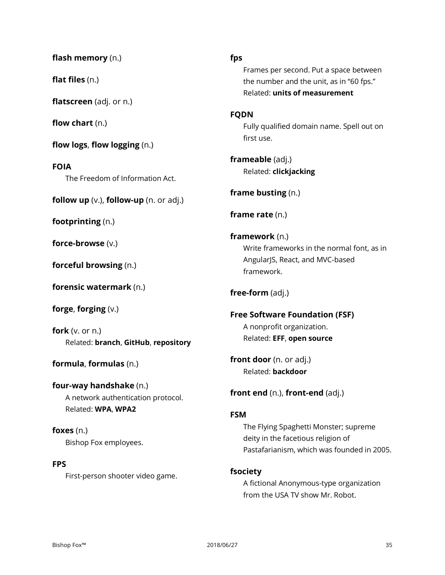**flash memory** (n.)

**flat files** (n.)

**flatscreen** (adj. or n.)

**flow chart** (n.)

**flow logs**, **flow logging** (n.)

**FOIA** The Freedom of Information Act.

**follow up** (v.), **follow-up** (n. or adj.)

**footprinting** (n.)

**force-browse** (v.)

**forceful browsing** (n.)

**forensic watermark** (n.)

**forge**, **forging** (v.)

**fork** (v. or n.) Related: **branch**, **GitHub**, **repository**

**formula**, **formulas** (n.)

**four-way handshake** (n.) A network authentication protocol. Related: **WPA**, **WPA2**

**foxes** (n.) Bishop Fox employees.

#### **FPS**

First-person shooter video game.

**fps**

Frames per second. Put a space between the number and the unit, as in "60 fps." Related: **units of measurement**

#### **FQDN**

Fully qualified domain name. Spell out on first use.

**frameable** (adj.) Related: **clickjacking**

**frame busting** (n.)

**frame rate** (n.)

**framework** (n.) Write frameworks in the normal font, as in AngularJS, React, and MVC-based framework.

# **free-form** (adj.)

**Free Software Foundation (FSF)** A nonprofit organization. Related: **EFF**, **open source**

**front door** (n. or adj.) Related: **backdoor**

**front end** (n.), **front-end** (adj.)

# **FSM**

The Flying Spaghetti Monster; supreme deity in the facetious religion of Pastafarianism, which was founded in 2005.

# **fsociety**

A fictional Anonymous-type organization from the USA TV show Mr. Robot.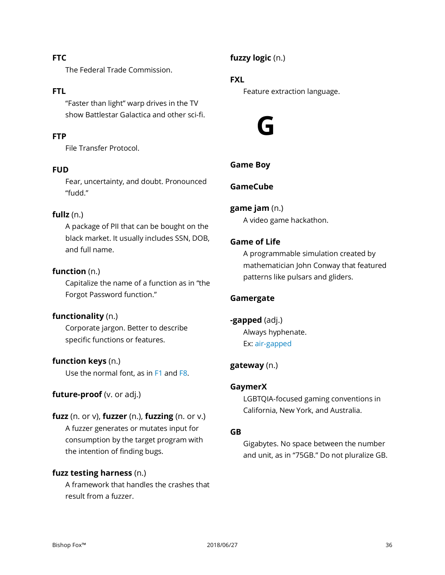# **FTC**

The Federal Trade Commission.

#### **FTL**

"Faster than light" warp drives in the TV show Battlestar Galactica and other sci-fi.

# **FTP**

File Transfer Protocol.

#### **FUD**

Fear, uncertainty, and doubt. Pronounced "fudd."

#### **fullz** (n.)

A package of PII that can be bought on the black market. It usually includes SSN, DOB, and full name.

# **function** (n.)

Capitalize the name of a function as in "the Forgot Password function."

#### **functionality** (n.)

Corporate jargon. Better to describe specific functions or features.

#### **function keys** (n.)

Use the normal font, as in F1 and F8.

# **future-proof** (v. or adj.)

# **fuzz** (n. or v), **fuzzer** (n.), **fuzzing** (n. or v.)

A fuzzer generates or mutates input for consumption by the target program with the intention of finding bugs.

# **fuzz testing harness** (n.)

A framework that handles the crashes that result from a fuzzer.

**fuzzy logic** (n.)

# **FXL**

Feature extraction language.



# **Game Boy**

#### **GameCube**

**game jam** (n.) A video game hackathon.

#### **Game of Life**

A programmable simulation created by mathematician John Conway that featured patterns like pulsars and gliders.

#### **Gamergate**

**-gapped** (adj.) Always hyphenate. Ex: air-gapped

#### **gateway** (n.)

#### **GaymerX**

LGBTQIA-focused gaming conventions in California, New York, and Australia.

#### **GB**

Gigabytes. No space between the number and unit, as in "75GB." Do not pluralize GB.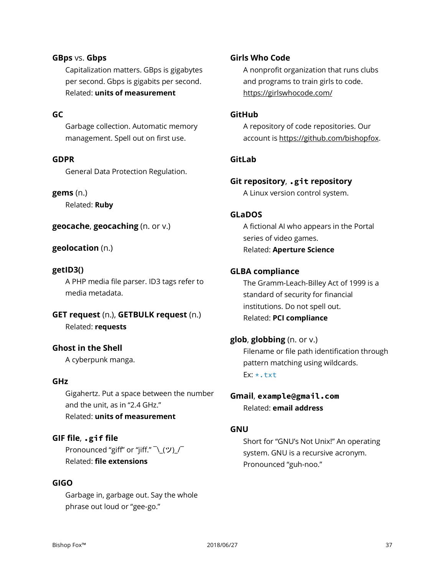## **GBps** vs. **Gbps**

Capitalization matters. GBps is gigabytes per second. Gbps is gigabits per second. Related: **units of measurement**

## **GC**

Garbage collection. Automatic memory management. Spell out on first use.

#### **GDPR**

General Data Protection Regulation.

#### **gems** (n.)

Related: **Ruby**

**geocache**, **geocaching** (n. or v.)

#### **geolocation** (n.)

#### **getID3()**

A PHP media file parser. ID3 tags refer to media metadata.

## **GET request** (n.), **GETBULK request** (n.) Related: **requests**

## **Ghost in the Shell**

A cyberpunk manga.

#### **GHz**

Gigahertz. Put a space between the number and the unit, as in "2.4 GHz." Related: **units of measurement**

## **GIF file**, **.gif file**

Pronounced "giff" or "jiff." \ (ツ)  $\Gamma$ Related: **file extensions**

#### **GIGO**

Garbage in, garbage out. Say the whole phrase out loud or "gee-go."

### **Girls Who Code**

A nonprofit organization that runs clubs and programs to train girls to code. https://girlswhocode.com/

## **GitHub**

A repository of code repositories. Our account is https://github.com/bishopfox.

#### **GitLab**

**Git repository**, **.git repository** A Linux version control system.

#### **GLaDOS**

A fictional AI who appears in the Portal series of video games. Related: **Aperture Science**

#### **GLBA compliance**

The Gramm-Leach-Billey Act of 1999 is a standard of security for financial institutions. Do not spell out. Related: **PCI compliance**

## **glob**, **globbing** (n. or v.)

Filename or file path identification through pattern matching using wildcards.  $Ex: \star$ .txt

**Gmail**, **example@gmail.com** Related: **email address**

## **GNU**

Short for "GNU's Not Unix!" An operating system. GNU is a recursive acronym. Pronounced "guh-noo."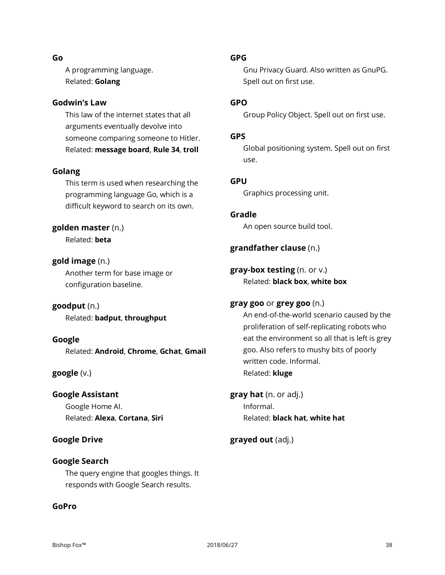#### **Go**

A programming language. Related: **Golang**

## **Godwin's Law**

This law of the internet states that all arguments eventually devolve into someone comparing someone to Hitler. Related: **message board**, **Rule 34**, **troll**

## **Golang**

This term is used when researching the programming language Go, which is a difficult keyword to search on its own.

## **golden master** (n.)

Related: **beta**

## **gold image** (n.)

Another term for base image or configuration baseline.

**goodput** (n.) Related: **badput**, **throughput**

**Google** Related: **Android**, **Chrome**, **Gchat**, **Gmail**

**google** (v.)

**Google Assistant** Google Home AI. Related: **Alexa**, **Cortana**, **Siri**

## **Google Drive**

## **Google Search**

The query engine that googles things. It responds with Google Search results.

## **GoPro**

## **GPG**

Gnu Privacy Guard. Also written as GnuPG. Spell out on first use.

## **GPO**

Group Policy Object. Spell out on first use.

### **GPS**

Global positioning system. Spell out on first use.

## **GPU**

Graphics processing unit.

**Gradle**

An open source build tool.

## **grandfather clause** (n.)

**gray-box testing** (n. or v.) Related: **black box**, **white box**

## **gray goo** or **grey goo** (n.)

An end-of-the-world scenario caused by the proliferation of self-replicating robots who eat the environment so all that is left is grey goo. Also refers to mushy bits of poorly written code. Informal. Related: **kluge**

**gray hat** (n. or adj.) Informal. Related: **black hat**, **white hat**

## **grayed out** (adj.)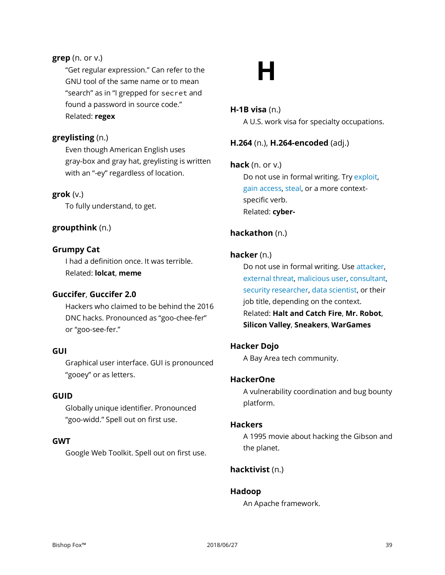## **grep** (n. or v.)

"Get regular expression." Can refer to the GNU tool of the same name or to mean "search" as in "I grepped for secret and found a password in source code." Related: **regex**

## **greylisting** (n.)

Even though American English uses gray-box and gray hat, greylisting is written with an "-ey" regardless of location.

## **grok** (v.)

To fully understand, to get.

## **groupthink** (n.)

## **Grumpy Cat**

I had a definition once. It was terrible. Related: **lolcat**, **meme**

#### **Guccifer**, **Guccifer 2.0**

Hackers who claimed to be behind the 2016 DNC hacks. Pronounced as "goo-chee-fer" or "goo-see-fer."

## **GUI**

Graphical user interface. GUI is pronounced "gooey" or as letters.

### **GUID**

Globally unique identifier. Pronounced "goo-widd." Spell out on first use.

## **GWT**

Google Web Toolkit. Spell out on first use.

# **H**

## **H-1B visa** (n.)

A U.S. work visa for specialty occupations.

## **H.264** (n.), **H.264-encoded** (adj.)

## **hack** (n. or v.)

Do not use in formal writing. Try exploit, gain access, steal, or a more contextspecific verb. Related: **cyber-**

## **hackathon** (n.)

#### **hacker** (n.)

Do not use in formal writing. Use attacker, external threat, malicious user, consultant, security researcher, data scientist, or their job title, depending on the context. Related: **Halt and Catch Fire**, **Mr. Robot**, **Silicon Valley**, **Sneakers**, **WarGames**

## **Hacker Dojo**

A Bay Area tech community.

## **HackerOne**

A vulnerability coordination and bug bounty platform.

#### **Hackers**

A 1995 movie about hacking the Gibson and the planet.

## **hacktivist** (n.)

## **Hadoop**

An Apache framework.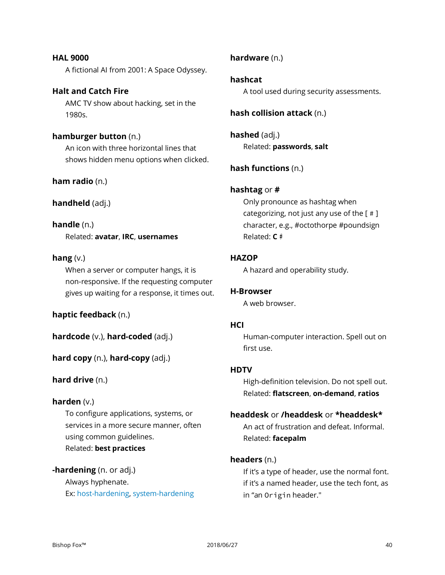**HAL 9000** A fictional AI from 2001: A Space Odyssey.

## **Halt and Catch Fire** AMC TV show about hacking, set in the 1980s.

**hamburger button** (n.) An icon with three horizontal lines that shows hidden menu options when clicked.

**ham radio** (n.)

**handheld** (adj.)

## **handle** (n.)

Related: **avatar**, **IRC**, **usernames**

## **hang** (v.)

When a server or computer hangs, it is non-responsive. If the requesting computer gives up waiting for a response, it times out.

**haptic feedback** (n.)

**hardcode** (v.), **hard-coded** (adj.)

**hard copy** (n.), **hard-copy** (adj.)

## **hard drive** (n.)

## **harden** (v.)

To configure applications, systems, or services in a more secure manner, often using common guidelines. Related: **best practices**

## **-hardening** (n. or adj.)

Always hyphenate. Ex: host-hardening, system-hardening

## **hardware** (n.)

## **hashcat**

A tool used during security assessments.

## **hash collision attack** (n.)

**hashed** (adj.) Related: **passwords**, **salt**

## **hash functions** (n.)

## **hashtag** or **#**

Only pronounce as hashtag when categorizing, not just any use of the [ # ] character, e.g., #octothorpe #poundsign Related: **C♯**

## **HAZOP**

A hazard and operability study.

## **H-Browser**

A web browser.

## **HCI**

Human-computer interaction. Spell out on first use.

## **HDTV**

High-definition television. Do not spell out. Related: **flatscreen**, **on-demand**, **ratios**

## **headdesk** or **/headdesk** or **\*headdesk\***

An act of frustration and defeat. Informal. Related: **facepalm**

## **headers** (n.)

If it's a type of header, use the normal font. if it's a named header, use the tech font, as in "an Origin header."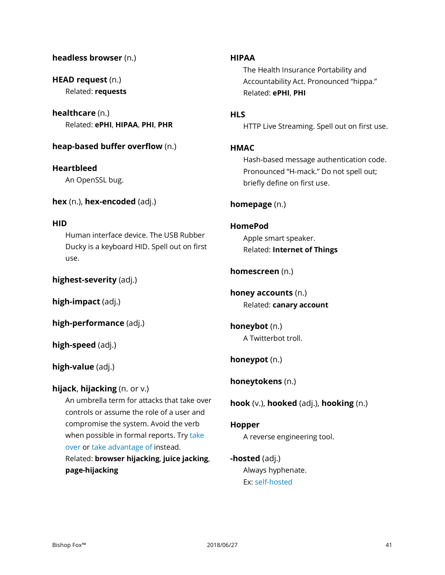## **headless browser** (n.)

**HEAD request** (n.) Related: **requests**

**healthcare** (n.) Related: **ePHI**, **HIPAA**, **PHI**, **PHR**

## **heap-based buffer overflow** (n.)

## **Heartbleed**

An OpenSSL bug.

**hex** (n.), **hex-encoded** (adj.)

#### **HID**

Human interface device. The USB Rubber Ducky is a keyboard HID. Spell out on first use.

**highest-severity** (adj.)

**high-impact** (adj.)

**high-performance** (adj.)

**high-speed** (adj.)

## **high-value** (adj.)

## **hijack**, **hijacking** (n. or v.)

An umbrella term for attacks that take over controls or assume the role of a user and compromise the system. Avoid the verb when possible in formal reports. Try take over or take advantage of instead. Related: **browser hijacking**, **juice jacking**,

**page-hijacking**

## **HIPAA**

The Health Insurance Portability and Accountability Act. Pronounced "hippa." Related: **ePHI**, **PHI**

## **HLS**

HTTP Live Streaming. Spell out on first use.

## **HMAC**

Hash-based message authentication code. Pronounced "H-mack." Do not spell out; briefly define on first use.

## **homepage** (n.)

## **HomePod**

Apple smart speaker. Related: **Internet of Things**

## **homescreen** (n.)

**honey accounts** (n.) Related: **canary account**

**honeybot** (n.) A Twitterbot troll.

**honeypot** (n.)

**honeytokens** (n.)

**hook** (v.), **hooked** (adj.), **hooking** (n.)

## **Hopper**

A reverse engineering tool.

**-hosted** (adj.) Always hyphenate. Ex: self-hosted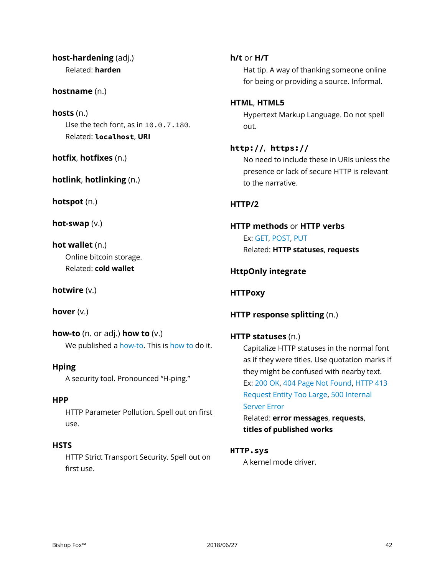**host-hardening** (adj.) Related: **harden**

#### **hostname** (n.)

**hosts** (n.) Use the tech font, as in 10.0.7.180. Related: **localhost**, **URI**

**hotfix**, **hotfixes** (n.)

**hotlink**, **hotlinking** (n.)

**hotspot** (n.)

**hot-swap** (v.)

**hot wallet** (n.) Online bitcoin storage. Related: **cold wallet**

**hotwire** (v.)

**hover** (v.)

**how-to** (n. or adj.) **how to** (v.) We published a how-to. This is how to do it.

#### **Hping**

A security tool. Pronounced "H-ping."

## **HPP**

HTTP Parameter Pollution. Spell out on first use.

## **HSTS**

HTTP Strict Transport Security. Spell out on first use.

#### **h/t** or **H/T**

Hat tip. A way of thanking someone online for being or providing a source. Informal.

### **HTML**, **HTML5**

Hypertext Markup Language. Do not spell out.

## **http://**, **https://**

No need to include these in URIs unless the presence or lack of secure HTTP is relevant to the narrative.

## **HTTP/2**

## **HTTP methods** or **HTTP verbs** Ex: GET, POST, PUT Related: **HTTP statuses**, **requests**

**HttpOnly integrate**

**HTTPoxy**

## **HTTP response splitting** (n.)

## **HTTP statuses** (n.)

Capitalize HTTP statuses in the normal font as if they were titles. Use quotation marks if they might be confused with nearby text. Ex: 200 OK, 404 Page Not Found, HTTP 413 Request Entity Too Large, 500 Internal Server Error

Related: **error messages**, **requests**, **titles of published works**

#### **HTTP.sys**

A kernel mode driver.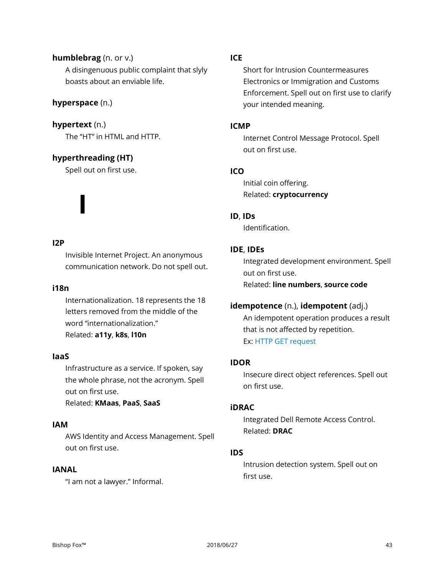## **humblebrag** (n. or v.) A disingenuous public complaint that slyly boasts about an enviable life.

## **hyperspace** (n.)

**hypertext** (n.) The "HT" in HTML and HTTP.

## **hyperthreading (HT)**

**I**

Spell out on first use.

## **I2P**

Invisible Internet Project. An anonymous communication network. Do not spell out.

## **i18n**

Internationalization. 18 represents the 18 letters removed from the middle of the word "internationalization." Related: **a11y**, **k8s**, **l10n**

## **IaaS**

Infrastructure as a service. If spoken, say the whole phrase, not the acronym. Spell out on first use. Related: **KMaas**, **PaaS**, **SaaS**

#### **IAM**

AWS Identity and Access Management. Spell out on first use.

## **IANAL**

"I am not a lawyer." Informal.

## **ICE**

Short for Intrusion Countermeasures Electronics or Immigration and Customs Enforcement. Spell out on first use to clarify your intended meaning.

### **ICMP**

Internet Control Message Protocol. Spell out on first use.

## **ICO**

Initial coin offering. Related: **cryptocurrency**

#### **ID**, **IDs**

Identification.

## **IDE**, **IDEs**

Integrated development environment. Spell out on first use. Related: **line numbers**, **source code**

## **idempotence** (n.), **idempotent** (adj.)

An idempotent operation produces a result that is not affected by repetition. Ex: HTTP GET request

## **IDOR**

Insecure direct object references. Spell out on first use.

## **iDRAC**

Integrated Dell Remote Access Control. Related: **DRAC**

## **IDS**

Intrusion detection system. Spell out on first use.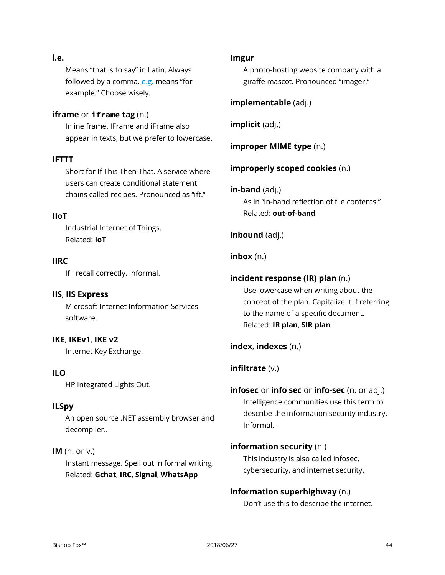#### **i.e.**

Means "that is to say" in Latin. Always followed by a comma.  $e.g.$  means "for example." Choose wisely.

## **iframe** or **iframe tag** (n.)

Inline frame. IFrame and iFrame also appear in texts, but we prefer to lowercase.

## **IFTTT**

Short for If This Then That. A service where users can create conditional statement chains called recipes. Pronounced as "ift."

## **IIoT**

Industrial Internet of Things. Related: **IoT**

## **IIRC**

If I recall correctly. Informal.

## **IIS**, **IIS Express** Microsoft Internet Information Services software.

## **IKE**, **IKEv1**, **IKE v2**

Internet Key Exchange.

## **iLO**

HP Integrated Lights Out.

## **ILSpy**

An open source .NET assembly browser and decompiler..

## **IM** (n. or v.)

Instant message. Spell out in formal writing. Related: **Gchat**, **IRC**, **Signal**, **WhatsApp**

#### **Imgur**

A photo-hosting website company with a giraffe mascot. Pronounced "imager."

## **implementable** (adj.)

**implicit** (adj.)

**improper MIME type** (n.)

## **improperly scoped cookies** (n.)

## **in-band** (adj.)

As in "in-band reflection of file contents." Related: **out-of-band**

## **inbound** (adj.)

## **inbox** (n.)

## **incident response (IR) plan** (n.)

Use lowercase when writing about the concept of the plan. Capitalize it if referring to the name of a specific document. Related: **IR plan**, **SIR plan**

## **index**, **indexes** (n.)

## **infiltrate** (v.)

## **infosec** or **info sec** or **info-sec** (n. or adj.) Intelligence communities use this term to describe the information security industry. Informal.

## **information security** (n.) This industry is also called infosec, cybersecurity, and internet security.

## **information superhighway** (n.) Don't use this to describe the internet.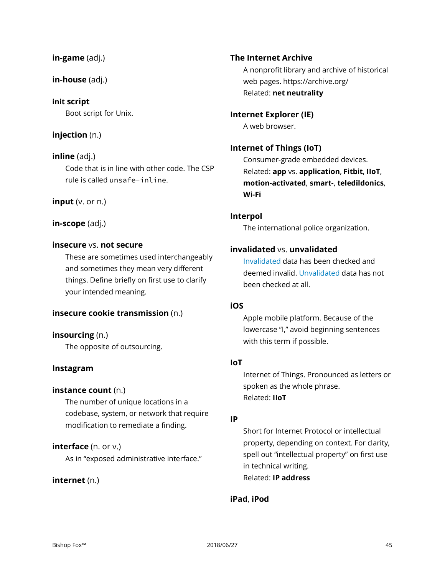#### **in-game** (adj.)

**in-house** (adj.)

## **init script**

Boot script for Unix.

## **injection** (n.)

**inline** (adj.) Code that is in line with other code. The CSP rule is called unsafe-inline.

## **input** (v. or n.)

## **in-scope** (adj.)

## **insecure** vs. **not secure**

These are sometimes used interchangeably and sometimes they mean very different things. Define briefly on first use to clarify your intended meaning.

## **insecure cookie transmission** (n.)

## **insourcing** (n.)

The opposite of outsourcing.

## **Instagram**

## **instance count** (n.)

The number of unique locations in a codebase, system, or network that require modification to remediate a finding.

## **interface** (n. or v.)

As in "exposed administrative interface."

## **internet** (n.)

**The Internet Archive** A nonprofit library and archive of historical web pages. https://archive.org/ Related: **net neutrality**

**Internet Explorer (IE)** A web browser.

## **Internet of Things (IoT)**

Consumer-grade embedded devices. Related: **app** vs. **application**, **Fitbit**, **IIoT**, **motion-activated**, **smart-**, **teledildonics**, **Wi-Fi**

## **Interpol**

The international police organization.

## **invalidated** vs. **unvalidated**

Invalidated data has been checked and deemed invalid. Unvalidated data has not been checked at all.

## **iOS**

Apple mobile platform. Because of the lowercase "I," avoid beginning sentences with this term if possible.

## **IoT**

Internet of Things. Pronounced as letters or spoken as the whole phrase. Related: **IIoT**

## **IP**

Short for Internet Protocol or intellectual property, depending on context. For clarity, spell out "intellectual property" on first use in technical writing. Related: **IP address**

## **iPad**, **iPod**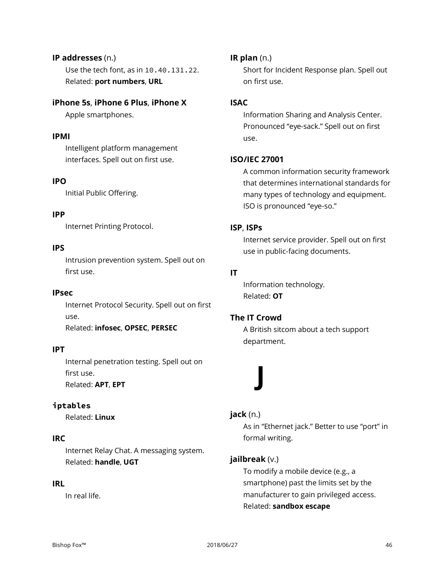## **IP addresses** (n.)

Use the tech font, as in 10.40.131.22. Related: **port numbers**, **URL**

## **iPhone 5s**, **iPhone 6 Plus**, **iPhone X**

Apple smartphones.

## **IPMI**

Intelligent platform management interfaces. Spell out on first use.

## **IPO**

Initial Public Offering.

## **IPP**

Internet Printing Protocol.

## **IPS**

Intrusion prevention system. Spell out on first use.

## **IPsec**

Internet Protocol Security. Spell out on first use. Related: **infosec**, **OPSEC**, **PERSEC**

## **IPT**

Internal penetration testing. Spell out on first use. Related: **APT**, **EPT**

## **iptables**

Related: **Linux**

## **IRC**

Internet Relay Chat. A messaging system. Related: **handle**, **UGT**

## **IRL**

In real life.

## **IR plan** (n.)

Short for Incident Response plan. Spell out on first use.

## **ISAC**

Information Sharing and Analysis Center. Pronounced "eye-sack." Spell out on first use.

## **ISO/IEC 27001**

A common information security framework that determines international standards for many types of technology and equipment. ISO is pronounced "eye-so."

## **ISP**, **ISPs**

Internet service provider. Spell out on first use in public-facing documents.

## **IT**

Information technology. Related: **OT**

## **The IT Crowd**

A British sitcom about a tech support department.

# **J**

## **jack** (n.)

As in "Ethernet jack." Better to use "port" in formal writing.

## **jailbreak** (v.)

To modify a mobile device (e.g., a smartphone) past the limits set by the manufacturer to gain privileged access. Related: **sandbox escape**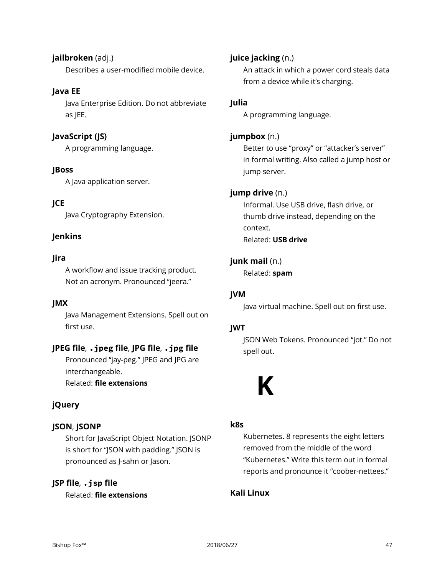**jailbroken** (adj.) Describes a user-modified mobile device.

## **Java EE**

Java Enterprise Edition. Do not abbreviate as JEE.

## **JavaScript (JS)**

A programming language.

## **JBoss**

A Java application server.

## **JCE**

Java Cryptography Extension.

## **Jenkins**

## **Jira**

A workflow and issue tracking product. Not an acronym. Pronounced "jeera."

## **JMX**

Java Management Extensions. Spell out on first use.

## **JPEG file**, **.jpeg file**, **JPG file**, **.jpg file**

Pronounced "jay-peg." JPEG and JPG are interchangeable.

Related: **file extensions**

## **jQuery**

## **JSON**, **JSONP**

Short for JavaScript Object Notation. JSONP is short for "JSON with padding." JSON is pronounced as J-sahn or Jason.

## **JSP file**, **.jsp file**

Related: **file extensions**

## **juice jacking** (n.)

An attack in which a power cord steals data from a device while it's charging.

## **Julia**

A programming language.

## **jumpbox** (n.)

Better to use "proxy" or "attacker's server" in formal writing. Also called a jump host or jump server.

## **jump drive** (n.)

Informal. Use USB drive, flash drive, or thumb drive instead, depending on the context. Related: **USB drive**

## **junk mail** (n.)

Related: **spam**

## **JVM**

Java virtual machine. Spell out on first use.

## **JWT**

JSON Web Tokens. Pronounced "jot." Do not spell out.



## **k8s**

Kubernetes. 8 represents the eight letters removed from the middle of the word "Kubernetes." Write this term out in formal reports and pronounce it "coober-nettees."

## **Kali Linux**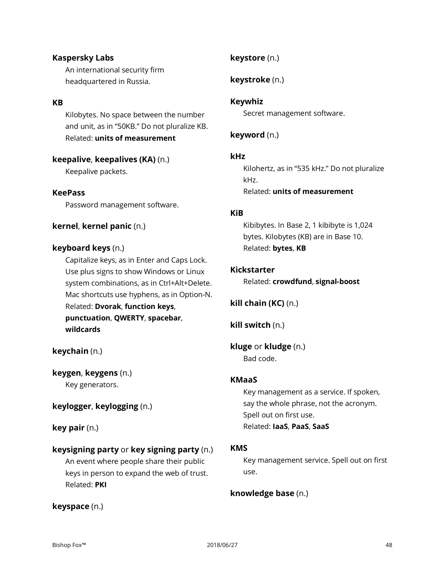## **Kaspersky Labs**

An international security firm headquartered in Russia.

### **KB**

Kilobytes. No space between the number and unit, as in "50KB." Do not pluralize KB. Related: **units of measurement**

## **keepalive**, **keepalives (KA)** (n.)

Keepalive packets.

#### **KeePass**

Password management software.

## **kernel**, **kernel panic** (n.)

#### **keyboard keys** (n.)

Capitalize keys, as in Enter and Caps Lock. Use plus signs to show Windows or Linux system combinations, as in Ctrl+Alt+Delete. Mac shortcuts use hyphens, as in Option-N. Related: **Dvorak**, **function keys**, **punctuation**, **QWERTY**, **spacebar**, **wildcards**

## **keychain** (n.)

**keygen**, **keygens** (n.) Key generators.

## **keylogger**, **keylogging** (n.)

**key pair** (n.)

## **keysigning party** or **key signing party** (n.)

An event where people share their public keys in person to expand the web of trust. Related: **PKI**

## **keyspace** (n.)

## **keystore** (n.)

**keystroke** (n.)

## **Keywhiz**

Secret management software.

## **keyword** (n.)

## **kHz**

Kilohertz, as in "535 kHz." Do not pluralize kHz. Related: **units of measurement**

#### **KiB**

Kibibytes. In Base 2, 1 kibibyte is 1,024 bytes. Kilobytes (KB) are in Base 10. Related: **bytes**, **KB**

#### **Kickstarter**

Related: **crowdfund**, **signal-boost**

**kill chain (KC)** (n.)

**kill switch** (n.)

**kluge** or **kludge** (n.) Bad code.

## **KMaaS**

Key management as a service. If spoken, say the whole phrase, not the acronym. Spell out on first use. Related: **IaaS**, **PaaS**, **SaaS**

#### **KMS**

Key management service. Spell out on first use.

## **knowledge base** (n.)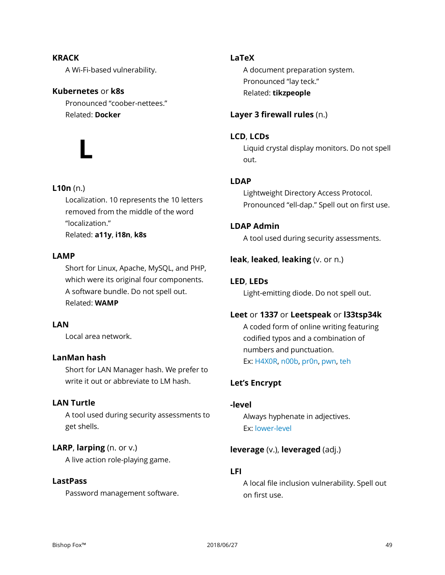## **KRACK** A Wi-Fi-based vulnerability.

## **Kubernetes** or **k8s**

Pronounced "coober-nettees." Related: **Docker**

**L**

## **L10n** (n.)

Localization. 10 represents the 10 letters removed from the middle of the word "localization." Related: **a11y**, **i18n**, **k8s**

## **LAMP**

Short for Linux, Apache, MySQL, and PHP, which were its original four components. A software bundle. Do not spell out. Related: **WAMP**

## **LAN**

Local area network.

## **LanMan hash**

Short for LAN Manager hash. We prefer to write it out or abbreviate to LM hash.

## **LAN Turtle**

A tool used during security assessments to get shells.

## **LARP**, **larping** (n. or v.)

A live action role-playing game.

## **LastPass**

Password management software.

## **LaTeX**

A document preparation system. Pronounced "lay teck." Related: **tikzpeople**

## **Layer 3 firewall rules** (n.)

## **LCD**, **LCDs**

Liquid crystal display monitors. Do not spell out.

## **LDAP**

Lightweight Directory Access Protocol. Pronounced "ell-dap." Spell out on first use.

## **LDAP Admin**

A tool used during security assessments.

## **leak**, **leaked**, **leaking** (v. or n.)

## **LED**, **LEDs**

Light-emitting diode. Do not spell out.

## **Leet** or **1337** or **Leetspeak** or **l33tsp34k**

A coded form of online writing featuring codified typos and a combination of numbers and punctuation. Ex: H4X0R, n00b, pr0n, pwn, teh

## **Let's Encrypt**

## **-level**

Always hyphenate in adjectives. Ex: lower-level

## **leverage** (v.), **leveraged** (adj.)

## **LFI**

A local file inclusion vulnerability. Spell out on first use.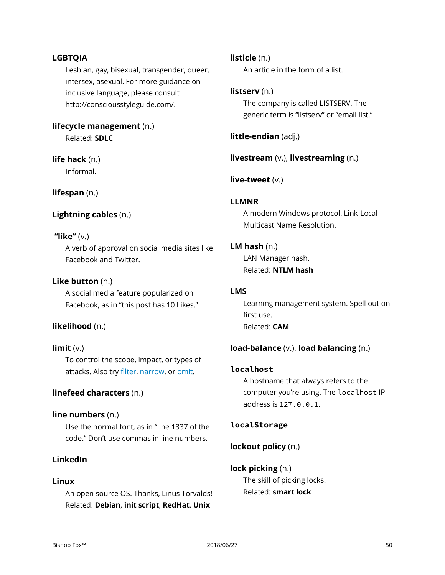## **LGBTQIA**

Lesbian, gay, bisexual, transgender, queer, intersex, asexual. For more guidance on inclusive language, please consult http://consciousstyleguide.com/.

**lifecycle management** (n.) Related: **SDLC**

**life hack** (n.)

Informal.

**lifespan** (n.)

## **Lightning cables** (n.)

## **"like"** (v.)

A verb of approval on social media sites like Facebook and Twitter.

## **Like button** (n.)

A social media feature popularized on Facebook, as in "this post has 10 Likes."

## **likelihood** (n.)

**limit** (v.) To control the scope, impact, or types of attacks. Also try filter, narrow, or omit.

## **linefeed characters** (n.)

## **line numbers** (n.)

Use the normal font, as in "line 1337 of the code." Don't use commas in line numbers.

## **LinkedIn**

## **Linux**

An open source OS. Thanks, Linus Torvalds! Related: **Debian**, **init script**, **RedHat**, **Unix**

**listicle** (n.)

An article in the form of a list.

## **listserv** (n.)

The company is called LISTSERV. The generic term is "listserv" or "email list."

**little-endian** (adj.)

**livestream** (v.), **livestreaming** (n.)

**live-tweet** (v.)

## **LLMNR**

A modern Windows protocol. Link-Local Multicast Name Resolution.

## **LM hash** (n.)

LAN Manager hash. Related: **NTLM hash**

## **LMS**

Learning management system. Spell out on first use. Related: **CAM**

## **load-balance** (v.), **load balancing** (n.)

## **localhost**

A hostname that always refers to the computer you're using. The localhost IP address is 127.0.0.1.

## **localStorage**

## **lockout policy** (n.)

## **lock picking** (n.)

The skill of picking locks. Related: **smart lock**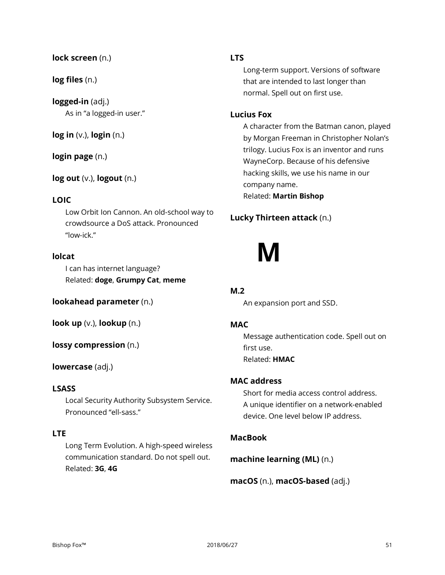## **lock screen** (n.)

## **log files** (n.)

**logged-in** (adj.) As in "a logged-in user."

**log in** (v.), **login** (n.)

**login page** (n.)

**log out** (v.), **logout** (n.)

## **LOIC**

Low Orbit Ion Cannon. An old-school way to crowdsource a DoS attack. Pronounced "low-ick."

## **lolcat**

I can has internet language? Related: **doge**, **Grumpy Cat**, **meme**

**lookahead parameter** (n.)

**look up** (v.), **lookup** (n.)

**lossy compression** (n.)

## **lowercase** (adj.)

#### **LSASS**

Local Security Authority Subsystem Service. Pronounced "ell-sass."

## **LTE**

Long Term Evolution. A high-speed wireless communication standard. Do not spell out. Related: **3G**, **4G**

## **LTS**

Long-term support. Versions of software that are intended to last longer than normal. Spell out on first use.

#### **Lucius Fox**

A character from the Batman canon, played by Morgan Freeman in Christopher Nolan's trilogy. Lucius Fox is an inventor and runs WayneCorp. Because of his defensive hacking skills, we use his name in our company name. Related: **Martin Bishop**

## **Lucky Thirteen attack** (n.)

## **M**

## **M.2**

An expansion port and SSD.

### **MAC**

Message authentication code. Spell out on first use. Related: **HMAC**

## **MAC address**

Short for media access control address. A unique identifier on a network-enabled device. One level below IP address.

## **MacBook**

**machine learning (ML)** (n.)

**macOS** (n.), **macOS-based** (adj.)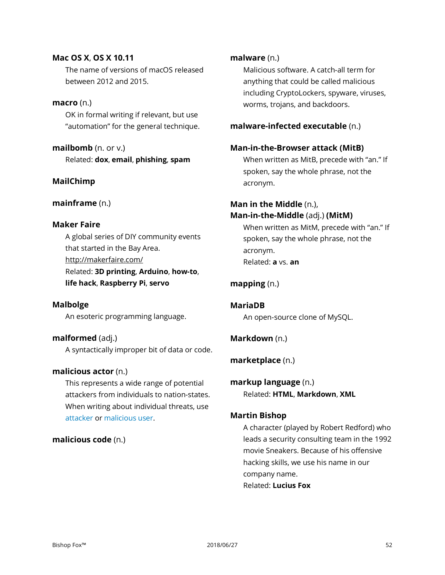## **Mac OS X**, **OS X 10.11**

The name of versions of macOS released between 2012 and 2015.

## **macro** (n.)

OK in formal writing if relevant, but use "automation" for the general technique.

**mailbomb** (n. or v.) Related: **dox**, **email**, **phishing**, **spam**

## **MailChimp**

## **mainframe** (n.)

## **Maker Faire**

A global series of DIY community events that started in the Bay Area. <http://makerfaire.com/> Related: **3D printing**, **Arduino**, **how-to**, **life hack**, **Raspberry Pi**, **servo**

## **Malbolge**

An esoteric programming language.

**malformed** (adj.) A syntactically improper bit of data or code.

## **malicious actor** (n.)

This represents a wide range of potential attackers from individuals to nation-states. When writing about individual threats, use attacker or malicious user.

## **malicious code** (n.)

## **malware** (n.)

Malicious software. A catch-all term for anything that could be called malicious including CryptoLockers, spyware, viruses, worms, trojans, and backdoors.

## **malware-infected executable** (n.)

## **Man-in-the-Browser attack (MitB)**

When written as MitB, precede with "an." If spoken, say the whole phrase, not the acronym.

## **Man in the Middle** (n.), **Man-in-the-Middle** (adj.) **(MitM)**

When written as MitM, precede with "an." If spoken, say the whole phrase, not the acronym. Related: **a** vs. **an**

## **mapping** (n.)

**MariaDB** An open-source clone of MySQL.

## **Markdown** (n.)

**marketplace** (n.)

**markup language** (n.) Related: **HTML**, **Markdown**, **XML**

## **Martin Bishop**

A character (played by Robert Redford) who leads a security consulting team in the 1992 movie Sneakers. Because of his offensive hacking skills, we use his name in our company name. Related: **Lucius Fox**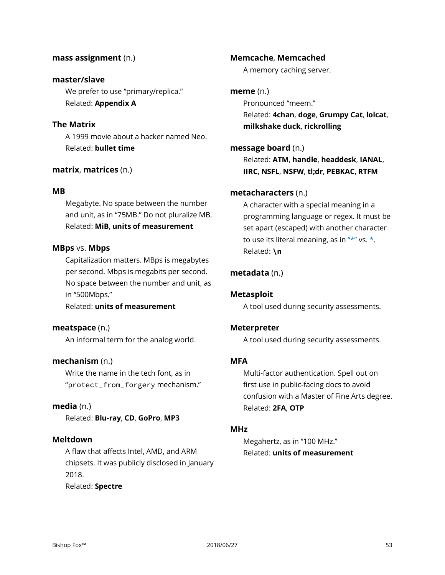#### **mass assignment** (n.)

#### **master/slave**

We prefer to use "primary/replica." Related: **Appendix A**

## **The Matrix**

A 1999 movie about a hacker named Neo. Related: **bullet time**

#### **matrix**, **matrices** (n.)

#### **MB**

Megabyte. No space between the number and unit, as in "75MB." Do not pluralize MB. Related: **MiB**, **units of measurement**

#### **MBps** vs. **Mbps**

Capitalization matters. MBps is megabytes per second. Mbps is megabits per second. No space between the number and unit, as in "500Mbps."

#### Related: **units of measurement**

**meatspace** (n.)

An informal term for the analog world.

#### **mechanism** (n.)

Write the name in the tech font, as in "protect from forgery mechanism."

#### **media** (n.)

Related: **Blu-ray**, **CD**, **GoPro**, **MP3**

#### **Meltdown**

A flaw that affects Intel, AMD, and ARM chipsets. It was publicly disclosed in January 2018. Related: **Spectre**

#### **Memcache**, **Memcached**

A memory caching server.

#### **meme** (n.)

Pronounced "meem." Related: **4chan**, **doge**, **Grumpy Cat**, **lolcat**, **milkshake duck**, **rickrolling**

## **message board** (n.)

Related: **ATM**, **handle**, **headdesk**, **IANAL**, **IIRC**, **NSFL**, **NSFW**, **tl;dr**, **PEBKAC**, **RTFM**

#### **metacharacters** (n.)

A character with a special meaning in a programming language or regex. It must be set apart (escaped) with another character to use its literal meaning, as in  $"**"$  vs.  $*$ . Related: **\n**

## **metadata** (n.)

#### **Metasploit**

A tool used during security assessments.

#### **Meterpreter**

A tool used during security assessments.

## **MFA**

Multi-factor authentication. Spell out on first use in public-facing docs to avoid confusion with a Master of Fine Arts degree. Related: **2FA**, **OTP**

#### **MHz**

Megahertz, as in "100 MHz." Related: **units of measurement**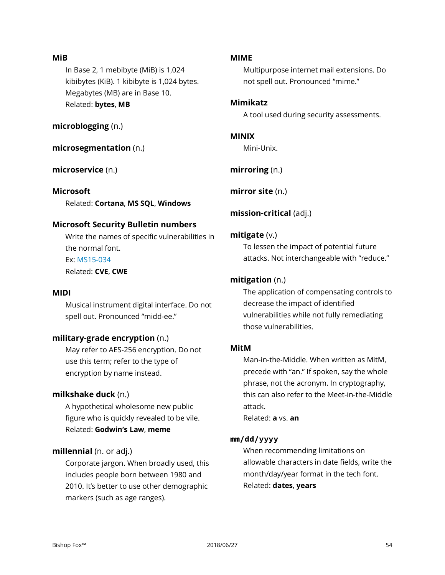### **MiB**

In Base 2, 1 mebibyte (MiB) is 1,024 kibibytes (KiB). 1 kibibyte is 1,024 bytes. Megabytes (MB) are in Base 10. Related: **bytes**, **MB**

**microblogging** (n.)

## **microsegmentation** (n.)

## **microservice** (n.)

## **Microsoft**

Related: **Cortana**, **MS SQL**, **Windows**

## **Microsoft Security Bulletin numbers**

Write the names of specific vulnerabilities in the normal font. Ex: MS15-034 Related: **CVE**, **CWE**

## **MIDI**

Musical instrument digital interface. Do not spell out. Pronounced "midd-ee."

## **military-grade encryption** (n.)

May refer to AES-256 encryption. Do not use this term; refer to the type of encryption by name instead.

## **milkshake duck** (n.)

A hypothetical wholesome new public figure who is quickly revealed to be vile. Related: **Godwin's Law**, **meme**

## **millennial** (n. or adj.)

Corporate jargon. When broadly used, this includes people born between 1980 and 2010. It's better to use other demographic markers (such as age ranges).

#### **MIME**

Multipurpose internet mail extensions. Do not spell out. Pronounced "mime."

### **Mimikatz**

A tool used during security assessments.

#### **MINIX**

Mini-Unix.

**mirroring** (n.)

**mirror site** (n.)

## **mission-critical** (adj.)

## **mitigate** (v.)

To lessen the impact of potential future attacks. Not interchangeable with "reduce."

## **mitigation** (n.)

The application of compensating controls to decrease the impact of identified vulnerabilities while not fully remediating those vulnerabilities.

## **MitM**

Man-in-the-Middle. When written as MitM, precede with "an." If spoken, say the whole phrase, not the acronym. In cryptography, this can also refer to the Meet-in-the-Middle attack.

Related: **a** vs. **an**

## **mm/dd/yyyy**

When recommending limitations on allowable characters in date fields, write the month/day/year format in the tech font. Related: **dates**, **years**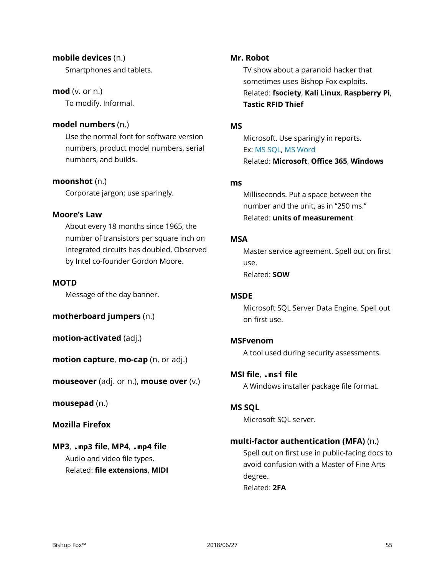## **mobile devices** (n.)

Smartphones and tablets.

## **mod** (v. or n.)

To modify. Informal.

## **model numbers** (n.)

Use the normal font for software version numbers, product model numbers, serial numbers, and builds.

## **moonshot** (n.)

Corporate jargon; use sparingly.

## **Moore's Law**

About every 18 months since 1965, the number of transistors per square inch on integrated circuits has doubled. Observed by Intel co-founder Gordon Moore.

## **MOTD**

Message of the day banner.

**motherboard jumpers** (n.)

**motion-activated** (adj.)

**motion capture**, **mo-cap** (n. or adj.)

**mouseover** (adj. or n.), **mouse over** (v.)

**mousepad** (n.)

## **Mozilla Firefox**

## **MP3**, **.mp3 file**, **MP4**, **.mp4 file** Audio and video file types. Related: **file extensions**, **MIDI**

## **Mr. Robot**

TV show about a paranoid hacker that sometimes uses Bishop Fox exploits. Related: **fsociety**, **Kali Linux**, **Raspberry Pi**, **Tastic RFID Thief**

## **MS**

Microsoft. Use sparingly in reports. Ex: MS SQL, MS Word Related: **Microsoft**, **Office 365**, **Windows**

## **ms**

Milliseconds. Put a space between the number and the unit, as in "250 ms." Related: **units of measurement**

## **MSA**

Master service agreement. Spell out on first use. Related: **SOW**

## **MSDE**

Microsoft SQL Server Data Engine. Spell out on first use.

## **MSFvenom**

A tool used during security assessments.

## **MSI file**, **.msi file**

A Windows installer package file format.

## **MS SQL**

Microsoft SQL server.

## **multi-factor authentication (MFA)** (n.)

Spell out on first use in public-facing docs to avoid confusion with a Master of Fine Arts degree. Related: **2FA**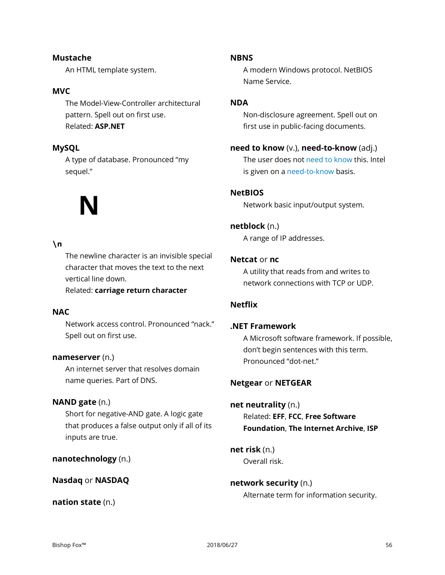#### Bishop Fox™ 2018/06/27 56

**Mustache** An HTML template system.

#### **MVC**

The Model-View-Controller architectural pattern. Spell out on first use. Related: **ASP.NET**

## **MySQL**

A type of database. Pronounced "my sequel."

## **N**

#### **\n**

The newline character is an invisible special character that moves the text to the next vertical line down.

Related: **carriage return character**

## **NAC**

Network access control. Pronounced "nack." Spell out on first use.

#### **nameserver** (n.)

An internet server that resolves domain name queries. Part of DNS.

#### **NAND gate** (n.)

Short for negative-AND gate. A logic gate that produces a false output only if all of its inputs are true.

**nanotechnology** (n.)

#### **Nasdaq** or **NASDAQ**

**nation state** (n.)

#### **NBNS**

A modern Windows protocol. NetBIOS Name Service.

#### **NDA**

Non-disclosure agreement. Spell out on first use in public-facing documents.

#### **need to know** (v.), **need-to-know** (adj.)

The user does not need to know this. Intel is given on a need-to-know basis.

#### **NetBIOS**

Network basic input/output system.

#### **netblock** (n.)

A range of IP addresses.

#### **Netcat** or **nc**

A utility that reads from and writes to network connections with TCP or UDP.

## **Netflix**

#### **.NET Framework**

A Microsoft software framework. If possible, don't begin sentences with this term. Pronounced "dot-net."

#### **Netgear** or **NETGEAR**

### **net neutrality** (n.)

Related: **EFF**, **FCC**, **Free Software Foundation**, **The Internet Archive**, **ISP**

**net risk** (n.) Overall risk.

## **network security** (n.)

Alternate term for information security.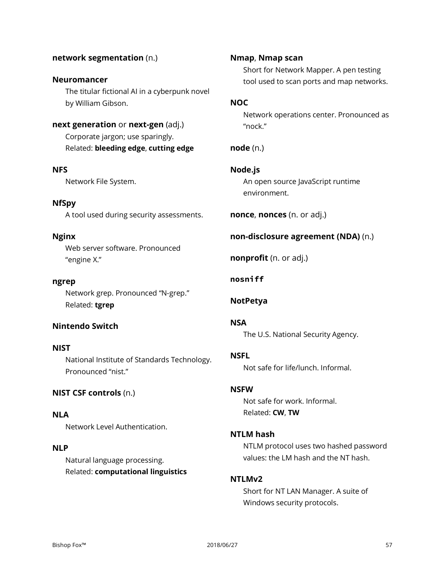#### **network segmentation** (n.)

#### **Neuromancer**

The titular fictional AI in a cyberpunk novel by William Gibson.

## **next generation** or **next-gen** (adj.)

Corporate jargon; use sparingly. Related: **bleeding edge**, **cutting edge**

#### **NFS**

Network File System.

## **NfSpy**

A tool used during security assessments.

#### **Nginx**

Web server software. Pronounced "engine X."

#### **ngrep**

Network grep. Pronounced "N-grep." Related: **tgrep**

## **Nintendo Switch**

#### **NIST**

National Institute of Standards Technology. Pronounced "nist."

#### **NIST CSF controls** (n.)

#### **NLA**

Network Level Authentication.

## **NLP**

Natural language processing. Related: **computational linguistics**

#### **Nmap**, **Nmap scan**

Short for Network Mapper. A pen testing tool used to scan ports and map networks.

#### **NOC**

Network operations center. Pronounced as "nock."

## **node** (n.)

## **Node.js**

An open source JavaScript runtime environment.

**nonce**, **nonces** (n. or adj.)

## **non-disclosure agreement (NDA)** (n.)

**nonprofit** (n. or adj.)

#### **nosniff**

#### **NotPetya**

#### **NSA**

The U.S. National Security Agency.

## **NSFL**

Not safe for life/lunch. Informal.

## **NSFW**

Not safe for work. Informal. Related: **CW**, **TW**

#### **NTLM hash**

NTLM protocol uses two hashed password values: the LM hash and the NT hash.

#### **NTLMv2**

Short for NT LAN Manager. A suite of Windows security protocols.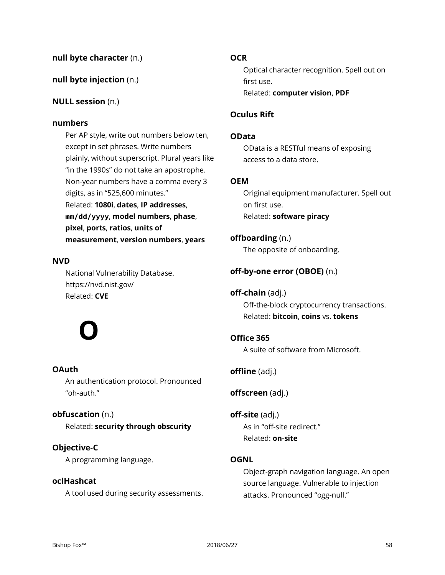## **null byte character** (n.)

## **null byte injection** (n.)

## **NULL session** (n.)

#### **numbers**

Per AP style, write out numbers below ten, except in set phrases. Write numbers plainly, without superscript. Plural years like "in the 1990s" do not take an apostrophe. Non-year numbers have a comma every 3 digits, as in "525,600 minutes." Related: **1080i**, **dates**, **IP addresses**, **mm/dd/yyyy**, **model numbers**, **phase**, **pixel**, **ports**, **ratios**, **units of measurement**, **version numbers**, **years**

## **NVD**

National Vulnerability Database. https://nvd.nist.gov/ Related: **CVE**

## **O**

## **OAuth**

An authentication protocol. Pronounced "oh-auth."

## **obfuscation** (n.)

Related: **security through obscurity**

## **Objective-C**

A programming language.

## **oclHashcat**

A tool used during security assessments.

#### **OCR**

Optical character recognition. Spell out on first use. Related: **computer vision**, **PDF**

### **Oculus Rift**

#### **OData**

OData is a RESTful means of exposing access to a data store.

#### **OEM**

Original equipment manufacturer. Spell out on first use. Related: **software piracy**

## **offboarding** (n.)

The opposite of onboarding.

## **off-by-one error (OBOE)** (n.)

## **off-chain** (adj.)

Off-the-block cryptocurrency transactions. Related: **bitcoin**, **coins** vs. **tokens**

## **Office 365**

A suite of software from Microsoft.

## **offline** (adj.)

**offscreen** (adj.)

**off-site** (adj.) As in "off-site redirect." Related: **on-site**

## **OGNL**

Object-graph navigation language. An open source language. Vulnerable to injection attacks. Pronounced "ogg-null."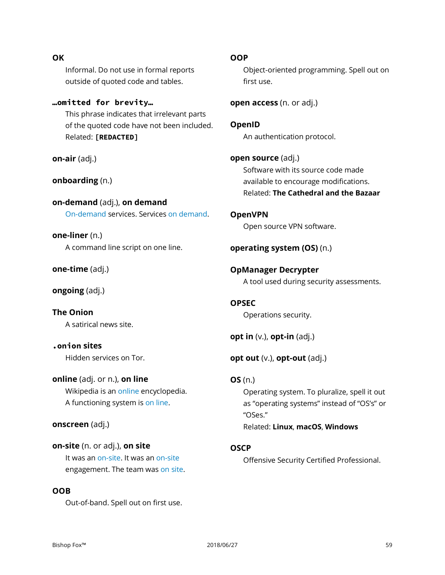## Informal. Do not use in formal reports outside of quoted code and tables.

**…omitted for brevity…** This phrase indicates that irrelevant parts of the quoted code have not been included. Related: **[REDACTED]**

**on-air** (adj.)

**OK**

**onboarding** (n.)

**on-demand** (adj.), **on demand** On-demand services. Services on demand.

**one-liner** (n.) A command line script on one line.

**one-time** (adj.)

**ongoing** (adj.)

**The Onion** A satirical news site.

**.onion sites** Hidden services on Tor.

**online** (adj. or n.), **on line** Wikipedia is an online encyclopedia. A functioning system is on line.

## **onscreen** (adj.)

**on-site** (n. or adj.), **on site** It was an on-site. It was an on-site engagement. The team was on site.

#### **OOB**

Out-of-band. Spell out on first use.

**OOP**

Object-oriented programming. Spell out on first use.

**open access** (n. or adj.)

**OpenID** An authentication protocol.

**open source** (adj.) Software with its source code made available to encourage modifications. Related: **The Cathedral and the Bazaar**

**OpenVPN** Open source VPN software.

**operating system (OS)** (n.)

**OpManager Decrypter** A tool used during security assessments.

**OPSEC** Operations security.

**opt in** (v.), **opt-in** (adj.)

**opt out** (v.), **opt-out** (adj.)

**OS** (n.) Operating system. To pluralize, spell it out as "operating systems" instead of "OS's" or "OSes." Related: **Linux**, **macOS**, **Windows**

## **OSCP**

Offensive Security Certified Professional.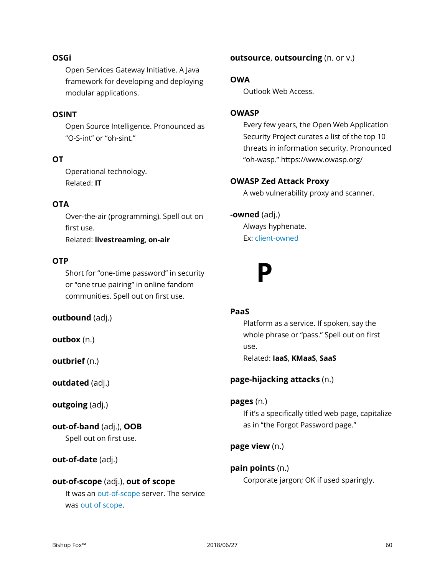#### **OSGi**

Open Services Gateway Initiative. A Java framework for developing and deploying modular applications.

## **OSINT**

Open Source Intelligence. Pronounced as "O-S-int" or "oh-sint."

## **OT**

Operational technology. Related: **IT**

#### **OTA**

Over-the-air (programming). Spell out on first use. Related: **livestreaming**, **on-air**

#### **OTP**

Short for "one-time password" in security or "one true pairing" in online fandom communities. Spell out on first use.

**outbound** (adj.)

**outbox** (n.)

**outbrief** (n.)

**outdated** (adj.)

**outgoing** (adj.)

**out-of-band** (adj.), **OOB** Spell out on first use.

**out-of-date** (adj.)

## **out-of-scope** (adj.), **out of scope** It was an out-of-scope server. The service was out of scope.

**outsource**, **outsourcing** (n. or v.)

#### **OWA**

Outlook Web Access.

## **OWASP**

Every few years, the Open Web Application Security Project curates a list of the top 10 threats in information security. Pronounced "oh-wasp." https://www.owasp.org/

#### **OWASP Zed Attack Proxy**

A web vulnerability proxy and scanner.

#### **-owned** (adj.)

Always hyphenate. Ex: client-owned



## **PaaS**

Platform as a service. If spoken, say the whole phrase or "pass." Spell out on first use.

Related: **IaaS**, **KMaaS**, **SaaS**

## **page-hijacking attacks** (n.)

**pages** (n.)

If it's a specifically titled web page, capitalize as in "the Forgot Password page."

**page view** (n.)

## **pain points** (n.)

Corporate jargon; OK if used sparingly.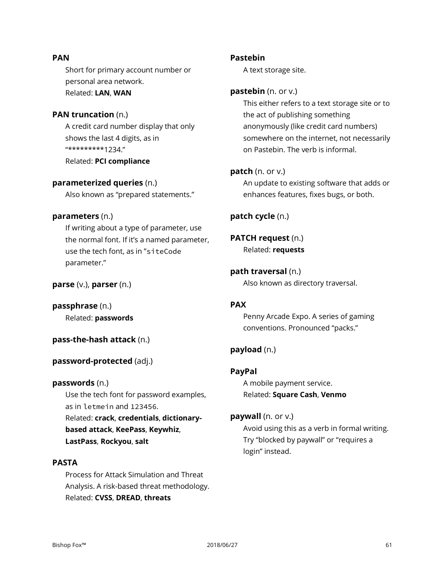### **PAN**

Short for primary account number or personal area network. Related: **LAN**, **WAN**

#### **PAN truncation** (n.)

A credit card number display that only shows the last 4 digits, as in "\*\*\*\*\*\*\*\*\*1234." Related: **PCI compliance**

## **parameterized queries** (n.)

Also known as "prepared statements."

#### **parameters** (n.)

If writing about a type of parameter, use the normal font. If it's a named parameter, use the tech font, as in "siteCode parameter."

### **parse** (v.), **parser** (n.)

**passphrase** (n.) Related: **passwords**

## **pass-the-hash attack** (n.)

## **password-protected** (adj.)

## **passwords** (n.)

Use the tech font for password examples, as in letmein and 123456.

Related: **crack**, **credentials**, **dictionarybased attack**, **KeePass**, **Keywhiz**, **LastPass**, **Rockyou**, **salt**

## **PASTA**

Process for Attack Simulation and Threat Analysis. A risk-based threat methodology. Related: **CVSS**, **DREAD**, **threats**

#### **Pastebin**

A text storage site.

## **pastebin** (n. or v.)

This either refers to a text storage site or to the act of publishing something anonymously (like credit card numbers) somewhere on the internet, not necessarily on Pastebin. The verb is informal.

#### **patch** (n. or v.)

An update to existing software that adds or enhances features, fixes bugs, or both.

## **patch cycle** (n.)

## **PATCH request** (n.)

Related: **requests**

## **path traversal** (n.)

Also known as directory traversal.

## **PAX**

Penny Arcade Expo. A series of gaming conventions. Pronounced "packs."

## **payload** (n.)

## **PayPal**

A mobile payment service. Related: **Square Cash**, **Venmo**

#### **paywall** (n. or v.)

Avoid using this as a verb in formal writing. Try "blocked by paywall" or "requires a login" instead.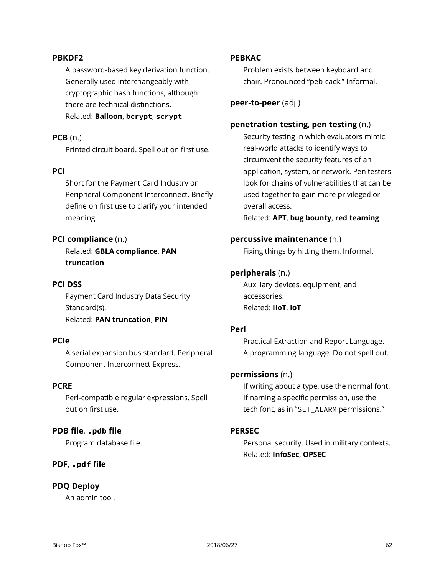### **PBKDF2**

A password-based key derivation function. Generally used interchangeably with cryptographic hash functions, although there are technical distinctions.

## Related: **Balloon**, **bcrypt**, **scrypt**

#### **PCB** (n.)

Printed circuit board. Spell out on first use.

#### **PCI**

Short for the Payment Card Industry or Peripheral Component Interconnect. Briefly define on first use to clarify your intended meaning.

#### **PCI compliance** (n.)

Related: **GBLA compliance**, **PAN truncation**

## **PCI DSS**

Payment Card Industry Data Security Standard(s). Related: **PAN truncation**, **PIN**

## **PCIe**

A serial expansion bus standard. Peripheral Component Interconnect Express.

#### **PCRE**

Perl-compatible regular expressions. Spell out on first use.

#### **PDB file**, **.pdb file**

Program database file.

#### **PDF**, **.pdf file**

#### **PDQ Deploy**

An admin tool.

#### **PEBKAC**

Problem exists between keyboard and chair. Pronounced "peb-cack." Informal.

**peer-to-peer** (adj.)

#### **penetration testing**, **pen testing** (n.)

Security testing in which evaluators mimic real-world attacks to identify ways to circumvent the security features of an application, system, or network. Pen testers look for chains of vulnerabilities that can be used together to gain more privileged or overall access.

Related: **APT**, **bug bounty**, **red teaming**

## **percussive maintenance** (n.)

Fixing things by hitting them. Informal.

## **peripherals** (n.)

Auxiliary devices, equipment, and accessories. Related: **IIoT**, **IoT**

#### **Perl**

Practical Extraction and Report Language. A programming language. Do not spell out.

#### **permissions** (n.)

If writing about a type, use the normal font. If naming a specific permission, use the tech font, as in "SET\_ALARM permissions."

#### **PERSEC**

Personal security. Used in military contexts. Related: **InfoSec**, **OPSEC**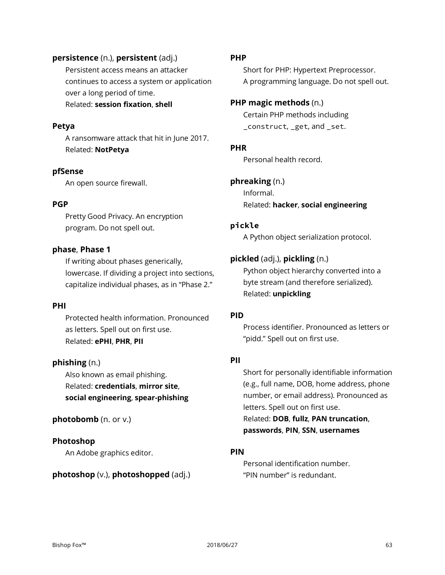## **persistence** (n.), **persistent** (adj.)

Persistent access means an attacker continues to access a system or application over a long period of time. Related: **session fixation**, **shell**

#### **Petya**

A ransomware attack that hit in June 2017. Related: **NotPetya**

#### **pfSense**

An open source firewall.

#### **PGP**

Pretty Good Privacy. An encryption program. Do not spell out.

#### **phase**, **Phase 1**

If writing about phases generically, lowercase. If dividing a project into sections, capitalize individual phases, as in "Phase 2."

#### **PHI**

Protected health information. Pronounced as letters. Spell out on first use. Related: **ePHI**, **PHR**, **PII**

## **phishing** (n.)

Also known as email phishing. Related: **credentials**, **mirror site**, **social engineering**, **spear-phishing**

#### **photobomb** (n. or v.)

#### **Photoshop**

An Adobe graphics editor.

#### **photoshop** (v.), **photoshopped** (adj.)

#### **PHP**

Short for PHP: Hypertext Preprocessor. A programming language. Do not spell out.

## **PHP magic methods** (n.)

Certain PHP methods including \_construct, \_get, and \_set.

#### **PHR**

Personal health record.

## **phreaking** (n.)

Informal. Related: **hacker**, **social engineering**

#### **pickle**

A Python object serialization protocol.

## **pickled** (adj.), **pickling** (n.)

Python object hierarchy converted into a byte stream (and therefore serialized). Related: **unpickling**

## **PID**

Process identifier. Pronounced as letters or "pidd." Spell out on first use.

### **PII**

Short for personally identifiable information (e.g., full name, DOB, home address, phone number, or email address). Pronounced as letters. Spell out on first use. Related: **DOB**, **fullz**, **PAN truncation**, **passwords**, **PIN**, **SSN**, **usernames**

#### **PIN**

Personal identification number. "PIN number" is redundant.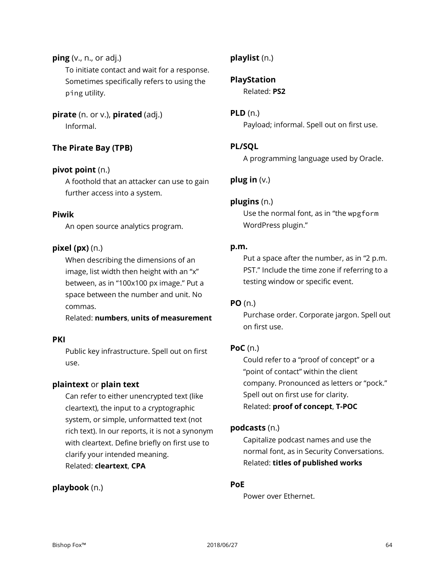**ping** (v., n., or adj.) To initiate contact and wait for a response. Sometimes specifically refers to using the ping utility.

**pirate** (n. or v.), **pirated** (adj.) Informal.

## **The Pirate Bay (TPB)**

## **pivot point** (n.)

A foothold that an attacker can use to gain further access into a system.

## **Piwik**

An open source analytics program.

## **pixel (px)** (n.)

When describing the dimensions of an image, list width then height with an "x" between, as in "100x100 px image." Put a space between the number and unit. No commas.

Related: **numbers**, **units of measurement**

## **PKI**

Public key infrastructure. Spell out on first use.

## **plaintext** or **plain text**

Can refer to either unencrypted text (like cleartext), the input to a cryptographic system, or simple, unformatted text (not rich text). In our reports, it is not a synonym with cleartext. Define briefly on first use to clarify your intended meaning. Related: **cleartext**, **CPA**

## **playbook** (n.)

## **playlist** (n.)

**PlayStation**

Related: **PS2**

## **PLD** (n.)

Payload; informal. Spell out on first use.

## **PL/SQL**

A programming language used by Oracle.

## **plug in** (v.)

## **plugins** (n.)

Use the normal font, as in "the wpgform WordPress plugin."

## **p.m.**

Put a space after the number, as in "2 p.m. PST." Include the time zone if referring to a testing window or specific event.

## **PO** (n.)

Purchase order. Corporate jargon. Spell out on first use.

## **PoC** (n.)

Could refer to a "proof of concept" or a "point of contact" within the client company. Pronounced as letters or "pock." Spell out on first use for clarity. Related: **proof of concept**, **T-POC**

## **podcasts** (n.)

Capitalize podcast names and use the normal font, as in Security Conversations. Related: **titles of published works**

## **PoE**

Power over Ethernet.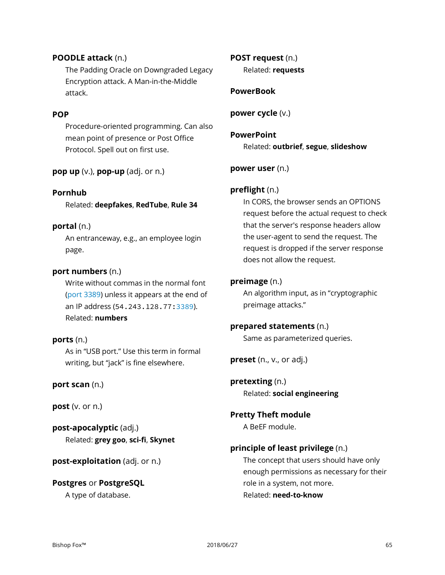## **POODLE attack** (n.)

The Padding Oracle on Downgraded Legacy Encryption attack. A Man-in-the-Middle attack.

## **POP**

Procedure-oriented programming. Can also mean point of presence or Post Office Protocol. Spell out on first use.

**pop up** (v.), **pop-up** (adj. or n.)

## **Pornhub**

Related: **deepfakes**, **RedTube**, **Rule 34**

#### **portal** (n.)

An entranceway, e.g., an employee login page.

## **port numbers** (n.)

Write without commas in the normal font (port 3389) unless it appears at the end of an IP address (54.243.128.77:3389). Related: **numbers**

## **ports** (n.)

As in "USB port." Use this term in formal writing, but "jack" is fine elsewhere.

**port scan** (n.)

**post** (v. or n.)

**post-apocalyptic** (adj.) Related: **grey goo**, **sci-fi**, **Skynet**

**post-exploitation** (adj. or n.)

**Postgres** or **PostgreSQL** A type of database.

## **POST request** (n.) Related: **requests**

## **PowerBook**

**power cycle** (v.)

## **PowerPoint** Related: **outbrief**, **segue**, **slideshow**

**power user** (n.)

## **preflight** (n.)

In CORS, the browser sends an OPTIONS request before the actual request to check that the server's response headers allow the user-agent to send the request. The request is dropped if the server response does not allow the request.

## **preimage** (n.)

An algorithm input, as in "cryptographic preimage attacks."

## **prepared statements** (n.)

Same as parameterized queries.

**preset** (n., v., or adj.)

**pretexting** (n.) Related: **social engineering**

**Pretty Theft module** A BeEF module.

## **principle of least privilege** (n.)

The concept that users should have only enough permissions as necessary for their role in a system, not more. Related: **need-to-know**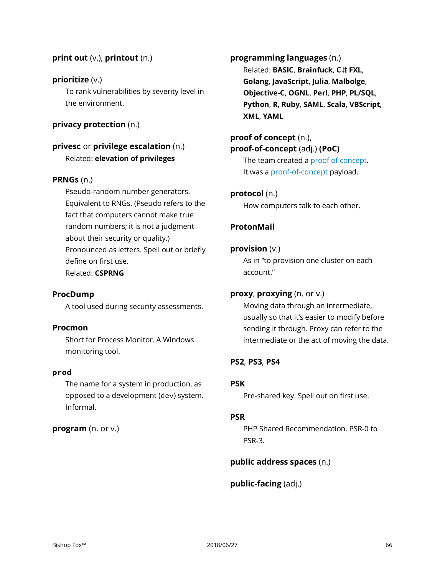## **print out** (v.), **printout** (n.)

## **prioritize** (v.)

To rank vulnerabilities by severity level in the environment.

## **privacy protection** (n.)

## **privesc** or **privilege escalation** (n.) Related: **elevation of privileges**

## **PRNGs** (n.)

Pseudo-random number generators. Equivalent to RNGs. (Pseudo refers to the fact that computers cannot make true random numbers; it is not a judgment about their security or quality.) Pronounced as letters. Spell out or briefly define on first use. Related: **CSPRNG**

## **ProcDump**

A tool used during security assessments.

## **Procmon**

Short for Process Monitor. A Windows monitoring tool.

#### **prod**

The name for a system in production, as opposed to a development (dev) system. Informal.

## **program** (n. or v.)

**programming languages** (n.) Related: **BASIC**, **Brainfuck**, **C**♯, **FXL**, **Golang**, **JavaScript**, **Julia**, **Malbolge**, **Objective-C**, **OGNL**, **Perl**, **PHP**, **PL/SQL**, **Python**, **R**, **Ruby**, **SAML**, **Scala**, **VBScript**, **XML**, **YAML**

#### **proof of concept** (n.), **proof-of-concept** (adj.) **(PoC)**

The team created a proof of concept. It was a proof-of-concept payload.

## **protocol** (n.)

How computers talk to each other.

## **ProtonMail**

#### **provision** (v.)

As in "to provision one cluster on each account."

#### **proxy**, **proxying** (n. or v.)

Moving data through an intermediate, usually so that it's easier to modify before sending it through. Proxy can refer to the intermediate or the act of moving the data.

#### **PS2**, **PS3**, **PS4**

## **PSK**

Pre-shared key. Spell out on first use.

#### **PSR**

PHP Shared Recommendation. PSR-0 to PSR-3.

#### **public address spaces** (n.)

**public-facing** (adj.)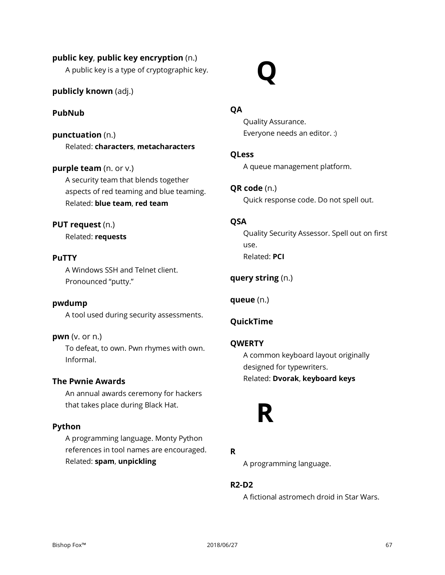## **public key**, **public key encryption** (n.)

A public key is a type of cryptographic key.

## **publicly known** (adj.)

## **PubNub**

**punctuation** (n.) Related: **characters**, **metacharacters**

## **purple team** (n. or v.)

A security team that blends together aspects of red teaming and blue teaming. Related: **blue team**, **red team**

## **PUT request** (n.)

Related: **requests**

#### **PuTTY**

A Windows SSH and Telnet client. Pronounced "putty."

#### **pwdump**

A tool used during security assessments.

#### **pwn** (v. or n.)

To defeat, to own. Pwn rhymes with own. Informal.

#### **The Pwnie Awards**

An annual awards ceremony for hackers that takes place during Black Hat.

#### **Python**

A programming language. Monty Python references in tool names are encouraged. Related: **spam**, **unpickling**

**QA**

**Q**

Quality Assurance. Everyone needs an editor. :)

#### **QLess**

A queue management platform.

## **QR code** (n.)

Quick response code. Do not spell out.

## **QSA**

Quality Security Assessor. Spell out on first use. Related: **PCI**

## **query string** (n.)

**queue** (n.)

## **QuickTime**

#### **QWERTY**

A common keyboard layout originally designed for typewriters. Related: **Dvorak**, **keyboard keys**

## **R**

## **R**

A programming language.

#### **R2-D2**

A fictional astromech droid in Star Wars.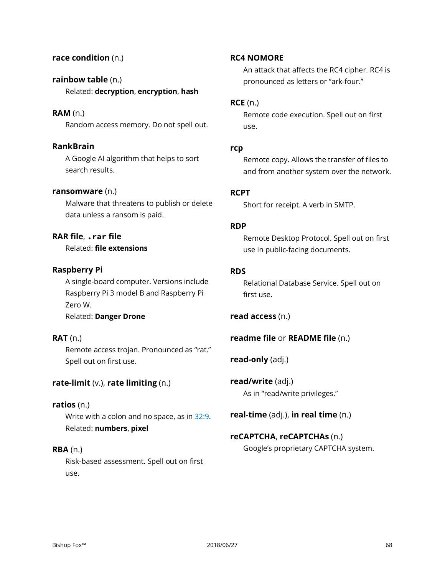## **race condition** (n.)

## **rainbow table** (n.) Related: **decryption**, **encryption**, **hash**

#### **RAM** (n.)

Random access memory. Do not spell out.

## **RankBrain**

A Google AI algorithm that helps to sort search results.

#### **ransomware** (n.)

Malware that threatens to publish or delete data unless a ransom is paid.

## **RAR file**, **.rar file**

Related: **file extensions**

#### **Raspberry Pi**

A single-board computer. Versions include Raspberry Pi 3 model B and Raspberry Pi Zero W. Related: **Danger Drone**

## **RAT** (n.)

Remote access trojan. Pronounced as "rat." Spell out on first use.

## **rate-limit** (v.), **rate limiting** (n.)

## **ratios** (n.)

Write with a colon and no space, as in 32:9. Related: **numbers**, **pixel**

### **RBA** (n.)

Risk-based assessment. Spell out on first use.

#### **RC4 NOMORE**

An attack that affects the RC4 cipher. RC4 is pronounced as letters or "ark-four."

#### **RCE** (n.)

Remote code execution. Spell out on first use.

#### **rcp**

Remote copy. Allows the transfer of files to and from another system over the network.

#### **RCPT**

Short for receipt. A verb in SMTP.

#### **RDP**

Remote Desktop Protocol. Spell out on first use in public-facing documents.

#### **RDS**

Relational Database Service. Spell out on first use.

**read access** (n.)

## **readme file** or **README file** (n.)

**read-only** (adj.)

**read/write** (adj.) As in "read/write privileges."

**real-time** (adj.), **in real time** (n.)

## **reCAPTCHA**, **reCAPTCHAs** (n.) Google's proprietary CAPTCHA system.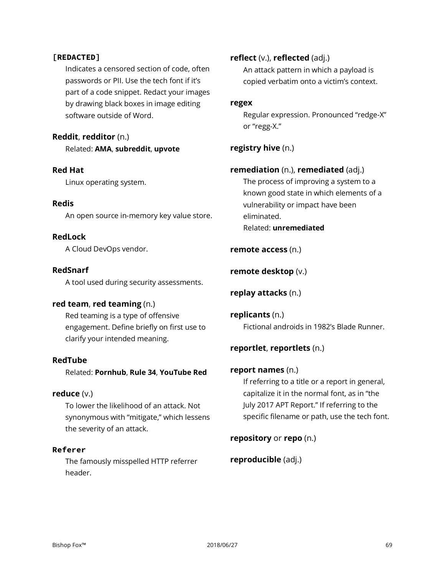## **[REDACTED]**

Indicates a censored section of code, often passwords or PII. Use the tech font if it's part of a code snippet. Redact your images by drawing black boxes in image editing software outside of Word.

## **Reddit**, **redditor** (n.)

Related: **AMA**, **subreddit**, **upvote**

#### **Red Hat**

Linux operating system.

## **Redis**

An open source in-memory key value store.

## **RedLock**

A Cloud DevOps vendor.

#### **RedSnarf**

A tool used during security assessments.

## **red team**, **red teaming** (n.)

Red teaming is a type of offensive engagement. Define briefly on first use to clarify your intended meaning.

#### **RedTube**

Related: **Pornhub**, **Rule 34**, **YouTube Red**

#### **reduce** (v.)

To lower the likelihood of an attack. Not synonymous with "mitigate," which lessens the severity of an attack.

#### **Referer**

The famously misspelled HTTP referrer header.

### **reflect** (v.), **reflected** (adj.)

An attack pattern in which a payload is copied verbatim onto a victim's context.

#### **regex**

Regular expression. Pronounced "redge-X" or "regg-X."

## **registry hive** (n.)

## **remediation** (n.), **remediated** (adj.)

The process of improving a system to a known good state in which elements of a vulnerability or impact have been eliminated. Related: **unremediated**

#### **remote access** (n.)

#### **remote desktop** (v.)

## **replay attacks** (n.)

**replicants** (n.) Fictional androids in 1982's Blade Runner.

## **reportlet**, **reportlets** (n.)

## **report names** (n.)

If referring to a title or a report in general, capitalize it in the normal font, as in "the July 2017 APT Report." If referring to the specific filename or path, use the tech font.

## **repository** or **repo** (n.)

## **reproducible** (adj.)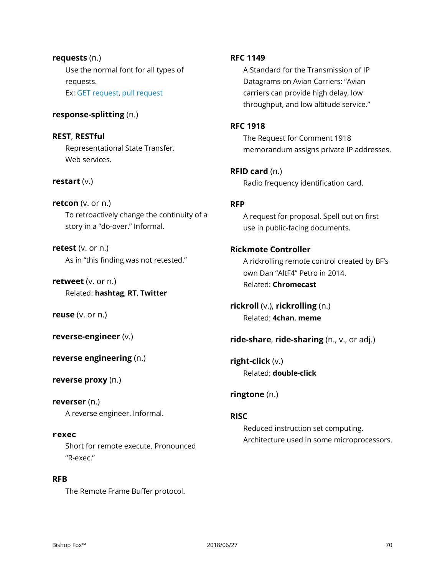## **requests** (n.) Use the normal font for all types of requests. Ex: GET request, pull request

## **response-splitting** (n.)

**REST**, **RESTful** Representational State Transfer. Web services.

#### **restart** (v.)

**retcon** (v. or n.) To retroactively change the continuity of a story in a "do-over." Informal.

**retest** (v. or n.) As in "this finding was not retested."

**retweet** (v. or n.) Related: **hashtag**, **RT**, **Twitter**

**reuse** (v. or n.)

**reverse-engineer** (v.)

**reverse engineering** (n.)

**reverse proxy** (n.)

**reverser** (n.) A reverse engineer. Informal.

**rexec** Short for remote execute. Pronounced "R-exec."

**RFB** The Remote Frame Buffer protocol.

## **RFC 1149**

A Standard for the Transmission of IP Datagrams on Avian Carriers: "Avian carriers can provide high delay, low throughput, and low altitude service."

#### **RFC 1918**

The Request for Comment 1918 memorandum assigns private IP addresses.

**RFID card** (n.)

Radio frequency identification card.

## **RFP**

A request for proposal. Spell out on first use in public-facing documents.

## **Rickmote Controller**

A rickrolling remote control created by BF's own Dan "AltF4" Petro in 2014. Related: **Chromecast**

**rickroll** (v.), **rickrolling** (n.) Related: **4chan**, **meme**

**ride-share**, **ride-sharing** (n., v., or adj.)

**right-click** (v.) Related: **double-click**

## **ringtone** (n.)

#### **RISC**

Reduced instruction set computing. Architecture used in some microprocessors.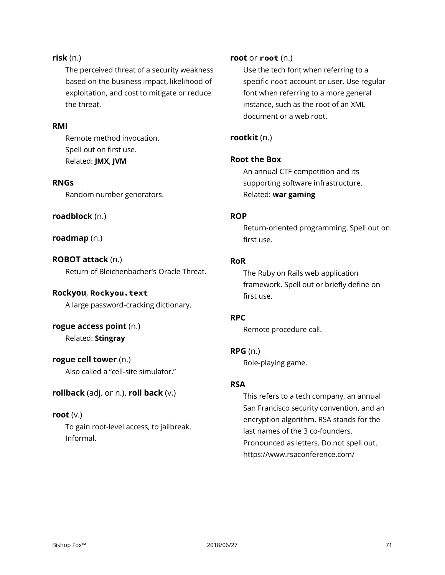## **risk** (n.)

The perceived threat of a security weakness based on the business impact, likelihood of exploitation, and cost to mitigate or reduce the threat.

## **RMI**

Remote method invocation. Spell out on first use. Related: **JMX**, **JVM**

#### **RNGs**

Random number generators.

#### **roadblock** (n.)

**roadmap** (n.)

**ROBOT attack** (n.) Return of Bleichenbacher's Oracle Threat.

#### **Rockyou**, **Rockyou.text**

A large password-cracking dictionary.

## **rogue access point** (n.) Related: **Stingray**

**rogue cell tower** (n.)

Also called a "cell-site simulator."

## **rollback** (adj. or n.), **roll back** (v.)

#### **root** (v.)

To gain root-level access, to jailbreak. Informal.

## **root** or **root** (n.)

Use the tech font when referring to a specific root account or user. Use regular font when referring to a more general instance, such as the root of an XML document or a web root.

### **rootkit** (n.)

## **Root the Box**

An annual CTF competition and its supporting software infrastructure. Related: **war gaming**

#### **ROP**

Return-oriented programming. Spell out on first use.

#### **RoR**

The Ruby on Rails web application framework. Spell out or briefly define on first use.

## **RPC**

Remote procedure call.

## **RPG** (n.)

Role-playing game.

## **RSA**

This refers to a tech company, an annual San Francisco security convention, and an encryption algorithm. RSA stands for the last names of the 3 co-founders. Pronounced as letters. Do not spell out. https://www.rsaconference.com/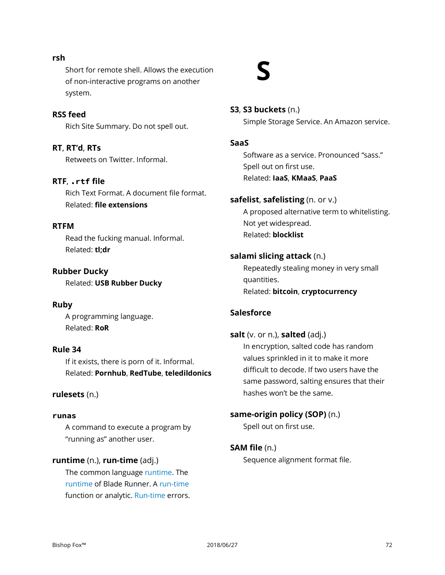#### Bishop Fox™ 2018/06/27 72

Short for remote shell. Allows the execution of non-interactive programs on another system.

**S**

**S3**, **S3 buckets** (n.) Simple Storage Service. An Amazon service.

## **SaaS**

Software as a service. Pronounced "sass." Spell out on first use. Related: **IaaS**, **KMaaS**, **PaaS**

## **safelist**, **safelisting** (n. or v.)

A proposed alternative term to whitelisting. Not yet widespread. Related: **blocklist**

## **salami slicing attack** (n.)

Repeatedly stealing money in very small quantities. Related: **bitcoin**, **cryptocurrency**

## **Salesforce**

**salt** (v. or n.), **salted** (adj.) In encryption, salted code has random values sprinkled in it to make it more difficult to decode. If two users have the same password, salting ensures that their hashes won't be the same.

**same-origin policy (SOP)** (n.) Spell out on first use.

## **SAM file** (n.)

Sequence alignment format file.

## **rsh**

**RSS feed**

Rich Site Summary. Do not spell out.

**RT**, **RT'd**, **RTs** Retweets on Twitter. Informal.

## **RTF**, **.rtf file**

Rich Text Format. A document file format. Related: **file extensions**

## **RTFM**

Read the fucking manual. Informal. Related: **tl;dr**

## **Rubber Ducky**

Related: **USB Rubber Ducky**

## **Ruby**

A programming language. Related: **RoR**

## **Rule 34**

If it exists, there is porn of it. Informal. Related: **Pornhub**, **RedTube**, **teledildonics**

## **rulesets** (n.)

## **runas**

A command to execute a program by "running as" another user.

## **runtime** (n.), **run-time** (adj.)

The common language runtime. The runtime of Blade Runner. A run-time function or analytic. Run-time errors.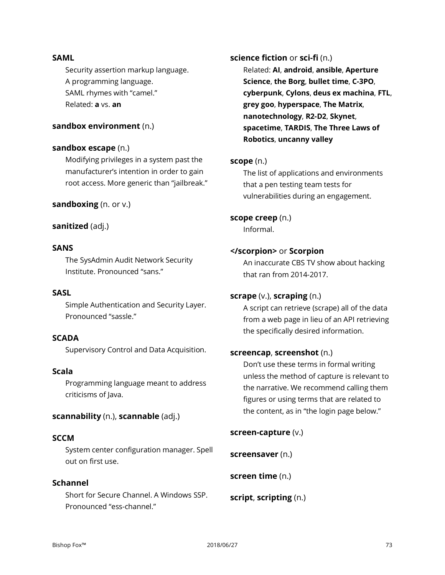#### **SAML**

Security assertion markup language. A programming language. SAML rhymes with "camel." Related: **a** vs. **an**

# **sandbox environment** (n.)

# **sandbox escape** (n.)

Modifying privileges in a system past the manufacturer's intention in order to gain root access. More generic than "jailbreak."

## **sandboxing** (n. or v.)

# **sanitized** (adj.)

# **SANS**

The SysAdmin Audit Network Security Institute. Pronounced "sans."

# **SASL**

Simple Authentication and Security Layer. Pronounced "sassle."

# **SCADA**

Supervisory Control and Data Acquisition.

# **Scala**

Programming language meant to address criticisms of Java.

#### **scannability** (n.), **scannable** (adj.)

#### **SCCM**

System center configuration manager. Spell out on first use.

# **Schannel**

Short for Secure Channel. A Windows SSP. Pronounced "ess-channel."

**science fiction** or **sci-fi** (n.)

Related: **AI**, **android**, **ansible**, **Aperture Science**, **the Borg**, **bullet time**, **C-3PO**, **cyberpunk**, **Cylons**, **deus ex machina**, **FTL**, **grey goo**, **hyperspace**, **The Matrix**, **nanotechnology**, **R2-D2**, **Skynet**, **spacetime**, **TARDIS**, **The Three Laws of Robotics**, **uncanny valley**

#### **scope** (n.)

The list of applications and environments that a pen testing team tests for vulnerabilities during an engagement.

**scope creep** (n.) Informal.

#### **</scorpion>** or **Scorpion**

An inaccurate CBS TV show about hacking that ran from 2014-2017.

# **scrape** (v.), **scraping** (n.)

A script can retrieve (scrape) all of the data from a web page in lieu of an API retrieving the specifically desired information.

#### **screencap**, **screenshot** (n.)

Don't use these terms in formal writing unless the method of capture is relevant to the narrative. We recommend calling them figures or using terms that are related to the content, as in "the login page below."

**screen-capture** (v.)

**screensaver** (n.)

**screen time** (n.)

**script**, **scripting** (n.)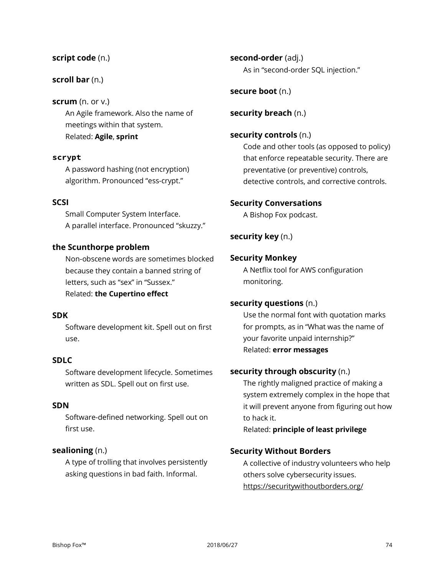# **script code** (n.)

# **scroll bar** (n.)

# **scrum** (n. or v.)

An Agile framework. Also the name of meetings within that system. Related: **Agile**, **sprint**

# **scrypt**

A password hashing (not encryption) algorithm. Pronounced "ess-crypt."

# **SCSI**

Small Computer System Interface. A parallel interface. Pronounced "skuzzy."

# **the Scunthorpe problem**

Non-obscene words are sometimes blocked because they contain a banned string of letters, such as "sex" in "Sussex." Related: **the Cupertino effect**

# **SDK**

Software development kit. Spell out on first use.

# **SDLC**

Software development lifecycle. Sometimes written as SDL. Spell out on first use.

# **SDN**

Software-defined networking. Spell out on first use.

# **sealioning** (n.)

A type of trolling that involves persistently asking questions in bad faith. Informal.

**second-order** (adj.) As in "second-order SQL injection."

# **secure boot** (n.)

## **security breach** (n.)

# **security controls** (n.)

Code and other tools (as opposed to policy) that enforce repeatable security. There are preventative (or preventive) controls, detective controls, and corrective controls.

# **Security Conversations**

A Bishop Fox podcast.

# **security key** (n.)

## **Security Monkey**

A Netflix tool for AWS configuration monitoring.

# **security questions** (n.)

Use the normal font with quotation marks for prompts, as in "What was the name of your favorite unpaid internship?" Related: **error messages**

# **security through obscurity** (n.)

The rightly maligned practice of making a system extremely complex in the hope that it will prevent anyone from figuring out how to hack it.

Related: **principle of least privilege**

# **Security Without Borders**

A collective of industry volunteers who help others solve cybersecurity issues. https://securitywithoutborders.org/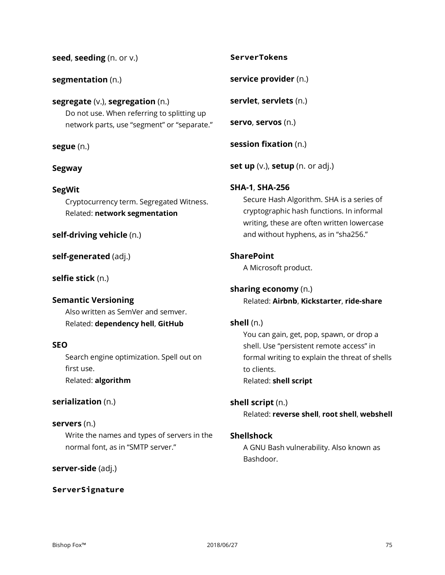| Write the names and types of servers in the |
|---------------------------------------------|
| normal font, as in "SMTP server."           |

**servers** (n.)

first use.

**serialization** (n.)

Related: **algorithm**

# **server-side** (adj.)

**seed**, **seeding** (n. or v.)

**segregate** (v.), **segregation** (n.)

Do not use. When referring to splitting up network parts, use "segment" or "separate."

Cryptocurrency term. Segregated Witness.

Related: **network segmentation**

Also written as SemVer and semver. Related: **dependency hell**, **GitHub**

Search engine optimization. Spell out on

**self-driving vehicle** (n.)

**self-generated** (adj.)

**Semantic Versioning**

**selfie stick** (n.)

**SEO**

**segmentation** (n.)

**segue** (n.)

**Segway**

**SegWit**

# **ServerSignature**

# **ServerTokens**

**service provider** (n.)

**servlet**, **servlets** (n.)

**servo**, **servos** (n.)

**session fixation** (n.)

**set up** (v.), **setup** (n. or adj.)

# **SHA-1**, **SHA-256**

Secure Hash Algorithm. SHA is a series of cryptographic hash functions. In informal writing, these are often written lowercase and without hyphens, as in "sha256."

# **SharePoint**

A Microsoft product.

**sharing economy** (n.) Related: **Airbnb**, **Kickstarter**, **ride-share**

# **shell** (n.)

You can gain, get, pop, spawn, or drop a shell. Use "persistent remote access" in formal writing to explain the threat of shells to clients. Related: **shell script**

**shell script** (n.)

Related: **reverse shell**, **root shell**, **webshell**

# **Shellshock**

A GNU Bash vulnerability. Also known as Bashdoor.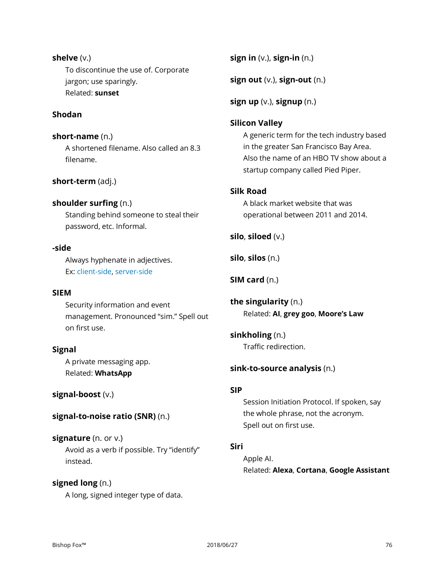**shelve** (v.) To discontinue the use of. Corporate jargon; use sparingly. Related: **sunset**

# **Shodan**

**short-name** (n.) A shortened filename. Also called an 8.3 filename.

# **short-term** (adj.)

# **shoulder surfing** (n.)

Standing behind someone to steal their password, etc. Informal.

# **-side**

Always hyphenate in adjectives. Ex: client-side, server-side

## **SIEM**

Security information and event management. Pronounced "sim." Spell out on first use.

# **Signal**

A private messaging app. Related: **WhatsApp**

# **signal-boost** (v.)

# **signal-to-noise ratio (SNR)** (n.)

**signature** (n. or v.) Avoid as a verb if possible. Try "identify" instead.

# **signed long** (n.)

A long, signed integer type of data.

**sign in** (v.), **sign-in** (n.)

**sign out** (v.), **sign-out** (n.)

**sign up** (v.), **signup** (n.)

## **Silicon Valley**

A generic term for the tech industry based in the greater San Francisco Bay Area. Also the name of an HBO TV show about a startup company called Pied Piper.

# **Silk Road**

A black market website that was operational between 2011 and 2014.

**silo**, **siloed** (v.)

**silo**, **silos** (n.)

**SIM card** (n.)

**the singularity** (n.) Related: **AI**, **grey goo**, **Moore's Law**

**sinkholing** (n.) Traffic redirection.

#### **sink-to-source analysis** (n.)

#### **SIP**

Session Initiation Protocol. If spoken, say the whole phrase, not the acronym. Spell out on first use.

#### **Siri**

Apple AI. Related: **Alexa**, **Cortana**, **Google Assistant**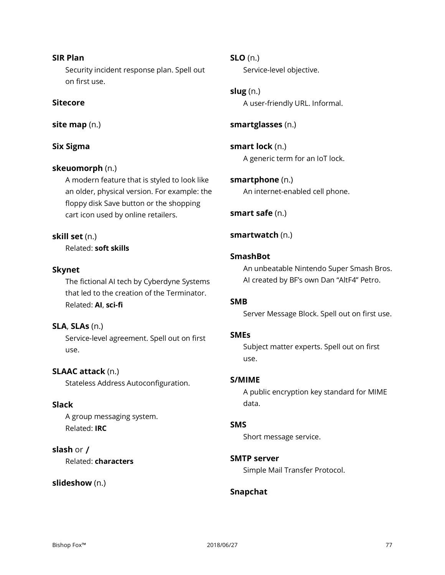# **SIR Plan**

Security incident response plan. Spell out on first use.

# **Sitecore**

**site map** (n.)

# **Six Sigma**

# **skeuomorph** (n.)

A modern feature that is styled to look like an older, physical version. For example: the floppy disk Save button or the shopping cart icon used by online retailers.

# **skill set** (n.)

Related: **soft skills**

# **Skynet**

The fictional AI tech by Cyberdyne Systems that led to the creation of the Terminator. Related: **AI**, **sci-fi**

# **SLA**, **SLAs** (n.)

Service-level agreement. Spell out on first use.

# **SLAAC attack** (n.)

Stateless Address Autoconfiguration.

# **Slack**

A group messaging system. Related: **IRC**

# **slash** or **/**

Related: **characters**

# **slideshow** (n.)

**SLO** (n.)

Service-level objective.

**slug** (n.) A user-friendly URL. Informal.

**smartglasses** (n.)

**smart lock** (n.) A generic term for an IoT lock.

**smartphone** (n.) An internet-enabled cell phone.

**smart safe** (n.)

# **smartwatch** (n.)

# **SmashBot**

An unbeatable Nintendo Super Smash Bros. AI created by BF's own Dan "AltF4" Petro.

# **SMB**

Server Message Block. Spell out on first use.

# **SMEs**

Subject matter experts. Spell out on first use.

# **S/MIME**

A public encryption key standard for MIME data.

# **SMS**

Short message service.

# **SMTP server**

Simple Mail Transfer Protocol.

# **Snapchat**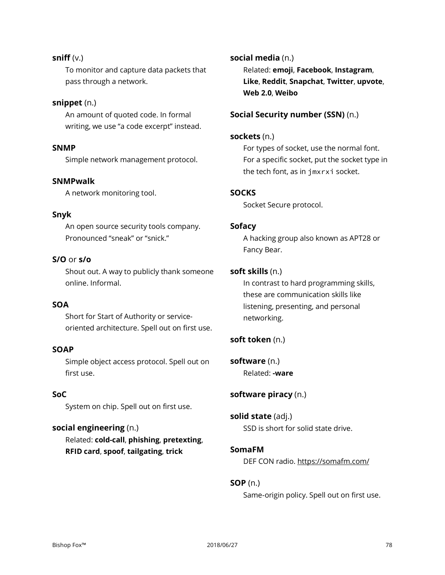# **sniff** (v.)

To monitor and capture data packets that pass through a network.

# **snippet** (n.)

An amount of quoted code. In formal writing, we use "a code excerpt" instead.

# **SNMP**

Simple network management protocol.

# **SNMPwalk**

A network monitoring tool.

## **Snyk**

An open source security tools company. Pronounced "sneak" or "snick."

# **S/O** or **s/o**

Shout out. A way to publicly thank someone online. Informal.

# **SOA**

Short for Start of Authority or serviceoriented architecture. Spell out on first use.

#### **SOAP**

Simple object access protocol. Spell out on first use.

# **SoC**

System on chip. Spell out on first use.

# **social engineering** (n.)

Related: **cold-call**, **phishing**, **pretexting**, **RFID card**, **spoof**, **tailgating**, **trick**

**social media** (n.) Related: **emoji**, **Facebook**, **Instagram**, **Like**, **Reddit**, **Snapchat**, **Twitter**, **upvote**, **Web 2.0**, **Weibo**

## **Social Security number (SSN)** (n.)

#### **sockets** (n.)

For types of socket, use the normal font. For a specific socket, put the socket type in the tech font, as in jmxrxi socket.

#### **SOCKS**

Socket Secure protocol.

## **Sofacy**

A hacking group also known as APT28 or Fancy Bear.

# **soft skills** (n.)

In contrast to hard programming skills, these are communication skills like listening, presenting, and personal networking.

# **soft token** (n.)

**software** (n.) Related: **-ware**

# **software piracy** (n.)

**solid state** (adj.) SSD is short for solid state drive.

#### **SomaFM**

DEF CON radio. https://somafm.com/

# **SOP** (n.)

Same-origin policy. Spell out on first use.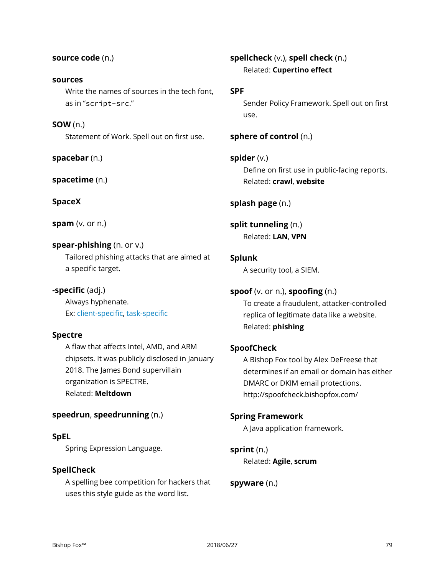#### **source code** (n.)

#### **sources**

Write the names of sources in the tech font, as in "script-src."

**SOW** (n.)

Statement of Work. Spell out on first use.

**spacebar** (n.)

**spacetime** (n.)

**SpaceX**

**spam** (v. or n.)

# **spear-phishing** (n. or v.)

Tailored phishing attacks that are aimed at a specific target.

# **-specific** (adj.)

Always hyphenate. Ex: client-specific, task-specific

# **Spectre**

A flaw that affects Intel, AMD, and ARM chipsets. It was publicly disclosed in January 2018. The James Bond supervillain organization is SPECTRE. Related: **Meltdown**

# **speedrun**, **speedrunning** (n.)

# **SpEL**

Spring Expression Language.

# **SpellCheck**

A spelling bee competition for hackers that uses this style guide as the word list.

# **spellcheck** (v.), **spell check** (n.) Related: **Cupertino effect**

#### **SPF**

Sender Policy Framework. Spell out on first use.

# **sphere of control** (n.)

# **spider** (v.)

Define on first use in public-facing reports. Related: **crawl**, **website**

# **splash page** (n.)

# **split tunneling** (n.) Related: **LAN**, **VPN**

**Splunk**

A security tool, a SIEM.

# **spoof** (v. or n.), **spoofing** (n.)

To create a fraudulent, attacker-controlled replica of legitimate data like a website. Related: **phishing**

# **SpoofCheck**

A Bishop Fox tool by Alex DeFreese that determines if an email or domain has either DMARC or DKIM email protections. http://spoofcheck.bishopfox.com/

# **Spring Framework**

A Java application framework.

**sprint** (n.) Related: **Agile**, **scrum**

# **spyware** (n.)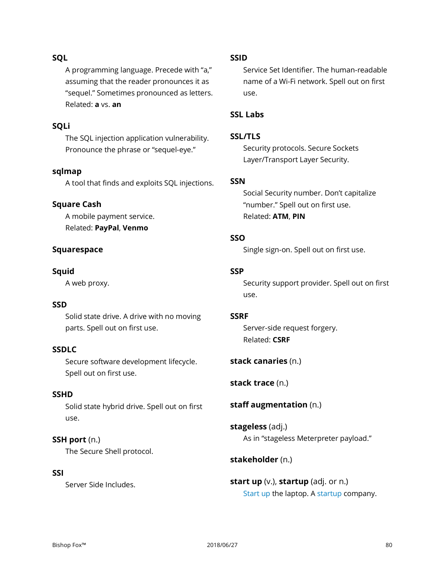# **SQL**

A programming language. Precede with "a," assuming that the reader pronounces it as "sequel." Sometimes pronounced as letters. Related: **a** vs. **an**

# **SQLi**

The SQL injection application vulnerability. Pronounce the phrase or "sequel-eye."

# **sqlmap**

A tool that finds and exploits SQL injections.

# **Square Cash**

A mobile payment service. Related: **PayPal**, **Venmo**

# **Squarespace**

# **Squid**

A web proxy.

# **SSD**

Solid state drive. A drive with no moving parts. Spell out on first use.

#### **SSDLC**

Secure software development lifecycle. Spell out on first use.

# **SSHD**

Solid state hybrid drive. Spell out on first use.

# **SSH port** (n.)

The Secure Shell protocol.

# **SSI**

Server Side Includes.

# **SSID**

Service Set Identifier. The human-readable name of a Wi-Fi network. Spell out on first use.

# **SSL Labs**

# **SSL/TLS**

Security protocols. Secure Sockets Layer/Transport Layer Security.

## **SSN**

Social Security number. Don't capitalize "number." Spell out on first use. Related: **ATM**, **PIN**

# **SSO**

Single sign-on. Spell out on first use.

# **SSP**

Security support provider. Spell out on first use.

#### **SSRF**

Server-side request forgery. Related: **CSRF**

# **stack canaries** (n.)

**stack trace** (n.)

# **staff augmentation** (n.)

**stageless** (adj.) As in "stageless Meterpreter payload."

# **stakeholder** (n.)

**start up** (v.), **startup** (adj. or n.) Start up the laptop. A startup company.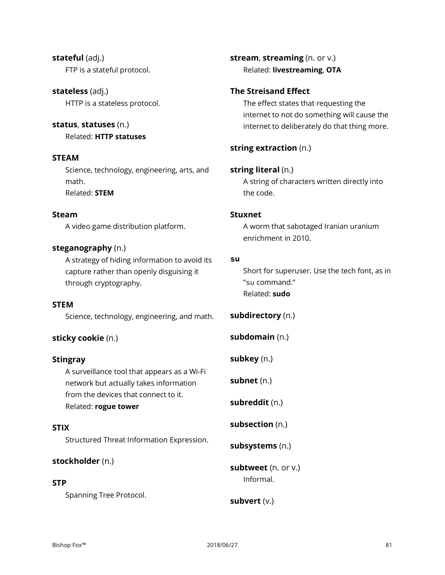**stateful** (adj.) FTP is a stateful protocol.

**stateless** (adj.) HTTP is a stateless protocol.

# **status**, **statuses** (n.)

Related: **HTTP statuses**

# **STEAM**

Science, technology, engineering, arts, and math. Related: **STEM**

# **Steam**

A video game distribution platform.

# **steganography** (n.)

A strategy of hiding information to avoid its capture rather than openly disguising it through cryptography.

# **STEM**

Science, technology, engineering, and math.

# **sticky cookie** (n.)

# **Stingray**

A surveillance tool that appears as a Wi-Fi network but actually takes information from the devices that connect to it. Related: **rogue tower**

# **STIX**

Structured Threat Information Expression.

# **stockholder** (n.)

# **STP**

Spanning Tree Protocol.

**stream**, **streaming** (n. or v.) Related: **livestreaming**, **OTA**

# **The Streisand Effect**

The effect states that requesting the internet to not do something will cause the internet to deliberately do that thing more.

# **string extraction** (n.)

# **string literal** (n.)

A string of characters written directly into the code.

# **Stuxnet**

A worm that sabotaged Iranian uranium enrichment in 2010.

# **su**

Short for superuser. Use the tech font, as in "su command." Related: **sudo**

**subdirectory** (n.)

**subdomain** (n.)

**subkey** (n.)

**subnet** (n.)

**subreddit** (n.)

**subsection** (n.)

**subsystems** (n.)

**subtweet** (n. or v.) Informal.

**subvert** (v.)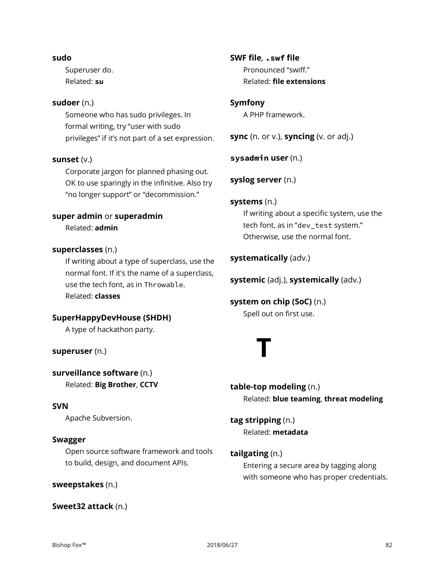#### **sudo**

Superuser do. Related: **su**

## **sudoer** (n.)

Someone who has sudo privileges. In formal writing, try "user with sudo privileges" if it's not part of a set expression.

# **sunset** (v.)

Corporate jargon for planned phasing out. OK to use sparingly in the infinitive. Also try "no longer support" or "decommission."

## **super admin** or **superadmin**

Related: **admin**

## **superclasses** (n.)

If writing about a type of superclass, use the normal font. If it's the name of a superclass, use the tech font, as in Throwable. Related: **classes**

# **SuperHappyDevHouse (SHDH)**

A type of hackathon party.

# **superuser** (n.)

**surveillance software** (n.) Related: **Big Brother**, **CCTV**

# **SVN**

Apache Subversion.

# **Swagger**

Open source software framework and tools to build, design, and document APIs.

#### **sweepstakes** (n.)

# **Sweet32 attack** (n.)

**SWF file**, **.swf file** Pronounced "swiff." Related: **file extensions**

## **Symfony**

A PHP framework.

**sync** (n. or v.), **syncing** (v. or adj.)

**sysadmin user** (n.)

**syslog server** (n.)

# **systems** (n.)

If writing about a specific system, use the tech font, as in "dev\_test system." Otherwise, use the normal font.

# **systematically** (adv.)

**systemic** (adj.), **systemically** (adv.)

**system on chip (SoC)** (n.) Spell out on first use.

# **T**

**table-top modeling** (n.) Related: **blue teaming**, **threat modeling**

**tag stripping** (n.) Related: **metadata**

# **tailgating** (n.)

Entering a secure area by tagging along with someone who has proper credentials.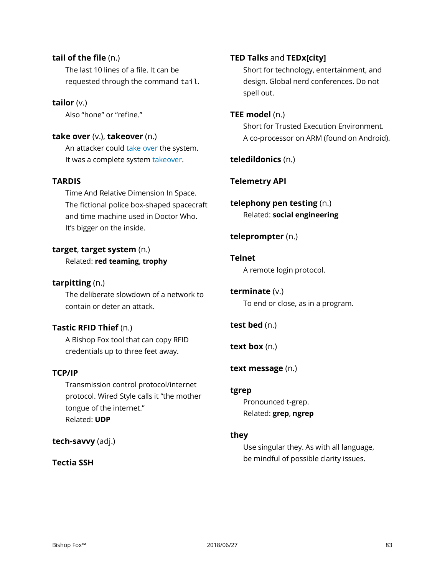# **tail of the file** (n.)

The last 10 lines of a file. It can be requested through the command tail.

**tailor** (v.)

Also "hone" or "refine."

# **take over** (v.), **takeover** (n.)

An attacker could take over the system. It was a complete system takeover.

# **TARDIS**

Time And Relative Dimension In Space. The fictional police box-shaped spacecraft and time machine used in Doctor Who. It's bigger on the inside.

# **target**, **target system** (n.)

Related: **red teaming**, **trophy**

# **tarpitting** (n.)

The deliberate slowdown of a network to contain or deter an attack.

# **Tastic RFID Thief** (n.)

A Bishop Fox tool that can copy RFID credentials up to three feet away.

# **TCP/IP**

Transmission control protocol/internet protocol. Wired Style calls it "the mother tongue of the internet." Related: **UDP**

# **tech-savvy** (adj.)

# **Tectia SSH**

# **TED Talks** and **TEDx[city]**

Short for technology, entertainment, and design. Global nerd conferences. Do not spell out.

## **TEE model** (n.)

Short for Trusted Execution Environment. A co-processor on ARM (found on Android).

**teledildonics** (n.)

# **Telemetry API**

**telephony pen testing** (n.) Related: **social engineering**

# **teleprompter** (n.)

## **Telnet**

A remote login protocol.

# **terminate** (v.)

To end or close, as in a program.

# **test bed** (n.)

**text box** (n.)

# **text message** (n.)

#### **tgrep**

Pronounced t-grep. Related: **grep**, **ngrep**

# **they**

Use singular they. As with all language, be mindful of possible clarity issues.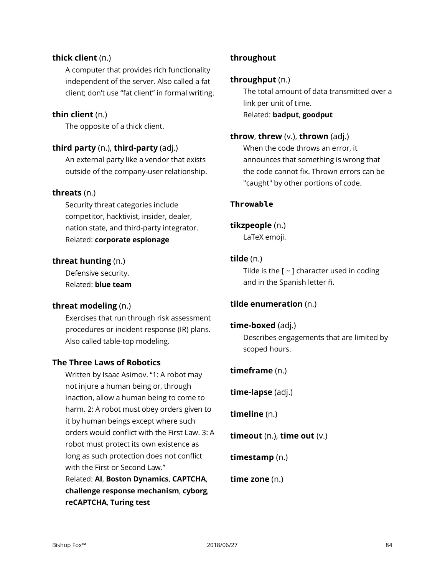# **thick client** (n.)

A computer that provides rich functionality independent of the server. Also called a fat client; don't use "fat client" in formal writing.

# **thin client** (n.)

The opposite of a thick client.

# **third party** (n.), **third-party** (adj.)

An external party like a vendor that exists outside of the company-user relationship.

## **threats** (n.)

Security threat categories include competitor, hacktivist, insider, dealer, nation state, and third-party integrator. Related: **corporate espionage**

## **threat hunting** (n.)

Defensive security. Related: **blue team**

# **threat modeling** (n.)

Exercises that run through risk assessment procedures or incident response (IR) plans. Also called table-top modeling.

# **The Three Laws of Robotics**

Written by Isaac Asimov. "1: A robot may not injure a human being or, through inaction, allow a human being to come to harm. 2: A robot must obey orders given to it by human beings except where such orders would conflict with the First Law. 3: A robot must protect its own existence as long as such protection does not conflict with the First or Second Law." Related: **AI**, **Boston Dynamics**, **CAPTCHA**,

**challenge response mechanism**, **cyborg**, **reCAPTCHA**, **Turing test**

# **throughout**

### **throughput** (n.)

The total amount of data transmitted over a link per unit of time. Related: **badput**, **goodput**

#### **throw**, **threw** (v.), **thrown** (adj.)

When the code throws an error, it announces that something is wrong that the code cannot fix. Thrown errors can be "caught" by other portions of code.

#### **Throwable**

## **tikzpeople** (n.)

LaTeX emoji.

## **tilde** (n.)

Tilde is the  $[ ~\sim~ ]$  character used in coding and in the Spanish letter ñ.

# **tilde enumeration** (n.)

#### **time-boxed** (adj.)

Describes engagements that are limited by scoped hours.

#### **timeframe** (n.)

**time-lapse** (adj.)

**timeline** (n.)

**timeout** (n.), **time out** (v.)

**timestamp** (n.)

**time zone** (n.)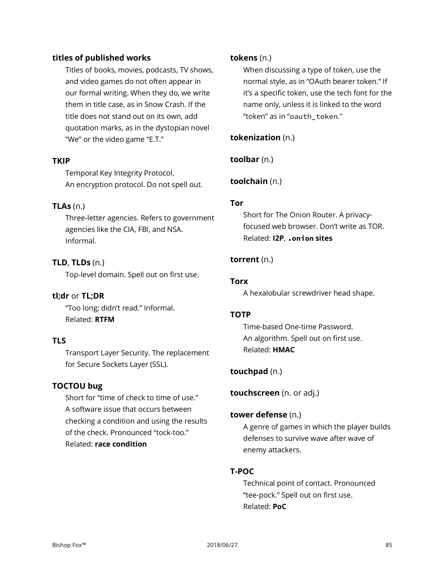# **titles of published works**

Titles of books, movies, podcasts, TV shows, and video games do not often appear in our formal writing. When they do, we write them in title case, as in Snow Crash. If the title does not stand out on its own, add quotation marks, as in the dystopian novel "We" or the video game "E.T."

# **TKIP**

Temporal Key Integrity Protocol. An encryption protocol. Do not spell out.

# **TLAs** (n.)

Three-letter agencies. Refers to government agencies like the CIA, FBI, and NSA. Informal.

# **TLD**, **TLDs** (n.)

Top-level domain. Spell out on first use.

# **tl;dr** or **TL;DR**

"Too long; didn't read." Informal. Related: **RTFM**

# **TLS**

Transport Layer Security. The replacement for Secure Sockets Layer (SSL).

# **TOCTOU bug**

Short for "time of check to time of use." A software issue that occurs between checking a condition and using the results of the check. Pronounced "tock-too." Related: **race condition**

# **tokens** (n.)

When discussing a type of token, use the normal style, as in "OAuth bearer token." If it's a specific token, use the tech font for the name only, unless it is linked to the word "token" as in "oauth\_token."

# **tokenization** (n.)

**toolbar** (n.)

# **toolchain** (n.)

# **Tor**

Short for The Onion Router. A privacyfocused web browser. Don't write as TOR. Related: **I2P**, **.onion sites**

# **torrent** (n.)

## **Torx**

A hexalobular screwdriver head shape.

# **TOTP**

Time-based One-time Password. An algorithm. Spell out on first use. Related: **HMAC**

# **touchpad** (n.)

**touchscreen** (n. or adj.)

#### **tower defense** (n.)

A genre of games in which the player builds defenses to survive wave after wave of enemy attackers.

# **T-POC**

Technical point of contact. Pronounced "tee-pock." Spell out on first use. Related: **PoC**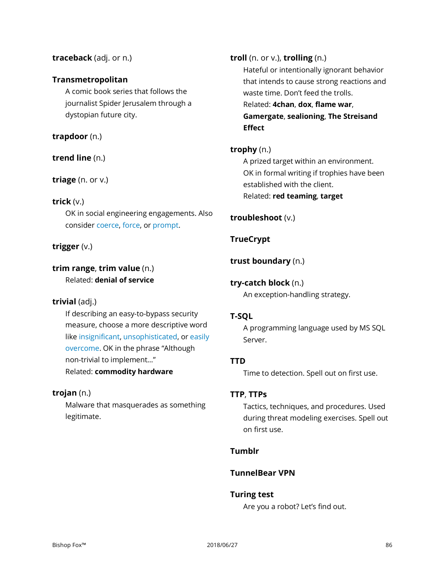# **traceback** (adj. or n.)

# **Transmetropolitan**

A comic book series that follows the journalist Spider Jerusalem through a dystopian future city.

# **trapdoor** (n.)

# **trend line** (n.)

## **triage** (n. or v.)

# **trick** (v.)

OK in social engineering engagements. Also consider coerce, force, or prompt.

# **trigger** (v.)

# **trim range**, **trim value** (n.) Related: **denial of service**

# **trivial** (adj.)

If describing an easy-to-bypass security measure, choose a more descriptive word like insignificant, unsophisticated, or easily overcome. OK in the phrase "Although non-trivial to implement…" Related: **commodity hardware**

# **trojan** (n.)

Malware that masquerades as something legitimate.

**troll** (n. or v.), **trolling** (n.) Hateful or intentionally ignorant behavior that intends to cause strong reactions and waste time. Don't feed the trolls. Related: **4chan**, **dox**, **flame war**, **Gamergate**, **sealioning**, **The Streisand Effect**

# **trophy** (n.)

A prized target within an environment. OK in formal writing if trophies have been established with the client. Related: **red teaming**, **target**

# **troubleshoot** (v.)

# **TrueCrypt**

## **trust boundary** (n.)

# **try-catch block** (n.)

An exception-handling strategy.

# **T-SQL**

A programming language used by MS SQL Server.

# **TTD**

Time to detection. Spell out on first use.

# **TTP**, **TTPs**

Tactics, techniques, and procedures. Used during threat modeling exercises. Spell out on first use.

# **Tumblr**

# **TunnelBear VPN**

#### **Turing test**

Are you a robot? Let's find out.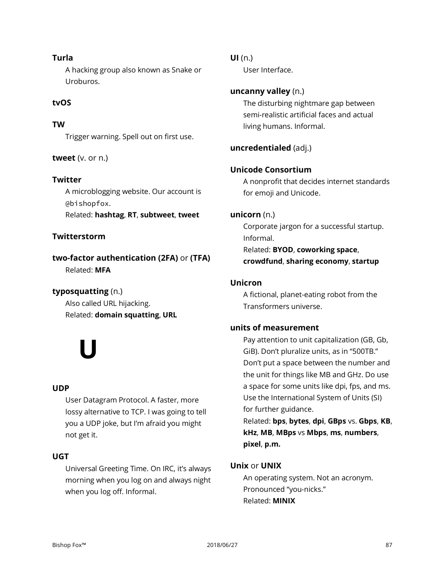# **Turla**

A hacking group also known as Snake or Uroburos.

# **tvOS**

# **TW**

Trigger warning. Spell out on first use.

# **tweet** (v. or n.)

# **Twitter**

A microblogging website. Our account is @bishopfox.

Related: **hashtag**, **RT**, **subtweet**, **tweet**

# **Twitterstorm**

**two-factor authentication (2FA)** or **(TFA)** Related: **MFA**

# **typosquatting** (n.)

Also called URL hijacking. Related: **domain squatting**, **URL**

# **U**

# **UDP**

User Datagram Protocol. A faster, more lossy alternative to TCP. I was going to tell you a UDP joke, but I'm afraid you might not get it.

# **UGT**

Universal Greeting Time. On IRC, it's always morning when you log on and always night when you log off. Informal.

# **UI** (n.)

User Interface.

# **uncanny valley** (n.)

The disturbing nightmare gap between semi-realistic artificial faces and actual living humans. Informal.

# **uncredentialed** (adj.)

# **Unicode Consortium**

A nonprofit that decides internet standards for emoji and Unicode.

## **unicorn** (n.)

Corporate jargon for a successful startup. Informal. Related: **BYOD**, **coworking space**, **crowdfund**, **sharing economy**, **startup**

## **Unicron**

A fictional, planet-eating robot from the Transformers universe.

# **units of measurement**

Pay attention to unit capitalization (GB, Gb, GiB). Don't pluralize units, as in "500TB." Don't put a space between the number and the unit for things like MB and GHz. Do use a space for some units like dpi, fps, and ms. Use the International System of Units (SI) for further guidance.

Related: **bps**, **bytes**, **dpi**, **GBps** vs. **Gbps**, **KB**, **kHz**, **MB**, **MBps** vs **Mbps**, **ms**, **numbers**, **pixel**, **p.m.**

# **Unix** or **UNIX**

An operating system. Not an acronym. Pronounced "you-nicks." Related: **MINIX**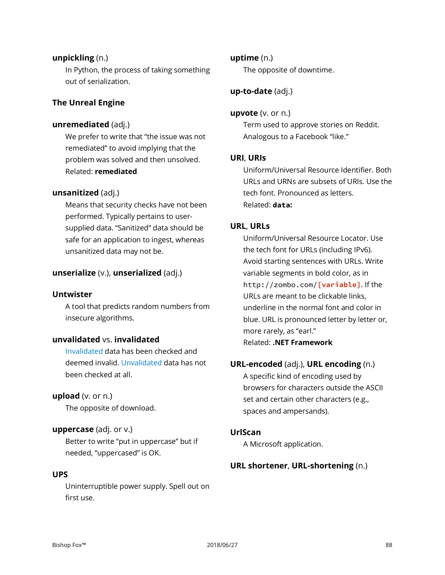# **unpickling** (n.)

In Python, the process of taking something out of serialization.

# **The Unreal Engine**

## **unremediated** (adj.)

We prefer to write that "the issue was not remediated" to avoid implying that the problem was solved and then unsolved. Related: **remediated**

#### **unsanitized** (adj.)

Means that security checks have not been performed. Typically pertains to usersupplied data. "Sanitized" data should be safe for an application to ingest, whereas unsanitized data may not be.

#### **unserialize** (v.), **unserialized** (adj.)

#### **Untwister**

A tool that predicts random numbers from insecure algorithms.

# **unvalidated** vs. **invalidated**

Invalidated data has been checked and deemed invalid. Unvalidated data has not been checked at all.

#### **upload** (v. or n.)

The opposite of download.

#### **uppercase** (adj. or v.)

Better to write "put in uppercase" but if needed, "uppercased" is OK.

#### **UPS**

Uninterruptible power supply. Spell out on first use.

#### **uptime** (n.)

The opposite of downtime.

# **up-to-date** (adj.)

#### **upvote** (v. or n.)

Term used to approve stories on Reddit. Analogous to a Facebook "like."

#### **URI**, **URIs**

Uniform/Universal Resource Identifier. Both URLs and URNs are subsets of URIs. Use the tech font. Pronounced as letters. Related: **data:**

#### **URL**, **URLs**

Uniform/Universal Resource Locator. Use the tech font for URLs (including IPv6). Avoid starting sentences with URLs. Write variable segments in bold color, as in http://zombo.com/**[variable]**. If the URLs are meant to be clickable links, underline in the normal font and color in blue. URL is pronounced letter by letter or, more rarely, as "earl." Related: **.NET Framework**

#### **URL-encoded** (adj.), **URL encoding** (n.)

A specific kind of encoding used by browsers for characters outside the ASCII set and certain other characters (e.g., spaces and ampersands).

#### **UrlScan**

A Microsoft application.

#### **URL shortener**, **URL-shortening** (n.)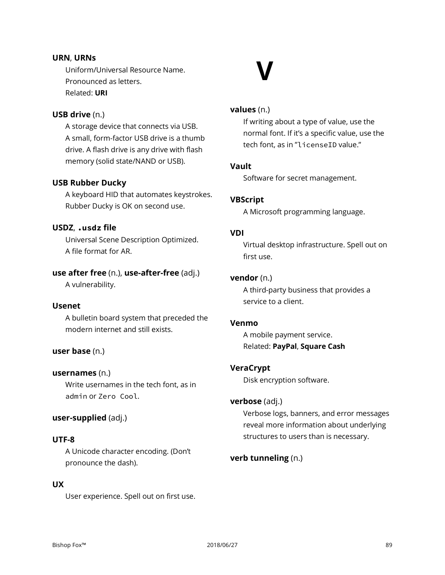# **URN**, **URNs**

Uniform/Universal Resource Name. Pronounced as letters. Related: **URI**

# **V**

# **USB drive** (n.)

A storage device that connects via USB. A small, form-factor USB drive is a thumb drive. A flash drive is any drive with flash memory (solid state/NAND or USB).

# **USB Rubber Ducky**

A keyboard HID that automates keystrokes. Rubber Ducky is OK on second use.

# **USDZ**, **.usdz file**

Universal Scene Description Optimized. A file format for AR.

# **use after free** (n.), **use-after-free** (adj.)

A vulnerability.

# **Usenet**

A bulletin board system that preceded the modern internet and still exists.

# **user base** (n.)

#### **usernames** (n.)

Write usernames in the tech font, as in admin or Zero Cool.

# **user-supplied** (adj.)

#### **UTF-8**

A Unicode character encoding. (Don't pronounce the dash).

# **UX**

User experience. Spell out on first use.

## **values** (n.)

If writing about a type of value, use the normal font. If it's a specific value, use the tech font, as in "licenseID value."

#### **Vault**

Software for secret management.

## **VBScript**

A Microsoft programming language.

# **VDI**

Virtual desktop infrastructure. Spell out on first use.

## **vendor** (n.)

A third-party business that provides a service to a client.

#### **Venmo**

A mobile payment service. Related: **PayPal**, **Square Cash**

# **VeraCrypt**

Disk encryption software.

#### **verbose** (adj.)

Verbose logs, banners, and error messages reveal more information about underlying structures to users than is necessary.

#### **verb tunneling** (n.)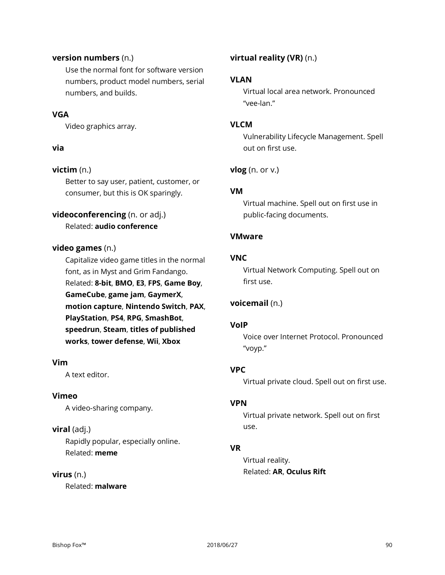## **version numbers** (n.)

Use the normal font for software version numbers, product model numbers, serial numbers, and builds.

# **VGA**

Video graphics array.

## **via**

# **victim** (n.)

Better to say user, patient, customer, or consumer, but this is OK sparingly.

# **videoconferencing** (n. or adj.)

Related: **audio conference**

# **video games** (n.)

Capitalize video game titles in the normal font, as in Myst and Grim Fandango. Related: **8-bit**, **BMO**, **E3**, **FPS**, **Game Boy**, **GameCube**, **game jam**, **GaymerX**, **motion capture**, **Nintendo Switch**, **PAX**, **PlayStation**, **PS4**, **RPG**, **SmashBot**, **speedrun**, **Steam**, **titles of published works**, **tower defense**, **Wii**, **Xbox**

# **Vim**

A text editor.

# **Vimeo**

A video-sharing company.

# **viral** (adj.)

Rapidly popular, especially online. Related: **meme**

# **virus** (n.)

Related: **malware**

# **virtual reality (VR)** (n.)

## **VLAN**

Virtual local area network. Pronounced "vee-lan."

# **VLCM**

Vulnerability Lifecycle Management. Spell out on first use.

## **vlog** (n. or v.)

## **VM**

Virtual machine. Spell out on first use in public-facing documents.

## **VMware**

## **VNC**

Virtual Network Computing. Spell out on first use.

# **voicemail** (n.)

#### **VoIP**

Voice over Internet Protocol. Pronounced "voyp."

# **VPC**

Virtual private cloud. Spell out on first use.

#### **VPN**

Virtual private network. Spell out on first use.

# **VR**

Virtual reality. Related: **AR**, **Oculus Rift**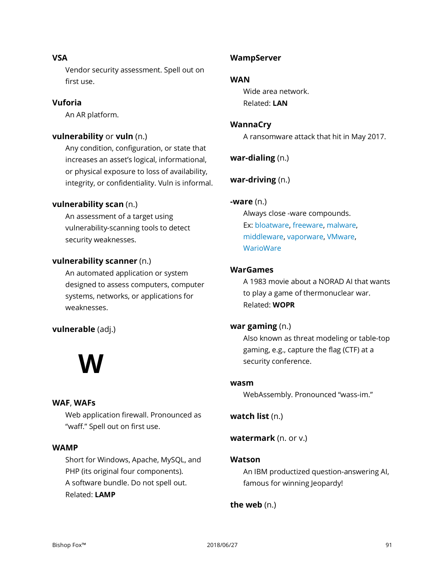# **VSA**

Vendor security assessment. Spell out on first use.

# **Vuforia**

An AR platform.

# **vulnerability** or **vuln** (n.)

Any condition, configuration, or state that increases an asset's logical, informational, or physical exposure to loss of availability, integrity, or confidentiality. Vuln is informal.

# **vulnerability scan** (n.)

An assessment of a target using vulnerability-scanning tools to detect security weaknesses.

# **vulnerability scanner** (n.)

An automated application or system designed to assess computers, computer systems, networks, or applications for weaknesses.

# **vulnerable** (adj.)

# **W**

# **WAF**, **WAFs**

Web application firewall. Pronounced as "waff." Spell out on first use.

# **WAMP**

Short for Windows, Apache, MySQL, and PHP (its original four components). A software bundle. Do not spell out. Related: **LAMP**

# **WampServer**

# **WAN**

Wide area network. Related: **LAN**

# **WannaCry**

A ransomware attack that hit in May 2017.

**war-dialing** (n.)

**war-driving** (n.)

# **-ware** (n.)

Always close -ware compounds. Ex: bloatware, freeware, malware, middleware, vaporware, VMware, **WarioWare** 

# **WarGames**

A 1983 movie about a NORAD AI that wants to play a game of thermonuclear war. Related: **WOPR**

# **war gaming** (n.)

Also known as threat modeling or table-top gaming, e.g., capture the flag (CTF) at a security conference.

#### **wasm**

WebAssembly. Pronounced "wass-im."

**watch list** (n.)

**watermark** (n. or v.)

# **Watson**

An IBM productized question-answering AI, famous for winning Jeopardy!

# **the web** (n.)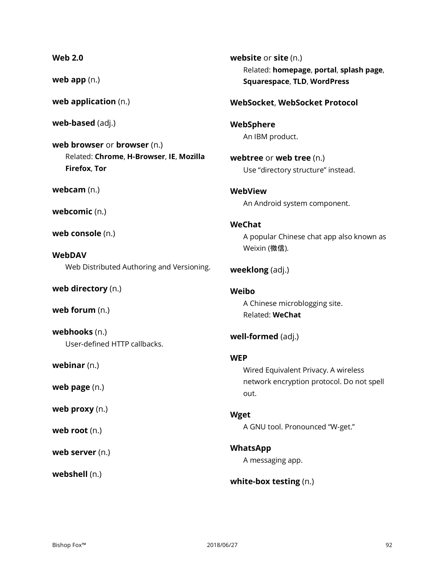# **Web 2.0**

**web app** (n.)

**web application** (n.)

**web-based** (adj.)

**web browser** or **browser** (n.) Related: **Chrome**, **H-Browser**, **IE**, **Mozilla Firefox**, **Tor**

**webcam** (n.)

**webcomic** (n.)

**web console** (n.)

**WebDAV** Web Distributed Authoring and Versioning.

**web directory** (n.)

**web forum** (n.)

**webhooks** (n.) User-defined HTTP callbacks.

**webinar** (n.)

**web page** (n.)

**web proxy** (n.)

**web root** (n.)

**web server** (n.)

**webshell** (n.)

**website** or **site** (n.) Related: **homepage**, **portal**, **splash page**, **Squarespace**, **TLD**, **WordPress**

# **WebSocket**, **WebSocket Protocol**

**WebSphere** An IBM product.

**webtree** or **web tree** (n.) Use "directory structure" instead.

**WebView** An Android system component.

# **WeChat**

A popular Chinese chat app also known as Weixin (微信).

**weeklong** (adj.)

**Weibo** A Chinese microblogging site.

Related: **WeChat**

**well-formed** (adj.)

#### **WEP**

Wired Equivalent Privacy. A wireless network encryption protocol. Do not spell out.

**Wget** A GNU tool. Pronounced "W-get."

**WhatsApp** A messaging app.

**white-box testing** (n.)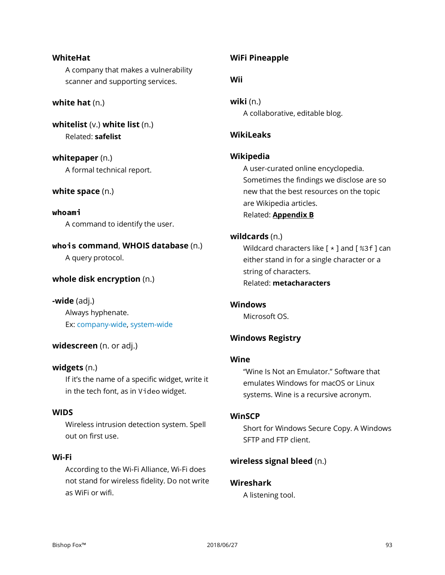#### **WhiteHat**

A company that makes a vulnerability scanner and supporting services.

## **white hat** (n.)

**whitelist** (v.) **white list** (n.) Related: **safelist**

**whitepaper** (n.) A formal technical report.

# **white space** (n.)

**whoami** A command to identify the user.

**whois command**, **WHOIS database** (n.) A query protocol.

# **whole disk encryption** (n.)

**-wide** (adj.) Always hyphenate. Ex: company-wide, system-wide

# **widescreen** (n. or adj.)

# **widgets** (n.)

If it's the name of a specific widget, write it in the tech font, as in Video widget.

#### **WIDS**

Wireless intrusion detection system. Spell out on first use.

# **Wi-Fi**

According to the Wi-Fi Alliance, Wi-Fi does not stand for wireless fidelity. Do not write as WiFi or wifi.

# **WiFi Pineapple**

#### **Wii**

**wiki** (n.) A collaborative, editable blog.

# **WikiLeaks**

#### **Wikipedia**

A user-curated online encyclopedia. Sometimes the findings we disclose are so new that the best resources on the topic are Wikipedia articles. Related: **[Appendix B](#page-98-0)**

## **wildcards** (n.)

Wildcard characters like  $[ * ]$  and  $[ %3f ]$  can either stand in for a single character or a string of characters. Related: **metacharacters**

#### **Windows**

Microsoft OS.

# **Windows Registry**

# **Wine**

"Wine Is Not an Emulator." Software that emulates Windows for macOS or Linux systems. Wine is a recursive acronym.

#### **WinSCP**

Short for Windows Secure Copy. A Windows SFTP and FTP client.

# **wireless signal bleed** (n.)

# **Wireshark**

A listening tool.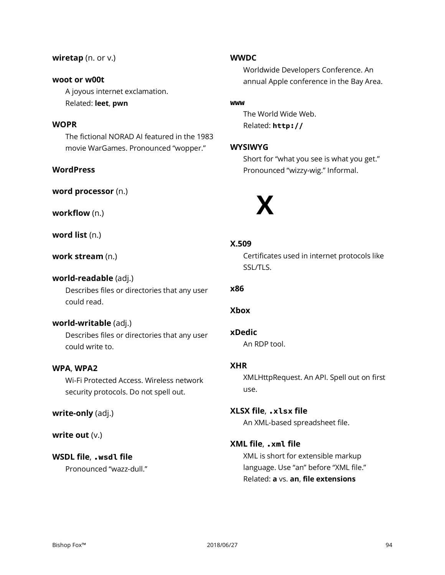#### **wiretap** (n. or v.)

# **woot or w00t**

A joyous internet exclamation. Related: **leet**, **pwn**

# **WOPR**

The fictional NORAD AI featured in the 1983 movie WarGames. Pronounced "wopper."

# **WordPress**

**word processor** (n.)

**workflow** (n.)

**word list** (n.)

## **work stream** (n.)

#### **world-readable** (adj.)

Describes files or directories that any user could read.

# **world-writable** (adj.)

Describes files or directories that any user could write to.

# **WPA**, **WPA2**

Wi-Fi Protected Access. Wireless network security protocols. Do not spell out.

**write-only** (adj.)

#### **write out** (v.)

# **WSDL file**, **.wsdl file**

Pronounced "wazz-dull."

#### **WWDC**

Worldwide Developers Conference. An annual Apple conference in the Bay Area.

#### **www**

The World Wide Web. Related: **http://**

# **WYSIWYG**

Short for "what you see is what you get." Pronounced "wizzy-wig." Informal.



# **X.509**

Certificates used in internet protocols like SSL/TLS.

# **x86**

#### **Xbox**

#### **xDedic**

An RDP tool.

#### **XHR**

XMLHttpRequest. An API. Spell out on first use.

# **XLSX file**, **.xlsx file**

An XML-based spreadsheet file.

# **XML file**, **.xml file**

XML is short for extensible markup language. Use "an" before "XML file." Related: **a** vs. **an**, **file extensions**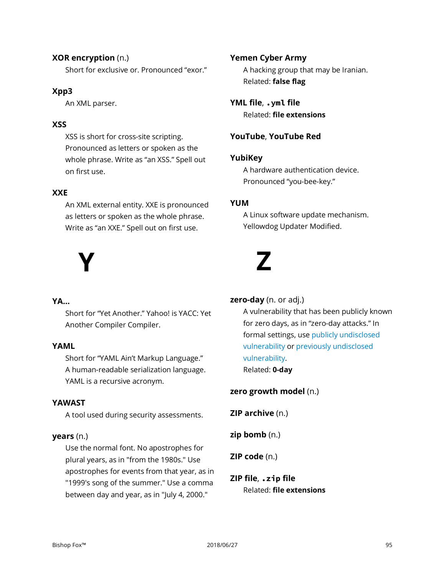# **XOR encryption** (n.)

Short for exclusive or. Pronounced "exor."

# **Xpp3**

An XML parser.

# **XSS**

XSS is short for cross-site scripting. Pronounced as letters or spoken as the whole phrase. Write as "an XSS." Spell out on first use.

# **XXE**

An XML external entity. XXE is pronounced as letters or spoken as the whole phrase. Write as "an XXE." Spell out on first use.

# **Y**

# **YA…**

Short for "Yet Another." Yahoo! is YACC: Yet Another Compiler Compiler.

# **YAML**

Short for "YAML Ain't Markup Language." A human-readable serialization language. YAML is a recursive acronym.

# **YAWAST**

A tool used during security assessments.

# **years** (n.)

Use the normal font. No apostrophes for plural years, as in "from the 1980s." Use apostrophes for events from that year, as in "1999's song of the summer." Use a comma between day and year, as in "July 4, 2000."

# **Yemen Cyber Army**

A hacking group that may be Iranian. Related: **false flag**

**YML file**, **.yml file** Related: **file extensions**

# **YouTube**, **YouTube Red**

# **YubiKey**

A hardware authentication device. Pronounced "you-bee-key."

# **YUM**

A Linux software update mechanism. Yellowdog Updater Modified.

# **Z**

# **zero-day** (n. or adj.)

A vulnerability that has been publicly known for zero days, as in "zero-day attacks." In formal settings, use publicly undisclosed vulnerability or previously undisclosed vulnerability. Related: **0-day**

# **zero growth model** (n.)

**ZIP archive** (n.)

**zip bomb** (n.)

**ZIP code** (n.)

# **ZIP file**, **.zip file** Related: **file extensions**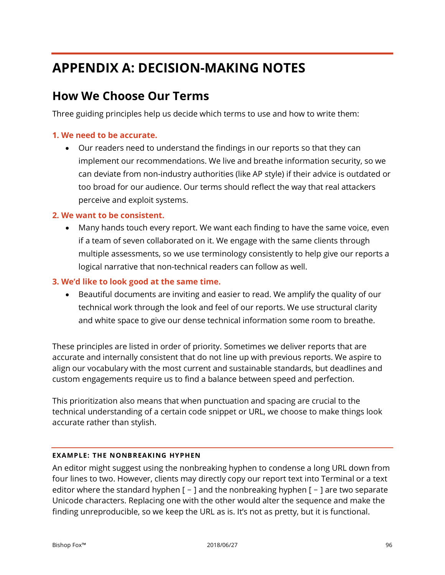# **APPENDIX A: DECISION-MAKING NOTES**

# **How We Choose Our Terms**

Three guiding principles help us decide which terms to use and how to write them:

# **1. We need to be accurate.**

• Our readers need to understand the findings in our reports so that they can implement our recommendations. We live and breathe information security, so we can deviate from non-industry authorities (like AP style) if their advice is outdated or too broad for our audience. Our terms should reflect the way that real attackers perceive and exploit systems.

# **2. We want to be consistent.**

• Many hands touch every report. We want each finding to have the same voice, even if a team of seven collaborated on it. We engage with the same clients through multiple assessments, so we use terminology consistently to help give our reports a logical narrative that non-technical readers can follow as well.

# **3. We'd like to look good at the same time.**

• Beautiful documents are inviting and easier to read. We amplify the quality of our technical work through the look and feel of our reports. We use structural clarity and white space to give our dense technical information some room to breathe.

These principles are listed in order of priority. Sometimes we deliver reports that are accurate and internally consistent that do not line up with previous reports. We aspire to align our vocabulary with the most current and sustainable standards, but deadlines and custom engagements require us to find a balance between speed and perfection.

This prioritization also means that when punctuation and spacing are crucial to the technical understanding of a certain code snippet or URL, we choose to make things look accurate rather than stylish.

# **EXAMPLE: THE NONBREAKING HYPHEN**

An editor might suggest using the nonbreaking hyphen to condense a long URL down from four lines to two. However, clients may directly copy our report text into Terminal or a text editor where the standard hyphen  $[-]$  and the nonbreaking hyphen  $[-]$  are two separate Unicode characters. Replacing one with the other would alter the sequence and make the finding unreproducible, so we keep the URL as is. It's not as pretty, but it is functional.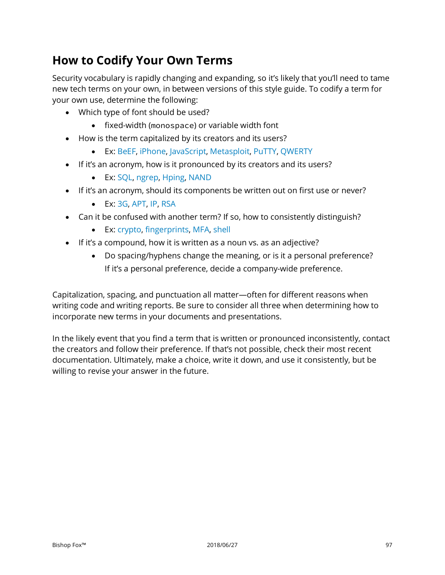# **How to Codify Your Own Terms**

Security vocabulary is rapidly changing and expanding, so it's likely that you'll need to tame new tech terms on your own, in between versions of this style guide. To codify a term for your own use, determine the following:

- Which type of font should be used?
	- fixed-width (monospace) or variable width font
- How is the term capitalized by its creators and its users?
	- Ex: BeEF, iPhone, JavaScript, Metasploit, PuTTY, QWERTY
- If it's an acronym, how is it pronounced by its creators and its users?
	- Ex: SQL, ngrep, Hping, NAND
- If it's an acronym, should its components be written out on first use or never?
	- Ex: 3G, APT, IP, RSA
- Can it be confused with another term? If so, how to consistently distinguish?
	- Ex: crypto, fingerprints, MFA, shell
- If it's a compound, how it is written as a noun vs. as an adjective?
	- Do spacing/hyphens change the meaning, or is it a personal preference? If it's a personal preference, decide a company-wide preference.

Capitalization, spacing, and punctuation all matter—often for different reasons when writing code and writing reports. Be sure to consider all three when determining how to incorporate new terms in your documents and presentations.

In the likely event that you find a term that is written or pronounced inconsistently, contact the creators and follow their preference. If that's not possible, check their most recent documentation. Ultimately, make a choice, write it down, and use it consistently, but be willing to revise your answer in the future.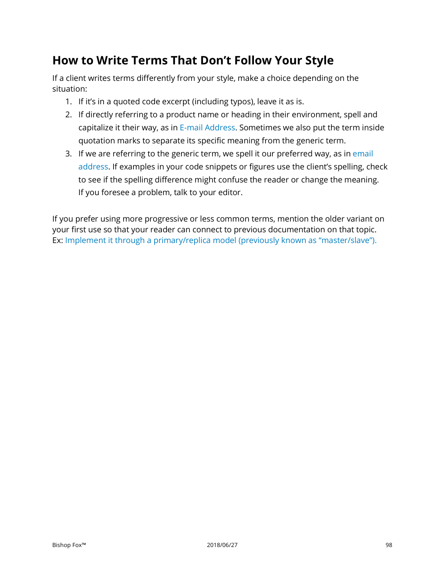# **How to Write Terms That Don't Follow Your Style**

If a client writes terms differently from your style, make a choice depending on the situation:

- 1. If it's in a quoted code excerpt (including typos), leave it as is.
- 2. If directly referring to a product name or heading in their environment, spell and capitalize it their way, as in E-mail Address. Sometimes we also put the term inside quotation marks to separate its specific meaning from the generic term.
- 3. If we are referring to the generic term, we spell it our preferred way, as in email address. If examples in your code snippets or figures use the client's spelling, check to see if the spelling difference might confuse the reader or change the meaning. If you foresee a problem, talk to your editor.

If you prefer using more progressive or less common terms, mention the older variant on your first use so that your reader can connect to previous documentation on that topic. Ex: Implement it through a primary/replica model (previously known as "master/slave").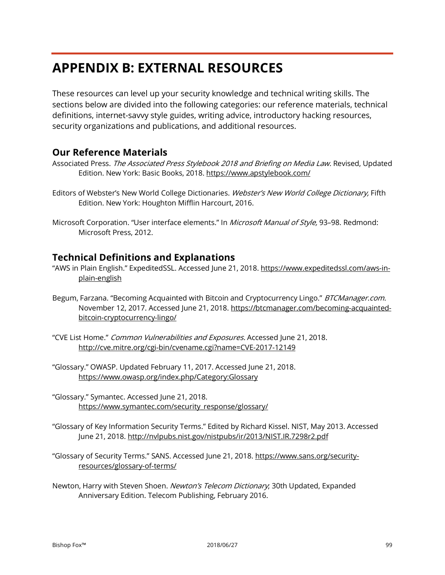# <span id="page-98-0"></span>**APPENDIX B: EXTERNAL RESOURCES**

These resources can level up your security knowledge and technical writing skills. The sections below are divided into the following categories: our reference materials, technical definitions, internet-savvy style guides, writing advice, introductory hacking resources, security organizations and publications, and additional resources.

# **Our Reference Materials**

Associated Press. The Associated Press Stylebook 2018 and Briefing on Media Law. Revised, Updated Edition. New York: Basic Books, 2018. https://www.apstylebook.com/

Editors of Webster's New World College Dictionaries. Webster's New World College Dictionary, Fifth Edition. New York: Houghton Mifflin Harcourt, 2016.

Microsoft Corporation. "User interface elements." In Microsoft Manual of Style, 93-98. Redmond: Microsoft Press, 2012.

# **Technical Definitions and Explanations**

- "AWS in Plain English." ExpeditedSSL. Accessed June 21, 2018. https://www.expeditedssl.com/aws-inplain-english
- Begum, Farzana. "Becoming Acquainted with Bitcoin and Cryptocurrency Lingo." BTCManager.com. November 12, 2017. Accessed June 21, 2018. https://btcmanager.com/becoming-acquaintedbitcoin-cryptocurrency-lingo/
- "CVE List Home." Common Vulnerabilities and Exposures. Accessed June 21, 2018. <http://cve.mitre.org/cgi-bin/cvename.cgi?name=CVE-2017-12149>
- "Glossary." OWASP. Updated February 11, 2017. Accessed June 21, 2018. https://www.owasp.org/index.php/Category:Glossary
- "Glossary." Symantec. Accessed June 21, 2018. https://www.symantec.com/security\_response/glossary/
- "Glossary of Key Information Security Terms." Edited by Richard Kissel. NIST, May 2013. Accessed June 21, 2018. http://nvlpubs.nist.gov/nistpubs/ir/2013/NIST.IR.7298r2.pdf
- "Glossary of Security Terms." SANS. Accessed June 21, 2018. https://www.sans.org/securityresources/glossary-of-terms/
- Newton, Harry with Steven Shoen. Newton's Telecom Dictionary; 30th Updated, Expanded Anniversary Edition. Telecom Publishing, February 2016.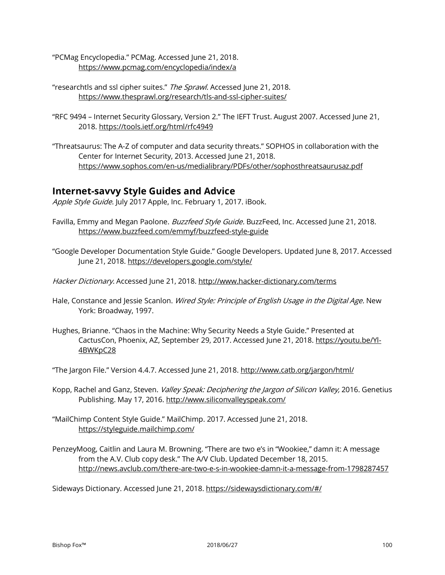- "PCMag Encyclopedia." PCMag. Accessed June 21, 2018. <https://www.pcmag.com/encyclopedia/index/a>
- "researchtls and ssl cipher suites." The Sprawl. Accessed June 21, 2018. <https://www.thesprawl.org/research/tls-and-ssl-cipher-suites/>
- "RFC 9494 Internet Security Glossary, Version 2." The IEFT Trust. August 2007. Accessed June 21, 2018. https://tools.ietf.org/html/rfc4949
- "Threatsaurus: The A-Z of computer and data security threats." SOPHOS in collaboration with the Center for Internet Security, 2013. Accessed June 21, 2018. https://www.sophos.com/en-us/medialibrary/PDFs/other/sophosthreatsaurusaz.pdf

# **Internet-savvy Style Guides and Advice**

Apple Style Guide. July 2017 Apple, Inc. February 1, 2017. iBook.

- Favilla, Emmy and Megan Paolone. Buzzfeed Style Guide. BuzzFeed, Inc. Accessed June 21, 2018. https://www.buzzfeed.com/emmyf/buzzfeed-style-guide
- "Google Developer Documentation Style Guide." Google Developers. Updated June 8, 2017. Accessed June 21, 2018. https://developers.google.com/style/
- Hacker Dictionary. Accessed June 21, 2018.<http://www.hacker-dictionary.com/terms>
- Hale, Constance and Jessie Scanlon. Wired Style: Principle of English Usage in the Digital Age. New York: Broadway, 1997.
- Hughes, Brianne. "Chaos in the Machine: Why Security Needs a Style Guide." Presented at CactusCon, Phoenix, AZ, September 29, 2017. Accessed June 21, 2018. https://youtu.be/Yl-4BWKpC28

"The Jargon File." Version 4.4.7. Accessed June 21, 2018. http://www.catb.org/jargon/html/

- Kopp, Rachel and Ganz, Steven. Valley Speak: Deciphering the Jargon of Silicon Valley, 2016. Genetius Publishing. May 17, 2016[. http://www.siliconvalleyspeak.com/](http://www.siliconvalleyspeak.com/)
- "MailChimp Content Style Guide." MailChimp. 2017. Accessed June 21, 2018. https://styleguide.mailchimp.com/
- PenzeyMoog, Caitlin and Laura M. Browning. "There are two e's in "Wookiee," damn it: A message from the A.V. Club copy desk." The A/V Club. Updated December 18, 2015. http://news.avclub.com/there-are-two-e-s-in-wookiee-damn-it-a-message-from-1798287457

Sideways Dictionary. Accessed June 21, 2018. https://sidewaysdictionary.com/#/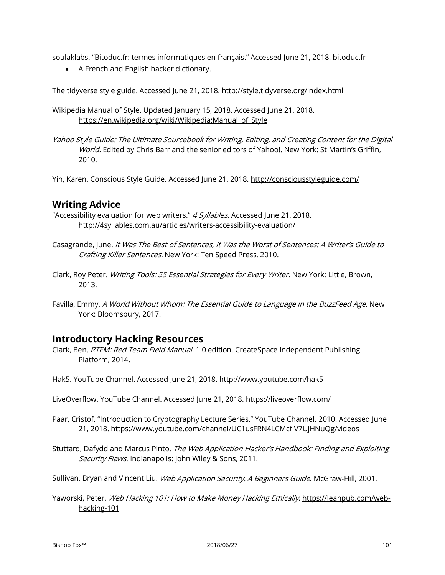soulaklabs. "Bitoduc.fr: termes informatiques en français." Accessed June 21, 2018. bitoduc.fr

• A French and English hacker dictionary.

The tidyverse style guide. Accessed June 21, 2018. <http://style.tidyverse.org/index.html>

Wikipedia Manual of Style. Updated January 15, 2018. Accessed June 21, 2018. https://en.wikipedia.org/wiki/Wikipedia:Manual of Style

Yahoo Style Guide: The Ultimate Sourcebook for Writing, Editing, and Creating Content for the Digital World. Edited by Chris Barr and the senior editors of Yahoo!. New York: St Martin's Griffin, 2010.

Yin, Karen. Conscious Style Guide. Accessed June 21, 2018.<http://consciousstyleguide.com/>

# **Writing Advice**

"Accessibility evaluation for web writers." 4 Syllables. Accessed June 21, 2018. http://4syllables.com.au/articles/writers-accessibility-evaluation/

- Casagrande, June. It Was The Best of Sentences, It Was the Worst of Sentences: A Writer's Guide to Crafting Killer Sentences. New York: Ten Speed Press, 2010.
- Clark, Roy Peter. Writing Tools: 55 Essential Strategies for Every Writer. New York: Little, Brown, 2013.
- Favilla, Emmy. A World Without Whom: The Essential Guide to Language in the BuzzFeed Age. New York: Bloomsbury, 2017.

# **Introductory Hacking Resources**

Clark, Ben. RTFM: Red Team Field Manual. 1.0 edition. CreateSpace Independent Publishing Platform, 2014.

Hak5. YouTube Channel. Accessed June 21, 2018[. http://www.youtube.com/hak5](http://www.youtube.com/hak5)

LiveOverflow. YouTube Channel. Accessed June 21, 2018. https://liveoverflow.com/

Paar, Cristof. "Introduction to Cryptography Lecture Series." YouTube Channel. 2010. Accessed June 21, 2018. https://www.youtube.com/channel/UC1usFRN4LCMcfIV7UjHNuQg/videos

Stuttard, Dafydd and Marcus Pinto. The Web Application Hacker's Handbook: Finding and Exploiting Security Flaws. Indianapolis: John Wiley & Sons, 2011.

Sullivan, Bryan and Vincent Liu. Web Application Security, A Beginners Guide. McGraw-Hill, 2001.

Yaworski, Peter. Web Hacking 101: How to Make Money Hacking Ethically. https://leanpub.com/webhacking-101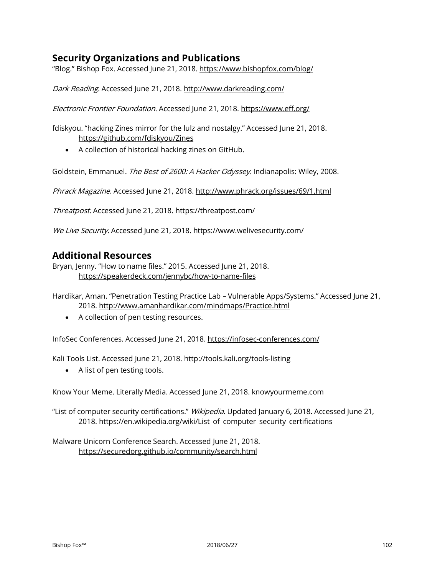# **Security Organizations and Publications**

"Blog." Bishop Fox. Accessed June 21, 2018. https://www.bishopfox.com/blog/

Dark Reading. Accessed June 21, 2018. http://www.darkreading.com/

Electronic Frontier Foundation. Accessed June 21, 2018. https://www.eff.org/

fdiskyou. "hacking Zines mirror for the lulz and nostalgy." Accessed June 21, 2018. https://github.com/fdiskyou/Zines

• A collection of historical hacking zines on GitHub.

Goldstein, Emmanuel. The Best of 2600: A Hacker Odyssey. Indianapolis: Wiley, 2008.

Phrack Magazine. Accessed June 21, 2018. http://www.phrack.org/issues/69/1.html

Threatpost. Accessed June 21, 2018. https://threatpost.com/

We Live Security. Accessed June 21, 2018. https://www.welivesecurity.com/

# **Additional Resources**

Bryan, Jenny. "How to name files." 2015. Accessed June 21, 2018. <https://speakerdeck.com/jennybc/how-to-name-files>

Hardikar, Aman. "Penetration Testing Practice Lab – Vulnerable Apps/Systems." Accessed June 21, 2018.<http://www.amanhardikar.com/mindmaps/Practice.html>

• A collection of pen testing resources.

InfoSec Conferences. Accessed June 21, 2018. https://infosec-conferences.com/

Kali Tools List. Accessed June 21, 2018. http://tools.kali.org/tools-listing

• A list of pen testing tools.

Know Your Meme. Literally Media. Accessed June 21, 2018. knowyourmeme.com

"List of computer security certifications." *Wikipedia*. Updated January 6, 2018. Accessed June 21, 2018. [https://en.wikipedia.org/wiki/List of computer security certifications](https://en.wikipedia.org/wiki/List_of_computer_security_certifications)

Malware Unicorn Conference Search. Accessed June 21, 2018. <https://securedorg.github.io/community/search.html>